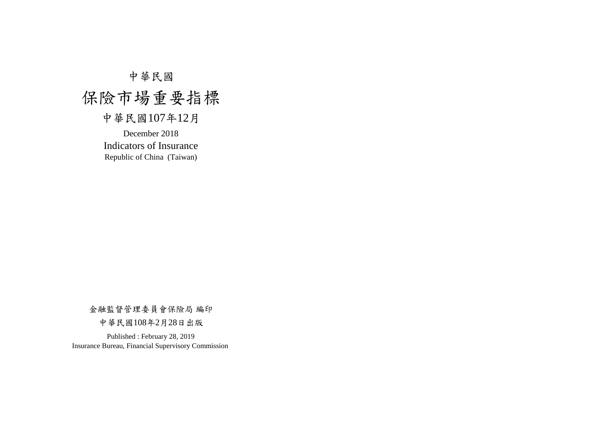# 中華民國

# 保險市場重要指標

# 中華民國107年12月

December 2018 Indicators of Insurance Republic of China (Taiwan)

金融監督管理委員會保險局 編印

中華民國108年2月28日出版

Published : February 28, 2019 Insurance Bureau, Financial Supervisory Commission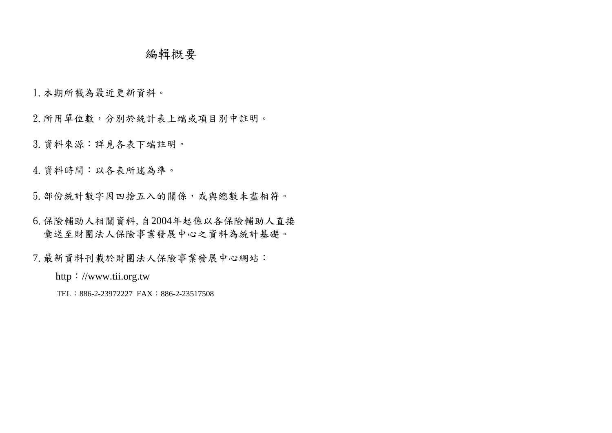## 編輯概要

1.本期所載為最近更新資料。

2.所用單位數,分別於統計表上端或項目別中註明。

3.資料來源:詳見各表下端註明。

4.資料時間:以各表所述為準。

5.部份統計數字因四捨五入的關係,或與總數未盡相符。

6.保險輔助人相關資料,自2004年起係以各保險輔助人直接 彙送至財團法人保險事業發展中心之資料為統計基礎。

7.最新資料刊載於財團法人保險事業發展中心網站:

http://www.tii.org.tw

TEL:886-2-23972227 FAX:886-2-23517508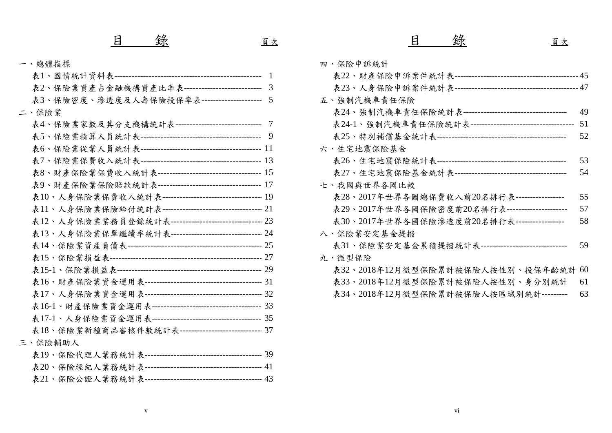### 一、總體指標

|                                                         | 表22、財產保險申訴     |
|---------------------------------------------------------|----------------|
| 表2、保險業資產占金融機構資產比率表 --------------------------- 3        | 表23、人身保險申訴     |
| 表3、保險密度、滲透度及人壽保險投保率表-------------------- 5              | 五、強制汽機車責任保險    |
| 二、保險業                                                   | 表24、強制汽機車責作    |
| 表4、保險業家數及其分支機構統計表 ------------------------------ 7      | 表24-1、強制汽機車責   |
|                                                         | 表25、特別補償基金約    |
|                                                         | 六、住宅地震保險基金     |
|                                                         | 表26、住宅地震保險約    |
|                                                         | 表27、住宅地震保險基    |
|                                                         | 七、我國與世界各國比較    |
|                                                         | 表28、2017年世界各   |
| 表11、人身保險業保險給付統計表 ----------------------------------- 21 | 表29、2017年世界各   |
| 表12、人身保險業業務員登錄統計表 -------------------------------- 23   | 表30、2017年世界各国  |
| 表13、人身保險業保單繼續率統計表 -------------------------------- 24   | 八、保險業安定基金提撥    |
|                                                         | 表31、保險業安定基金    |
|                                                         | 九、微型保險         |
|                                                         | 表32、2018年12月微型 |
|                                                         | 表33、2018年12月微型 |
|                                                         | 表34、2018年12月微型 |
|                                                         |                |
|                                                         |                |
| 表18、保險業新種商品審核件數統計表----------------------------- 37      |                |
| 三、保險輔助人                                                 |                |
|                                                         |                |
|                                                         |                |
|                                                         |                |
|                                                         |                |

| 錄<br>目                                                  | 頁次 | 錄<br>目<br>頁次                                     |      |
|---------------------------------------------------------|----|--------------------------------------------------|------|
| 一、總體指標                                                  |    | 四、保險申訴統計                                         |      |
|                                                         |    |                                                  |      |
| 表2、保險業資產占金融機構資產比率表 --------------------------- 3        |    |                                                  |      |
| 表3、保險密度、滲透度及人壽保險投保率表--------------------- 5             |    | 五、強制汽機車責任保險                                      |      |
| 二、保險業                                                   |    |                                                  |      |
| 表4、保險業家數及其分支機構統計表 ------------------------------ 7      |    |                                                  |      |
|                                                         |    |                                                  | 52   |
|                                                         |    | 六、住宅地震保險基金                                       |      |
|                                                         |    |                                                  | 53   |
|                                                         |    |                                                  | 54   |
| 表9、財產保險業保險賠款統計表 ----------------------------------- 17  |    | 七、我國與世界各國比較                                      |      |
| 表10、人身保險業保費收入統計表----------------------------------- 19  |    | 表28、2017年世界各國總保費收入前20名排行表 -----------------      | 55   |
| 表11、人身保險業保險給付統計表 ----------------------------------- 21 |    | 表29、2017年世界各國保險密度前20名排行表 --------------------    | 57   |
| 表12、人身保險業業務員登錄統計表 ------------------------------- 23    |    | 表30、2017年世界各國保險滲透度前20名排行表-----------------       | 58   |
| 表13、人身保險業保單繼續率統計表-------------------------------- 24    |    | 八、保險業安定基金提撥                                      |      |
|                                                         |    | 表31、保險業安定基金累積提撥統計表 ----------------------------- | - 59 |
|                                                         |    | 九、微型保險                                           |      |
|                                                         |    | 表32、2018年12月微型保險累計被保險人按性別、投保年齡統計60               |      |
|                                                         |    | 表33、2018年12月微型保險累計被保險人按性別、身分別統計                  | 61   |
|                                                         |    | 表34、2018年12月微型保險累計被保險人按區域別統計 ---------           | -63  |

v vietnam v vietnam v vietnam v vietnam v vietnam v vietnam v vietnam v vietnam v vietnam v vietnam v vietnam v<br>V vietnam v vietnam v vietnam v vietnam v vietnam v vietnam v vietnam v vietnam v vietnam v vietnam v vietnam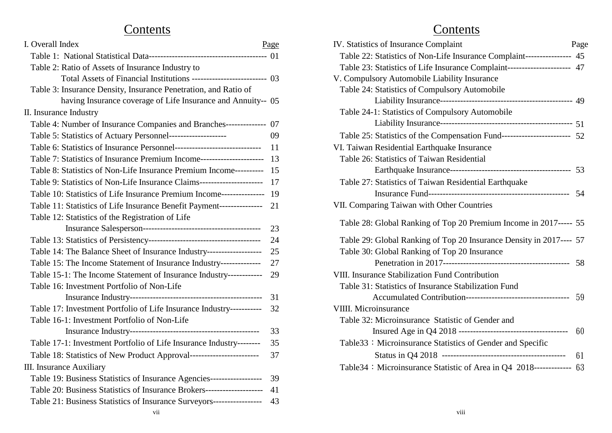# Contents Contents

| 1. Overall mdex                                                             | rage | IV. Statistics of Insurance Complaint                                    | rag |
|-----------------------------------------------------------------------------|------|--------------------------------------------------------------------------|-----|
|                                                                             |      | Table 22: Statistics of Non-Life Insurance Complaint---------------- 45  |     |
| Table 2: Ratio of Assets of Insurance Industry to                           |      | Table 23: Statistics of Life Insurance Complaint--------------------- 47 |     |
| Total Assets of Financial Institutions -------------------------- 03        |      | V. Compulsory Automobile Liability Insurance                             |     |
| Table 3: Insurance Density, Insurance Penetration, and Ratio of             |      | Table 24: Statistics of Compulsory Automobile                            |     |
| having Insurance coverage of Life Insurance and Annuity-- 05                |      |                                                                          |     |
| II. Insurance Industry                                                      |      | Table 24-1: Statistics of Compulsory Automobile                          |     |
| Table 4: Number of Insurance Companies and Branches-------------- 07        |      |                                                                          |     |
| Table 5: Statistics of Actuary Personnel--------------------                | 09   | Table 25: Statistics of the Compensation Fund------------------------ 52 |     |
|                                                                             | -11  | VI. Taiwan Residential Earthquake Insurance                              |     |
| Table 7: Statistics of Insurance Premium Income----------------------- 13   |      | Table 26: Statistics of Taiwan Residential                               |     |
| Table 8: Statistics of Non-Life Insurance Premium Income---------- 15       |      |                                                                          |     |
| Table 9: Statistics of Non-Life Insurance Claims------------------------ 17 |      | Table 27: Statistics of Taiwan Residential Earthquake                    |     |
| Table 10: Statistics of Life Insurance Premium Income---------------- 19    |      |                                                                          |     |
| Table 11: Statistics of Life Insurance Benefit Payment--------------- 21    |      | VII. Comparing Taiwan with Other Countries                               |     |
| Table 12: Statistics of the Registration of Life                            |      |                                                                          |     |
|                                                                             | 23   | Table 28: Global Ranking of Top 20 Premium Income in 2017----- 55        |     |
|                                                                             | 24   | Table 29: Global Ranking of Top 20 Insurance Density in 2017---- 57      |     |
| Table 14: The Balance Sheet of Insurance Industry-------------------        | 25   | Table 30: Global Ranking of Top 20 Insurance                             |     |
| Table 15: The Income Statement of Insurance Industry--------------          | 27   |                                                                          |     |
| Table 15-1: The Income Statement of Insurance Industry------------          | 29   | VIII. Insurance Stabilization Fund Contribution                          |     |
| Table 16: Investment Portfolio of Non-Life                                  |      | Table 31: Statistics of Insurance Stabilization Fund                     |     |
|                                                                             | 31   |                                                                          |     |
| Table 17: Investment Portfolio of Life Insurance Industry-----------        | 32   | VIIII. Microinsurance                                                    |     |
| Table 16-1: Investment Portfolio of Non-Life                                |      | Table 32: Microinsurance Statistic of Gender and                         |     |
|                                                                             | 33   |                                                                          |     |
| Table 17-1: Investment Portfolio of Life Insurance Industry--------         | 35   | Table 33: Microinsurance Statistics of Gender and Specific               |     |
|                                                                             | 37   |                                                                          |     |
| III. Insurance Auxiliary                                                    |      | Table 34: Microinsurance Statistic of Area in Q4 2018------------- 63    |     |
| Table 19: Business Statistics of Insurance Agencies------------------ 39    |      |                                                                          |     |
| Table 20: Business Statistics of Insurance Brokers--------------------- 41  |      |                                                                          |     |
| Table 21: Business Statistics of Insurance Surveyors----------------- 43    |      |                                                                          |     |
|                                                                             |      |                                                                          |     |

| I. Overall Index                                                            | Page | IV. Statistics of Insurance Complaint                                    | Page |
|-----------------------------------------------------------------------------|------|--------------------------------------------------------------------------|------|
|                                                                             |      | Table 22: Statistics of Non-Life Insurance Complaint---------------- 45  |      |
| Table 2: Ratio of Assets of Insurance Industry to                           |      | Table 23: Statistics of Life Insurance Complaint--------------------- 47 |      |
| Total Assets of Financial Institutions --------------------------- 03       |      | V. Compulsory Automobile Liability Insurance                             |      |
| Table 3: Insurance Density, Insurance Penetration, and Ratio of             |      | Table 24: Statistics of Compulsory Automobile                            |      |
| having Insurance coverage of Life Insurance and Annuity-- 05                |      |                                                                          |      |
| II. Insurance Industry                                                      |      | Table 24-1: Statistics of Compulsory Automobile                          |      |
| Table 4: Number of Insurance Companies and Branches--------------- 07       |      |                                                                          |      |
| Table 5: Statistics of Actuary Personnel--------------------                | 09   | Table 25: Statistics of the Compensation Fund----------------------- 52  |      |
|                                                                             | -11  | VI. Taiwan Residential Earthquake Insurance                              |      |
| Table 7: Statistics of Insurance Premium Income------------------------ 13  |      | Table 26: Statistics of Taiwan Residential                               |      |
| Table 8: Statistics of Non-Life Insurance Premium Income---------- 15       |      |                                                                          |      |
| Table 9: Statistics of Non-Life Insurance Claims------------------------ 17 |      | Table 27: Statistics of Taiwan Residential Earthquake                    |      |
| Table 10: Statistics of Life Insurance Premium Income---------------- 19    |      |                                                                          |      |
| Table 11: Statistics of Life Insurance Benefit Payment---------------- 21   |      | VII. Comparing Taiwan with Other Countries                               |      |
| Table 12: Statistics of the Registration of Life                            |      |                                                                          |      |
|                                                                             | 23   | Table 28: Global Ranking of Top 20 Premium Income in 2017----- 55        |      |
|                                                                             | 24   | Table 29: Global Ranking of Top 20 Insurance Density in 2017---- 57      |      |
| Table 14: The Balance Sheet of Insurance Industry-------------------        |      | Table 30: Global Ranking of Top 20 Insurance                             |      |
| Table 15: The Income Statement of Insurance Industry--------------          |      |                                                                          |      |
| Table 15-1: The Income Statement of Insurance Industry------------          | 29   | VIII. Insurance Stabilization Fund Contribution                          |      |
| Table 16: Investment Portfolio of Non-Life                                  |      | Table 31: Statistics of Insurance Stabilization Fund                     |      |
|                                                                             | 31   |                                                                          |      |
| Table 17: Investment Portfolio of Life Insurance Industry-----------        | 32   | VIIII. Microinsurance                                                    |      |
| Table 16-1: Investment Portfolio of Non-Life                                |      | Table 32: Microinsurance Statistic of Gender and                         |      |
|                                                                             | 33   |                                                                          |      |
| Table 17-1: Investment Portfolio of Life Insurance Industry--------         | 35   | Table 33: Microinsurance Statistics of Gender and Specific               |      |
| Table 18: Statistics of New Product Approval------------------------        | 37   |                                                                          | -61  |
| III. Insurance Auxiliary                                                    |      | Table 34: Microinsurance Statistic of Area in Q4 2018------------- 63    |      |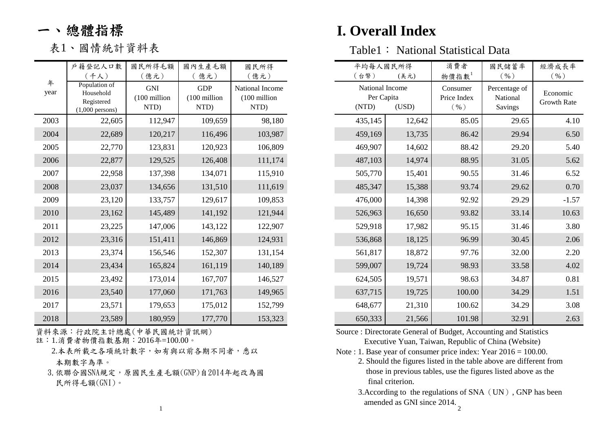|      | 戶籍登記人口數                    | 國民所得毛額       | 國內生產毛額       | 國民所得            |
|------|----------------------------|--------------|--------------|-----------------|
| 年    | (千人)                       | 億元)          | 億元)          | (億元)            |
| year | Population of<br>Household | <b>GNI</b>   | <b>GDP</b>   | National Income |
|      | Registered                 | (100 million | (100 million | (100 million    |
|      | $(1,000$ persons)          | NTD)         | NTD)         | NTD)            |
| 2003 | 22,605                     | 112,947      | 109,659      | 98,180          |
| 2004 | 22,689                     | 120,217      | 116,496      | 103,987         |
| 2005 | 22,770                     | 123,831      | 120,923      | 106,809         |
| 2006 | 22,877                     | 129,525      | 126,408      | 111,174         |
| 2007 | 22,958                     | 137,398      | 134,071      | 115,910         |
| 2008 | 23,037                     | 134,656      | 131,510      | 111,619         |
| 2009 | 23,120                     | 133,757      | 129,617      | 109,853         |
| 2010 | 23,162                     | 145,489      | 141,192      | 121,944         |
| 2011 | 23,225                     | 147,006      | 143,122      | 122,907         |
| 2012 | 23,316                     | 151,411      | 146,869      | 124,931         |
| 2013 | 23,374                     | 156,546      | 152,307      | 131,154         |
| 2014 | 23,434                     | 165,824      | 161,119      | 140,189         |
| 2015 | 23,492                     | 173,014      | 167,707      | 146,527         |
| 2016 | 23,540                     | 177,060      | 171,763      | 149,965         |
| 2017 | 23,571                     | 179,653      | 175,012      | 152,799         |
| 2018 | 23,589                     | 180,959      | 177,770      | 153,323         |

資料來源:行政院主計總處(中華民國統計資訊網)<br>註:1.消費者物價指數基期:2016年=100.00。

2.本表所載之各項統計數字,如有與以前各期不同者,悉以

3.依聯合國SNA規定,原國民生產毛額(GNP)自2014年起改為國 民所得毛額(GNI)。 final criterion.

# 一、總體指標 **I. Overall Index**

| 表1、國情統計資料表 |  | Table1: National Statistical Data |  |
|------------|--|-----------------------------------|--|
|------------|--|-----------------------------------|--|

|           | 戶籍登記人口數<br>$(+\lambda)$                                       | 國民所得毛額<br>(億元)                     | 國內生產毛額<br>億元)                      | 國民所得<br>(億元)                            | 平均每人國民所得<br>台幣)                                 | (美元)   | 消費者<br>物價指數                     | 國民儲蓄率<br>$($ % $)$                   | 經濟成長率<br>$($ % $)$      |
|-----------|---------------------------------------------------------------|------------------------------------|------------------------------------|-----------------------------------------|-------------------------------------------------|--------|---------------------------------|--------------------------------------|-------------------------|
| 年<br>year | Population of<br>Household<br>Registered<br>$(1,000$ persons) | <b>GNI</b><br>(100 million<br>NTD) | <b>GDP</b><br>(100 million<br>NTD) | National Income<br>(100 million<br>NTD) | National Income<br>Per Capita<br>(USD)<br>(NTD) |        | Consumer<br>Price Index<br>( %) | Percentage of<br>National<br>Savings | Economic<br>Growth Rate |
| 2003      | 22,605                                                        | 112,947                            | 109,659                            | 98,180                                  | 435,145                                         | 12,642 | 85.05                           | 29.65                                | 4.10                    |
| 2004      | 22,689                                                        | 120,217                            | 116,496                            | 103,987                                 | 459,169                                         | 13,735 | 86.42                           | 29.94                                | 6.50                    |
| 2005      | 22,770                                                        | 123,831                            | 120,923                            | 106,809                                 | 469,907                                         | 14,602 | 88.42                           | 29.20                                | 5.40                    |
| 2006      | 22,877                                                        | 129,525                            | 126,408                            | 111,174                                 | 487,103                                         | 14,974 | 88.95                           | 31.05                                | 5.62                    |
| 2007      | 22,958                                                        | 137,398                            | 134,071                            | 115,910                                 | 505,770                                         | 15,401 | 90.55                           | 31.46                                | 6.52                    |
| 2008      | 23,037                                                        | 134,656                            | 131,510                            | 111,619                                 | 485,347                                         | 15,388 | 93.74                           | 29.62                                | 0.70                    |
| 2009      | 23,120                                                        | 133,757                            | 129,617                            | 109,853                                 | 476,000                                         | 14,398 | 92.92                           | 29.29                                | $-1.57$                 |
| 2010      | 23,162                                                        | 145,489                            | 141,192                            | 121,944                                 | 526,963                                         | 16,650 | 93.82                           | 33.14                                | 10.63                   |
| 2011      | 23,225                                                        | 147,006                            | 143,122                            | 122,907                                 | 529,918                                         | 17,982 | 95.15                           | 31.46                                | 3.80                    |
| 2012      | 23,316                                                        | 151,411                            | 146,869                            | 124,931                                 | 536,868                                         | 18,125 | 96.99                           | 30.45                                | 2.06                    |
| 2013      | 23,374                                                        | 156,546                            | 152,307                            | 131,154                                 | 561,817                                         | 18,872 | 97.76                           | 32.00                                | 2.20                    |
| 2014      | 23,434                                                        | 165,824                            | 161,119                            | 140,189                                 | 599,007                                         | 19,724 | 98.93                           | 33.58                                | 4.02                    |
| 2015      | 23,492                                                        | 173,014                            | 167,707                            | 146,527                                 | 624,505                                         | 19,571 | 98.63                           | 34.87                                | 0.81                    |
| 2016      | 23,540                                                        | 177,060                            | 171,763                            | 149,965                                 | 637,715                                         | 19,725 | 100.00                          | 34.29                                | 1.51                    |
| 2017      | 23,571                                                        | 179,653                            | 175,012                            | 152,799                                 | 648,677                                         | 21,310 | 100.62                          | 34.29                                | 3.08                    |
| 2018      | 23,589                                                        | 180,959                            | 177,770                            | 153,323                                 | 650,333                                         | 21,566 | 101.98                          | 32.91                                | 2.63                    |

 Executive Yuan, Taiwan, Republic of China (Website) Source : Directorate General of Budget, Accounting and Statistics

Note : 1. Base year of consumer price index: Year 2016 = 100.00.

 those in previous tables, use the figures listed above as the 本期數字為準。 2. Should the figures listed in the table above are different from

> $\frac{1}{2}$ 3.According to the regulations of SNA (UN), GNP has been amended as GNI since 2014.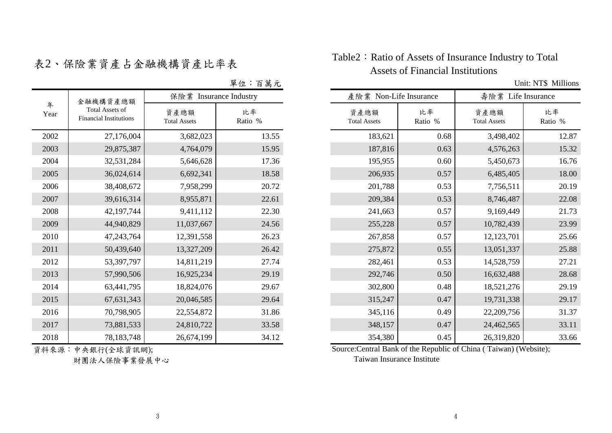|           | 金融機構資產總額                                                | 保險業 Insurance Industry      |               |  |  |  |
|-----------|---------------------------------------------------------|-----------------------------|---------------|--|--|--|
| 年<br>Year | <b>Total Assets of</b><br><b>Financial Institutions</b> | 資產總額<br><b>Total Assets</b> | 比率<br>Ratio % |  |  |  |
| 2002      | 27,176,004                                              | 3,682,023                   | 13.55         |  |  |  |
| 2003      | 29,875,387                                              | 4,764,079                   | 15.95         |  |  |  |
| 2004      | 32,531,284                                              | 5,646,628                   | 17.36         |  |  |  |
| 2005      | 36,024,614                                              | 6,692,341                   | 18.58         |  |  |  |
| 2006      | 38,408,672                                              | 7,958,299                   | 20.72         |  |  |  |
| 2007      | 39,616,314                                              | 8,955,871                   | 22.61         |  |  |  |
| 2008      | 42,197,744                                              | 9,411,112                   | 22.30         |  |  |  |
| 2009      | 44,940,829                                              | 11,037,667                  | 24.56         |  |  |  |
| 2010      | 47,243,764                                              | 12,391,558                  | 26.23         |  |  |  |
| 2011      | 50,439,640                                              | 13,327,209                  | 26.42         |  |  |  |
| 2012      | 53,397,797                                              | 14,811,219                  | 27.74         |  |  |  |
| 2013      | 57,990,506                                              | 16,925,234                  | 29.19         |  |  |  |
| 2014      | 63,441,795                                              | 18,824,076                  | 29.67         |  |  |  |
| 2015      | 67, 631, 343                                            | 20,046,585                  | 29.64         |  |  |  |
| 2016      | 70,798,905                                              | 22,554,872                  | 31.86         |  |  |  |
| 2017      | 73,881,533                                              | 24,810,722                  | 33.58         |  |  |  |
| 2018      | 78,183,748                                              | 26,674,199                  | 34.12         |  |  |  |

## <sup>表</sup>2、保險業資產占金融機構資產比率表 Table2:Ratio of Assets of Insurance Industry to Total Assets of Financial Institutions

單位:百萬元 Unit: NT\$ Millions

|           | 金融機構資產總額                                                | 保險業 Insurance Industry      |               | 產險業 Non-Life Insurance |                             |               | 壽險業 Life Insurance          |               |  |
|-----------|---------------------------------------------------------|-----------------------------|---------------|------------------------|-----------------------------|---------------|-----------------------------|---------------|--|
| 年<br>Year | <b>Total Assets of</b><br><b>Financial Institutions</b> | 資產總額<br><b>Total Assets</b> | 比率<br>Ratio % |                        | 資產總額<br><b>Total Assets</b> | 比率<br>Ratio % | 資產總額<br><b>Total Assets</b> | 比率<br>Ratio % |  |
| 2002      | 27,176,004                                              | 3,682,023                   | 13.55         |                        | 183,621                     | 0.68          | 3,498,402                   | 12.87         |  |
| 2003      | 29,875,387                                              | 4,764,079                   | 15.95         |                        | 187,816                     | 0.63          | 4,576,263                   | 15.32         |  |
| 2004      | 32,531,284                                              | 5,646,628                   | 17.36         |                        | 195,955                     | 0.60          | 5,450,673                   | 16.76         |  |
| 2005      | 36,024,614                                              | 6,692,341                   | 18.58         |                        | 206,935                     | 0.57          | 6,485,405                   | 18.00         |  |
| 2006      | 38,408,672                                              | 7,958,299                   | 20.72         |                        | 201,788                     | 0.53          | 7,756,511                   | 20.19         |  |
| 2007      | 39,616,314                                              | 8,955,871                   | 22.61         |                        | 209,384                     | 0.53          | 8,746,487                   | 22.08         |  |
| 2008      | 42,197,744                                              | 9,411,112                   | 22.30         |                        | 241,663                     | 0.57          | 9,169,449                   | 21.73         |  |
| 2009      | 44,940,829                                              | 11,037,667                  | 24.56         |                        | 255,228                     | 0.57          | 10,782,439                  | 23.99         |  |
| 2010      | 47,243,764                                              | 12,391,558                  | 26.23         |                        | 267,858                     | 0.57          | 12,123,701                  | 25.66         |  |
| 2011      | 50,439,640                                              | 13,327,209                  | 26.42         |                        | 275,872                     | 0.55          | 13,051,337                  | 25.88         |  |
| 2012      | 53,397,797                                              | 14,811,219                  | 27.74         |                        | 282,461                     | 0.53          | 14,528,759                  | 27.21         |  |
| 2013      | 57,990,506                                              | 16,925,234                  | 29.19         |                        | 292,746                     | 0.50          | 16,632,488                  | 28.68         |  |
| 2014      | 63,441,795                                              | 18,824,076                  | 29.67         |                        | 302,800                     | 0.48          | 18,521,276                  | 29.19         |  |
| 2015      | 67, 631, 343                                            | 20,046,585                  | 29.64         |                        | 315,247                     | 0.47          | 19,731,338                  | 29.17         |  |
| 2016      | 70,798,905                                              | 22,554,872                  | 31.86         |                        | 345,116                     | 0.49          | 22,209,756                  | 31.37         |  |
| 2017      | 73,881,533                                              | 24,810,722                  | 33.58         |                        | 348,157                     | 0.47          | 24,462,565                  | 33.11         |  |
| 2018      | 78, 183, 748                                            | 26,674,199                  | 34.12         |                        | 354,380                     | 0.45          | 26,319,820                  | 33.66         |  |

資料來源:中央銀行(全球資訊網);

財團法人保險事業發展中心

Source:Central Bank of the Republic of China ( Taiwan) (Website);

Taiwan Insurance Institute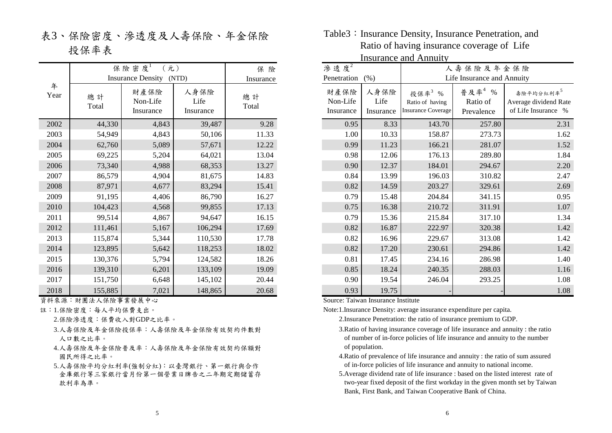表3、保險密度、滲透度及人壽保險、年金保險 投保率表

|           | 保險密度<br><b>Insurance Density</b> | 保 險<br>Insurance              |                           |             |
|-----------|----------------------------------|-------------------------------|---------------------------|-------------|
| 年<br>Year | 總計<br>Total                      | 財產保險<br>Non-Life<br>Insurance | 人身保險<br>Life<br>Insurance | 總計<br>Total |
| 2002      | 44,330                           | 4,843                         | 39,487                    | 9.28        |
| 2003      | 54,949                           | 4,843                         | 50,106                    | 11.33       |
| 2004      | 62,760                           | 5,089                         | 57,671                    | 12.22       |
| 2005      | 69,225                           | 5,204                         | 64,021                    | 13.04       |
| 2006      | 73,340                           | 4,988                         | 68,353                    | 13.27       |
| 2007      | 86,579                           | 4,904                         | 81,675                    | 14.83       |
| 2008      | 87,971                           | 4,677                         | 83,294                    | 15.41       |
| 2009      | 91,195                           | 4,406                         | 86,790                    | 16.27       |
| 2010      | 104,423                          | 4,568                         | 99,855                    | 17.13       |
| 2011      | 99,514                           | 4,867                         | 94,647                    | 16.15       |
| 2012      | 111,461                          | 5,167                         | 106,294                   | 17.69       |
| 2013      | 115,874                          | 5,344                         | 110,530                   | 17.78       |
| 2014      | 123,895                          | 5,642                         | 118,253                   | 18.02       |
| 2015      | 130,376                          | 5,794                         | 124,582                   | 18.26       |
| 2016      | 139,310                          | 6,201                         | 133,109                   | 19.09       |
| 2017      | 151,750                          | 6,648                         | 145,102                   | 20.44       |
| 2018      | 155,885                          | 7,021                         | 148,865                   | 20.68       |

資料來源:財團法人保險事業發展中心

- 註:1.保險密度:每人平均保費支出。
	- 2.保險滲透度:保費收入對GDP之比率。
	- 3.人壽保險及年金保險投保率:人壽保險及年金保險有效契約件數對 人口數之比率。
	- 4.人壽保險及年金保險普及率:人壽保險及年金保險有效契約保額對 國民所得之比率。
	- 金庫銀行等三家銀行當月份第一個營業日牌告之二年期定期儲蓄存 款利率為準。 5.人壽保險平均分紅利率(強制分紅):以臺灣銀行、第一銀行與合作

Table3: Insurance Density, Insurance Penetration, and Ratio of having insurance coverage of Life Insurance and Annuity

|           | Insurance and Aminumy                           |                               |                           |             |                                |                               |                                         |                                                       |                                     |                                                                       |
|-----------|-------------------------------------------------|-------------------------------|---------------------------|-------------|--------------------------------|-------------------------------|-----------------------------------------|-------------------------------------------------------|-------------------------------------|-----------------------------------------------------------------------|
|           | 保險密度<br>元)<br><b>Insurance Density</b><br>(NTD) |                               | 保險<br>Insurance           |             | 渗透度 $2$<br>Penetration<br>(% ) |                               | 人壽保險及年金保險<br>Life Insurance and Annuity |                                                       |                                     |                                                                       |
| 年<br>Year | 總計<br>Total                                     | 財產保險<br>Non-Life<br>Insurance | 人身保險<br>Life<br>Insurance | 總計<br>Total |                                | 財產保險<br>Non-Life<br>Insurance | 人身保險<br>Life<br>Insurance               | 投保率3%<br>Ratio of having<br><b>Insurance Coverage</b> | 普及率 $4$ %<br>Ratio of<br>Prevalence | 壽險平均分紅利率 <sup>5</sup><br>Average dividend Rate<br>of Life Insurance % |
| 2002      | 44,330                                          | 4,843                         | 39,487                    | 9.28        |                                | 0.95                          | 8.33                                    | 143.70                                                | 257.80                              | 2.31                                                                  |
| 2003      | 54,949                                          | 4,843                         | 50,106                    | 11.33       |                                | 1.00                          | 10.33                                   | 158.87                                                | 273.73                              | 1.62                                                                  |
| 2004      | 62,760                                          | 5,089                         | 57,671                    | 12.22       |                                | 0.99                          | 11.23                                   | 166.21                                                | 281.07                              | 1.52                                                                  |
| 2005      | 69,225                                          | 5,204                         | 64,021                    | 13.04       |                                | 0.98                          | 12.06                                   | 176.13                                                | 289.80                              | 1.84                                                                  |
| 2006      | 73,340                                          | 4,988                         | 68,353                    | 13.27       |                                | 0.90                          | 12.37                                   | 184.01                                                | 294.67                              | 2.20                                                                  |
| 2007      | 86,579                                          | 4,904                         | 81,675                    | 14.83       |                                | 0.84                          | 13.99                                   | 196.03                                                | 310.82                              | 2.47                                                                  |
| 2008      | 87,971                                          | 4,677                         | 83,294                    | 15.41       |                                | 0.82                          | 14.59                                   | 203.27                                                | 329.61                              | 2.69                                                                  |
| 2009      | 91,195                                          | 4,406                         | 86,790                    | 16.27       |                                | 0.79                          | 15.48                                   | 204.84                                                | 341.15                              | 0.95                                                                  |
| 2010      | 104,423                                         | 4,568                         | 99,855                    | 17.13       |                                | 0.75                          | 16.38                                   | 210.72                                                | 311.91                              | 1.07                                                                  |
| 2011      | 99,514                                          | 4,867                         | 94,647                    | 16.15       |                                | 0.79                          | 15.36                                   | 215.84                                                | 317.10                              | 1.34                                                                  |
| 2012      | 111,461                                         | 5,167                         | 106,294                   | 17.69       |                                | 0.82                          | 16.87                                   | 222.97                                                | 320.38                              | 1.42                                                                  |
| 2013      | 115,874                                         | 5,344                         | 110,530                   | 17.78       |                                | 0.82                          | 16.96                                   | 229.67                                                | 313.08                              | 1.42                                                                  |
| 2014      | 123,895                                         | 5,642                         | 118,253                   | 18.02       |                                | 0.82                          | 17.20                                   | 230.61                                                | 294.86                              | 1.42                                                                  |
| 2015      | 130,376                                         | 5,794                         | 124,582                   | 18.26       |                                | 0.81                          | 17.45                                   | 234.16                                                | 286.98                              | 1.40                                                                  |
| 2016      | 139,310                                         | 6,201                         | 133,109                   | 19.09       |                                | 0.85                          | 18.24                                   | 240.35                                                | 288.03                              | 1.16                                                                  |
| 2017      | 151,750                                         | 6,648                         | 145,102                   | 20.44       |                                | 0.90                          | 19.54                                   | 246.04                                                | 293.25                              | 1.08                                                                  |
| 2018      | 155,885                                         | 7,021                         | 148,865                   | 20.68       |                                | 0.93                          | 19.75                                   |                                                       |                                     | 1.08                                                                  |

Source: Taiwan Insurance Institute

Note:1.Insurance Density: average insurance expenditure per capita.

- 2.Insurance Penetration: the ratio of insurance premium to GDP.
- 3.Ratio of having insurance coverage of life insurance and annuity : the ratio of number of in-force policies of life insurance and annuity to the number of population.
- 4.Ratio of prevalence of life insurance and annuity : the ratio of sum assured of in-force policies of life insurance and annuity to national income.
- 5.Average dividend rate of life insurance : based on the listed interest rate of two-year fixed deposit of the first workday in the given month set by Taiwan Bank, First Bank, and Taiwan Cooperative Bank of China.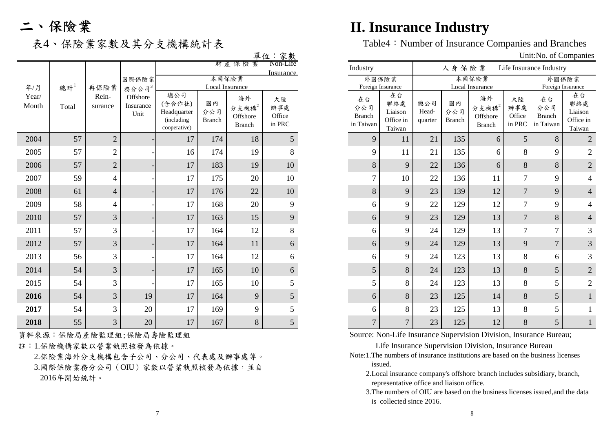|                |        |                  |                               |                                                            |                            |                                      | $\overline{\phantom{a}}$            |                                         |                                             |                         |                            |                                             |                               |                                         |                                             |
|----------------|--------|------------------|-------------------------------|------------------------------------------------------------|----------------------------|--------------------------------------|-------------------------------------|-----------------------------------------|---------------------------------------------|-------------------------|----------------------------|---------------------------------------------|-------------------------------|-----------------------------------------|---------------------------------------------|
|                |        |                  |                               |                                                            |                            | 財產保險業                                | $\frac{3}{2}$ Non-Life<br>Insurance | Industry                                |                                             |                         | 人身保險業                      |                                             |                               | Life Insurance Industry                 |                                             |
|                |        |                  | 國際保險業                         |                                                            |                            | 本國保險業                                |                                     |                                         | 外國保險業                                       |                         |                            | 本國保險業                                       |                               |                                         | 外國保險業                                       |
| 年/月            | 總計 $1$ | 再保險業             | 務分公司3                         |                                                            |                            | Local Insurance                      |                                     |                                         | Foreign Insurance                           |                         |                            | Local Insurance                             |                               |                                         | Foreign Insurance                           |
| Year/<br>Month | Total  | Rein-<br>surance | Offshore<br>Insurance<br>Unit | 總公司<br>(含合作社)<br>Headquarter<br>(including<br>cooperative) | 國內<br>分公司<br><b>Branch</b> | 海外<br>分支機構 $2$<br>Offshore<br>Branch | 大陸<br>辦事處<br>Office<br>in PRC       | 在台<br>分公司<br><b>Branch</b><br>in Taiwan | 在台<br>聯絡處<br>Liaison<br>Office in<br>Taiwan | 總公司<br>Head-<br>quarter | 國內<br>分公司<br><b>Branch</b> | 海外<br>分支機構 $2$<br>Offshore<br><b>Branch</b> | 大陸<br>辦事處<br>Office<br>in PRC | 在台<br>分公司<br><b>Branch</b><br>in Taiwan | 在台<br>聯絡處<br>Liaison<br>Office in<br>Taiwan |
| 2004           | 57     | $\sqrt{2}$       |                               | 17                                                         | 174                        | 18                                   | 5                                   | 9                                       | 11                                          | 21                      | 135                        | 6                                           | 5 <sup>5</sup>                | 8                                       | $\overline{2}$                              |
| 2005           | 57     | $\mathfrak{2}$   |                               | 16                                                         | 174                        | 19                                   | 8                                   | 9                                       | 11                                          | 21                      | 135                        | 6                                           | 8                             | 9                                       |                                             |
| 2006           | 57     | $\sqrt{2}$       |                               | 17                                                         | 183                        | 19                                   | 10                                  | 8                                       | 9                                           | 22                      | 136                        | 6                                           | 8                             | 8                                       |                                             |
| 2007           | 59     | 4                |                               | 17                                                         | 175                        | 20                                   | 10                                  |                                         | 10                                          | $22\,$                  | 136                        | 11                                          | $\tau$                        | 9                                       |                                             |
| 2008           | 61     | $\overline{4}$   |                               | 17                                                         | 176                        | 22                                   | 10                                  | 8                                       | 9                                           | 23                      | 139                        | 12                                          | $\overline{7}$                | 9                                       |                                             |
| 2009           | 58     | $\overline{4}$   |                               | 17                                                         | 168                        | 20                                   | 9                                   | 6                                       | 9                                           | 22                      | 129                        | 12                                          | $\overline{7}$                | 9                                       |                                             |
| 2010           | 57     | 3                |                               | 17                                                         | 163                        | 15                                   | 9                                   | 6                                       | 9                                           | 23                      | 129                        | 13                                          | $\overline{7}$                | 8                                       |                                             |
| 2011           | 57     | 3                |                               | 17                                                         | 164                        | 12                                   | 8                                   | 6                                       | 9                                           | 24                      | 129                        | 13                                          | $\overline{7}$                | $\overline{7}$                          |                                             |
| 2012           | 57     | 3                |                               | 17                                                         | 164                        | 11                                   | 6                                   | 6                                       | 9                                           | 24                      | 129                        | 13                                          | 9                             | $\overline{7}$                          | 3                                           |
| 2013           | 56     | 3                |                               | 17                                                         | 164                        | 12                                   | 6                                   | 6                                       | 9                                           | 24                      | 123                        | 13                                          | 8                             | 6                                       |                                             |
| 2014           | 54     | 3                |                               | 17                                                         | 165                        | 10                                   | 6                                   | $5\overline{)}$                         | 8                                           | 24                      | 123                        | 13                                          | 8                             | 5                                       | $\overline{2}$                              |
| 2015           | 54     | 3                |                               | 17                                                         | 165                        | 10                                   | 5                                   | 5                                       | 8                                           | 24                      | 123                        | 13                                          | 8                             | 5                                       |                                             |
| 2016           | 54     | $\overline{3}$   | 19                            | 17                                                         | 164                        | 9                                    | 5                                   | 6                                       | 8                                           | 23                      | 125                        | 14                                          | 8                             | $5\overline{)}$                         |                                             |
| 2017           | 54     | 3                | 20                            | 17                                                         | 169                        | 9                                    |                                     | 6                                       | 8                                           | 23                      | 125                        | 13                                          | 8                             | 5                                       |                                             |
| 2018           | 55     | 3                | 20                            | 17                                                         | 167                        | 8                                    | 5                                   | $\overline{7}$                          | $\overline{7}$                              | 23                      | 125                        | 12                                          | 8                             | 5                                       |                                             |

註:1.保險機構家數以營業執照核發為依據。

 2.保險業海外分支機構包含子公司、分公司、代表處及辦事處等。 3.國際保險業務分公司(OIU)家數以營業執照核發為依據,並自 2016年開始統計。

# 二、保險業 **II. Insurance Industry**

表4、保險業家數及其分支機構統計表 Table4: Number of Insurance Companies and Branches

**留位:家數 Unit:No. of Companies** 

|                                         |                                             | $\omega$ murvo, or Companies     |                            |                                             |                               |                                         |                                             |  |  |  |  |
|-----------------------------------------|---------------------------------------------|----------------------------------|----------------------------|---------------------------------------------|-------------------------------|-----------------------------------------|---------------------------------------------|--|--|--|--|
| Industry                                |                                             | 人身保險業<br>Life Insurance Industry |                            |                                             |                               |                                         |                                             |  |  |  |  |
|                                         | 外國保險業<br>Foreign Insurance                  |                                  |                            | 本國保險業<br>Local Insurance                    |                               | 外國保險業<br>Foreign Insurance              |                                             |  |  |  |  |
| 在台<br>分公司<br><b>Branch</b><br>in Taiwan | 在台<br>聯絡處<br>Liaison<br>Office in<br>Taiwan | 總公司<br>Head-<br>quarter          | 國內<br>分公司<br><b>Branch</b> | 海外<br>分支機構 $2$<br>Offshore<br><b>Branch</b> | 大陸<br>辦事處<br>Office<br>in PRC | 在台<br>分公司<br><b>Branch</b><br>in Taiwan | 在台<br>聯絡處<br>Liaison<br>Office in<br>Taiwan |  |  |  |  |
| 9                                       | 11                                          | 21                               | 135                        | 6                                           | 5                             | 8                                       | $\overline{2}$                              |  |  |  |  |
| 9                                       | 11                                          | 21                               | 135                        | 6                                           | 8                             | 9                                       | $\overline{2}$                              |  |  |  |  |
| 8                                       | 9                                           | 22                               | 136                        | 6                                           | 8                             | 8                                       | $\mathbf{2}$                                |  |  |  |  |
| 7                                       | 10                                          | 22                               | 136                        | 11                                          | 7                             | 9                                       | 4                                           |  |  |  |  |
| 8                                       | 9                                           | 23                               | 139                        | 12                                          | 7                             | 9                                       | $\overline{4}$                              |  |  |  |  |
| 6                                       | 9                                           | 22                               | 129                        | 12                                          | 7                             | 9                                       | 4                                           |  |  |  |  |
| 6                                       | 9                                           | 23                               | 129                        | 13                                          | $\overline{7}$                | 8                                       | $\overline{4}$                              |  |  |  |  |
| 6                                       | 9                                           | 24                               | 129                        | 13                                          | 7                             | 7                                       | 3                                           |  |  |  |  |
| 6                                       | 9                                           | 24                               | 129                        | 13                                          | 9                             | $\overline{7}$                          | 3                                           |  |  |  |  |
| 6                                       | 9                                           | 24                               | 123                        | 13                                          | 8                             | 6                                       | 3                                           |  |  |  |  |
| 5                                       | 8                                           | 24                               | 123                        | 13                                          | 8                             | 5                                       | $\overline{2}$                              |  |  |  |  |
| 5                                       | 8                                           | 24                               | 123                        | 13                                          | 8                             | 5                                       | $\overline{2}$                              |  |  |  |  |
| 6                                       | 8                                           | 23                               | 125                        | 14                                          | 8                             | 5                                       | $\mathbf{1}$                                |  |  |  |  |
| 6                                       | 8                                           | 23                               | 125                        | 13                                          | 8                             | 5                                       | 1                                           |  |  |  |  |
| $\overline{7}$                          | $\overline{7}$                              | 23                               | 125                        | 12                                          | 8                             | 5                                       | $\mathbf{1}$                                |  |  |  |  |

資料來源:保險局產險監理組;保險局壽險監理組 Sure Supervision Division, Insurance Bureau;

Life Insurance Supervision Division, Insurance Bureau

- Note:1.The numbers of insurance institutions are based on the business licenses issued.
	- 2.Local insurance company's offshore branch includes subsidiary, branch, representative office and liaison office.
	- 3.The numbers of OIU are based on the business licenses issued,and the data is collected since 2016.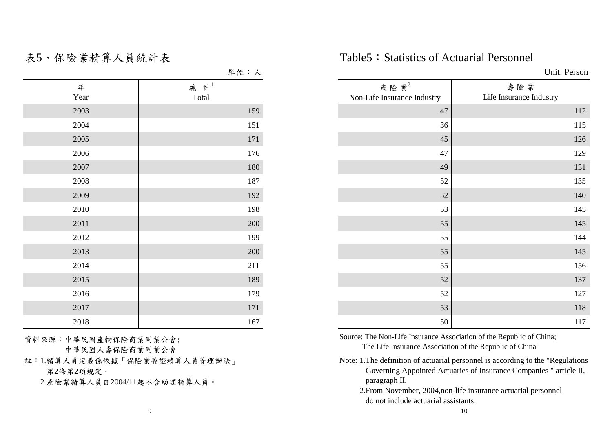|           | 卑位・人                |
|-----------|---------------------|
| 年<br>Year | 總 計 $^{1}$<br>Total |
|           |                     |
| 2003      | 159                 |
| 2004      | 151                 |
| 2005      | 171                 |
| 2006      | 176                 |
| 2007      | 180                 |
| 2008      | 187                 |
| 2009      | 192                 |
| 2010      | 198                 |
| 2011      | 200                 |
| 2012      | 199                 |
| 2013      | 200                 |
| 2014      | 211                 |
| 2015      | 189                 |
| 2016      | 179                 |
| 2017      | 171                 |
| 2018      | 167                 |

資料來源:中華民國產物保險商業同業公會; 中華民國人壽保險商業同業公會

註:1.精算人員定義係依據「保險業簽證精算人員管理辦法」 第2條第2項規定。

2.產險業精算人員自2004/11起不含助理精算人員。

表5、保險業精算人員統計表 Table5:Statistics of Actuarial Personnel

|           | 單位:人                |                                        | Unit: Person                   |  |  |  |  |  |
|-----------|---------------------|----------------------------------------|--------------------------------|--|--|--|--|--|
| 年<br>Year | 總 計 $^{1}$<br>Total | 產險業 $2$<br>Non-Life Insurance Industry | 壽險業<br>Life Insurance Industry |  |  |  |  |  |
| 2003      | 159                 | 47                                     | 112                            |  |  |  |  |  |
| 2004      | 151                 | 36                                     | 115                            |  |  |  |  |  |
| 2005      | 171                 | 45                                     | 126                            |  |  |  |  |  |
| 2006      | 176                 | 47                                     | 129                            |  |  |  |  |  |
| 2007      | 180                 | 49                                     | 131                            |  |  |  |  |  |
| 2008      | 187                 | 52                                     | 135                            |  |  |  |  |  |
| 2009      | 192                 | 52                                     | 140                            |  |  |  |  |  |
| 2010      | 198                 | 53                                     | 145                            |  |  |  |  |  |
| 2011      | 200                 | 55                                     | 145                            |  |  |  |  |  |
| 2012      | 199                 | 55                                     | 144                            |  |  |  |  |  |
| 2013      | 200                 | 55                                     | 145                            |  |  |  |  |  |
| 2014      | 211                 | 55                                     | 156                            |  |  |  |  |  |
| 2015      | 189                 | 52                                     | 137                            |  |  |  |  |  |
| 2016      | 179                 | 52                                     | 127                            |  |  |  |  |  |
| 2017      | 171                 | 53                                     | 118                            |  |  |  |  |  |
| 2018      | 167                 | 50                                     | 117                            |  |  |  |  |  |

Source: The Non-Life Insurance Association of the Republic of China; The Life Insurance Association of the Republic of China

- Note: 1.The definition of actuarial personnel is according to the "Regulations Governing Appointed Actuaries of Insurance Companies " article II, paragraph II.
	- 2.From November, 2004,non-life insurance actuarial personnel do not include actuarial assistants.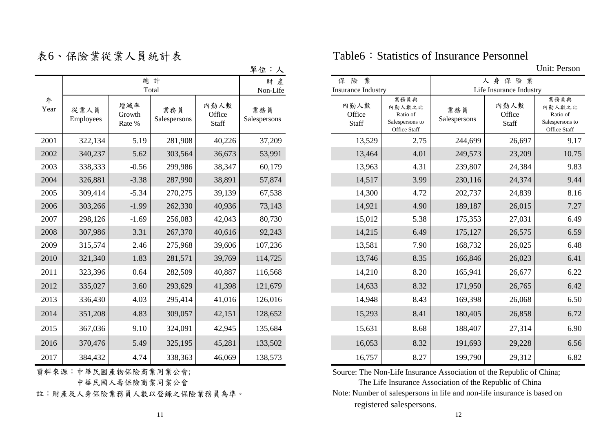|           |                   |                         |                     |                                | 半位・人                |                                          |                                                               |                     |                                |
|-----------|-------------------|-------------------------|---------------------|--------------------------------|---------------------|------------------------------------------|---------------------------------------------------------------|---------------------|--------------------------------|
|           |                   |                         | 總計<br>Total         |                                | 財產<br>Non-Life      | 業<br>險<br>保<br><b>Insurance Industry</b> |                                                               |                     | 人身保險<br>Life Insurance In      |
| 年<br>Year | 從業人員<br>Employees | 增減率<br>Growth<br>Rate % | 業務員<br>Salespersons | 內勤人數<br>Office<br><b>Staff</b> | 業務員<br>Salespersons | 內勤人數<br>Office<br><b>Staff</b>           | 業務員與<br>內勤人數之比<br>Ratio of<br>Salespersons to<br>Office Staff | 業務員<br>Salespersons | 內勤人數<br>Office<br><b>Staff</b> |
| 2001      | 322,134           | 5.19                    | 281,908             | 40,226                         | 37,209              | 13,529                                   | 2.75                                                          | 244,699             | 26,6                           |
| 2002      | 340,237           | 5.62                    | 303,564             | 36,673                         | 53,991              | 13,464                                   | 4.01                                                          | 249,573             | 23,2                           |
| 2003      | 338,333           | $-0.56$                 | 299,986             | 38,347                         | 60,179              | 13,963                                   | 4.31                                                          | 239,807             | 24,3                           |
| 2004      | 326,881           | $-3.38$                 | 287,990             | 38,891                         | 57,874              | 14,517                                   | 3.99                                                          | 230,116             | 24,3                           |
| 2005      | 309,414           | $-5.34$                 | 270,275             | 39,139                         | 67,538              | 14,300                                   | 4.72                                                          | 202,737             | 24,8                           |
| 2006      | 303,266           | $-1.99$                 | 262,330             | 40,936                         | 73,143              | 14,921                                   | 4.90                                                          | 189,187             | 26,0                           |
| 2007      | 298,126           | $-1.69$                 | 256,083             | 42,043                         | 80,730              | 15,012                                   | 5.38                                                          | 175,353             | 27,0                           |
| 2008      | 307,986           | 3.31                    | 267,370             | 40,616                         | 92,243              | 14,215                                   | 6.49                                                          | 175,127             | 26,5'                          |
| 2009      | 315,574           | 2.46                    | 275,968             | 39,606                         | 107,236             | 13,581                                   | 7.90                                                          | 168,732             | 26,0                           |
| 2010      | 321,340           | 1.83                    | 281,571             | 39,769                         | 114,725             | 13,746                                   | 8.35                                                          | 166,846             | 26,0                           |
| 2011      | 323,396           | 0.64                    | 282,509             | 40,887                         | 116,568             | 14,210                                   | 8.20                                                          | 165,941             | 26,6                           |
| 2012      | 335,027           | 3.60                    | 293,629             | 41,398                         | 121,679             | 14,633                                   | 8.32                                                          | 171,950             | 26,7                           |
| 2013      | 336,430           | 4.03                    | 295,414             | 41,016                         | 126,016             | 14,948                                   | 8.43                                                          | 169,398             | 26,0                           |
| 2014      | 351,208           | 4.83                    | 309,057             | 42,151                         | 128,652             | 15,293                                   | 8.41                                                          | 180,405             | 26,8                           |
| 2015      | 367,036           | 9.10                    | 324,091             | 42,945                         | 135,684             | 15,631                                   | 8.68                                                          | 188,407             | 27,3                           |
| 2016      | 370,476           | 5.49                    | 325,195             | 45,281                         | 133,502             | 16,053                                   | 8.32                                                          | 191,693             | 29,2                           |
| 2017      | 384,432           | 4.74                    | 338,363             | 46,069                         | 138,573             | 16,757                                   | 8.27                                                          | 199,790             | 29,3                           |

資料來源:中華民國產物保險商業同業公會;

中華民國人壽保險商業同業公會

表6、保險業從業人員統計表 Table6:Statistics of Insurance Personnel

**單位:人** Unit: Person

|           |                   |                         |                     |                                | مستعدد              |                                  |                                                               |                     |                                  |                                                               |
|-----------|-------------------|-------------------------|---------------------|--------------------------------|---------------------|----------------------------------|---------------------------------------------------------------|---------------------|----------------------------------|---------------------------------------------------------------|
|           |                   |                         | 總計<br>Total         |                                | 財產<br>Non-Life      | 保險業<br><b>Insurance Industry</b> |                                                               |                     | 人身保險業<br>Life Insurance Industry |                                                               |
| 年<br>Year | 從業人員<br>Employees | 增減率<br>Growth<br>Rate % | 業務員<br>Salespersons | 內勤人數<br>Office<br><b>Staff</b> | 業務員<br>Salespersons | 內勤人數<br>Office<br>Staff          | 業務員與<br>內勤人數之比<br>Ratio of<br>Salespersons to<br>Office Staff | 業務員<br>Salespersons | 內勤人數<br>Office<br>Staff          | 業務員與<br>內勤人數之比<br>Ratio of<br>Salespersons to<br>Office Staff |
| 2001      | 322,134           | 5.19                    | 281,908             | 40,226                         | 37,209              | 13,529                           | 2.75                                                          | 244,699             | 26,697                           | 9.17                                                          |
| 2002      | 340,237           | 5.62                    | 303,564             | 36,673                         | 53,991              | 13,464                           | 4.01                                                          | 249,573             | 23,209                           | 10.75                                                         |
| 2003      | 338,333           | $-0.56$                 | 299,986             | 38,347                         | 60,179              | 13,963                           | 4.31                                                          | 239,807             | 24,384                           | 9.83                                                          |
| 2004      | 326,881           | $-3.38$                 | 287,990             | 38,891                         | 57,874              | 14,517                           | 3.99                                                          | 230,116             | 24,374                           | 9.44                                                          |
| 2005      | 309,414           | $-5.34$                 | 270,275             | 39,139                         | 67,538              | 14,300                           | 4.72                                                          | 202,737             | 24,839                           | 8.16                                                          |
| 2006      | 303,266           | $-1.99$                 | 262,330             | 40,936                         | 73,143              | 14,921                           | 4.90                                                          | 189,187             | 26,015                           | 7.27                                                          |
| 2007      | 298,126           | $-1.69$                 | 256,083             | 42,043                         | 80,730              | 15,012                           | 5.38                                                          | 175,353             | 27,031                           | 6.49                                                          |
| 2008      | 307,986           | 3.31                    | 267,370             | 40,616                         | 92,243              | 14,215                           | 6.49                                                          | 175,127             | 26,575                           | 6.59                                                          |
| 2009      | 315,574           | 2.46                    | 275,968             | 39,606                         | 107,236             | 13,581                           | 7.90                                                          | 168,732             | 26,025                           | 6.48                                                          |
| 2010      | 321,340           | 1.83                    | 281,571             | 39,769                         | 114,725             | 13,746                           | 8.35                                                          | 166,846             | 26,023                           | 6.41                                                          |
| 2011      | 323,396           | 0.64                    | 282,509             | 40,887                         | 116,568             | 14,210                           | 8.20                                                          | 165,941             | 26,677                           | 6.22                                                          |
| 2012      | 335,027           | 3.60                    | 293,629             | 41,398                         | 121,679             | 14,633                           | 8.32                                                          | 171,950             | 26,765                           | 6.42                                                          |
| 2013      | 336,430           | 4.03                    | 295,414             | 41,016                         | 126,016             | 14,948                           | 8.43                                                          | 169,398             | 26,068                           | 6.50                                                          |
| 2014      | 351,208           | 4.83                    | 309,057             | 42,151                         | 128,652             | 15,293                           | 8.41                                                          | 180,405             | 26,858                           | 6.72                                                          |
| 2015      | 367,036           | 9.10                    | 324,091             | 42,945                         | 135,684             | 15,631                           | 8.68                                                          | 188,407             | 27,314                           | 6.90                                                          |
| 2016      | 370,476           | 5.49                    | 325,195             | 45,281                         | 133,502             | 16,053                           | 8.32                                                          | 191,693             | 29,228                           | 6.56                                                          |
| 2017      | 384,432           | 4.74                    | 338,363             | 46,069                         | 138,573             | 16,757                           | 8.27                                                          | 199,790             | 29,312                           | 6.82                                                          |

Source: The Non-Life Insurance Association of the Republic of China;

 registered salespersons. registered salespersons. The Life Insurance Association of the Republic of China 註:財產及人身保險業務員人數以登錄之保險業務員為準。 Note: Number of salespersons in life and non-life insurance is based on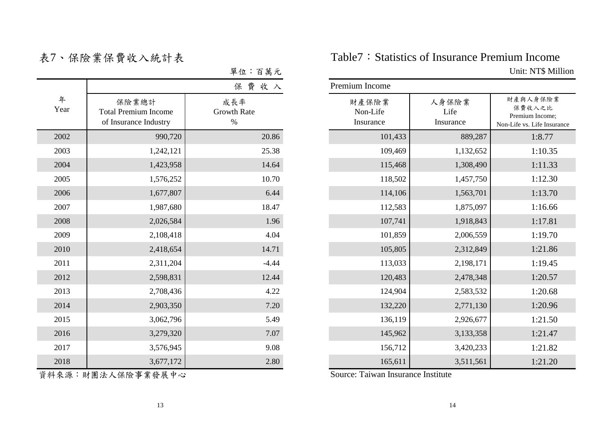| 拉:百萬元 |  |  |
|-------|--|--|
|       |  |  |

|           |                                                               | 保費收入                              | Premium Income                 |                            |                                                     |  |  |
|-----------|---------------------------------------------------------------|-----------------------------------|--------------------------------|----------------------------|-----------------------------------------------------|--|--|
| 年<br>Year | 保險業總計<br><b>Total Premium Income</b><br>of Insurance Industry | 成長率<br><b>Growth Rate</b><br>$\%$ | 財產保險業<br>Non-Life<br>Insurance | 人身保險業<br>Life<br>Insurance | 財產與人身保險<br>Premium Income<br>Non-Life vs. Life Inst |  |  |
| 2002      | 990,720                                                       | 20.86                             | 101,433                        | 889,287                    |                                                     |  |  |
| 2003      | 1,242,121                                                     | 25.38                             | 109,469                        | 1,132,652                  |                                                     |  |  |
| 2004      | 1,423,958                                                     | 14.64                             | 115,468                        | 1,308,490                  |                                                     |  |  |
| 2005      | 1,576,252                                                     | 10.70                             | 118,502                        | 1,457,750                  |                                                     |  |  |
| 2006      | 1,677,807                                                     | 6.44                              | 114,106                        | 1,563,701                  |                                                     |  |  |
| 2007      | 1,987,680                                                     | 18.47                             | 112,583                        | 1,875,097                  |                                                     |  |  |
| 2008      | 2,026,584                                                     | 1.96                              | 107,741                        | 1,918,843                  |                                                     |  |  |
| 2009      | 2,108,418                                                     | 4.04                              | 101,859                        | 2,006,559                  |                                                     |  |  |
| 2010      | 2,418,654                                                     | 14.71                             | 105,805                        | 2,312,849                  |                                                     |  |  |
| 2011      | 2,311,204                                                     | $-4.44$                           | 113,033                        | 2,198,171                  |                                                     |  |  |
| 2012      | 2,598,831                                                     | 12.44                             | 120,483                        | 2,478,348                  |                                                     |  |  |
| 2013      | 2,708,436                                                     | 4.22                              | 124,904                        | 2,583,532                  |                                                     |  |  |
| 2014      | 2,903,350                                                     | 7.20                              | 132,220                        | 2,771,130                  |                                                     |  |  |
| 2015      | 3,062,796                                                     | 5.49                              | 136,119                        | 2,926,677                  |                                                     |  |  |
| 2016      | 3,279,320                                                     | 7.07                              | 145,962                        | 3,133,358                  |                                                     |  |  |
| 2017      | 3,576,945                                                     | 9.08                              | 156,712                        | 3,420,233                  |                                                     |  |  |
| 2018      | 3,677,172                                                     | 2.80                              | 165,611                        | 3,511,561                  |                                                     |  |  |

表7、保險業保費收入統計表 Table7:Statistics of Insurance Premium Income 單位:百萬元 Unit: NT\$ Million

|           |                                                               | 費收入<br>保                   | Premium Income                 |         |                            |                                                                      |  |  |  |  |  |
|-----------|---------------------------------------------------------------|----------------------------|--------------------------------|---------|----------------------------|----------------------------------------------------------------------|--|--|--|--|--|
| 年<br>Year | 保險業總計<br><b>Total Premium Income</b><br>of Insurance Industry | 成長率<br>Growth Rate<br>$\%$ | 財產保險業<br>Non-Life<br>Insurance |         | 人身保險業<br>Life<br>Insurance | 財產與人身保險業<br>保費收入之比<br>Premium Income;<br>Non-Life vs. Life Insurance |  |  |  |  |  |
| 2002      | 990,720                                                       | 20.86                      |                                | 101,433 | 889,287                    | 1:8.77                                                               |  |  |  |  |  |
| 2003      | 1,242,121                                                     | 25.38                      |                                | 109,469 | 1,132,652                  | 1:10.35                                                              |  |  |  |  |  |
| 2004      | 1,423,958                                                     | 14.64                      |                                | 115,468 | 1,308,490                  | 1:11.33                                                              |  |  |  |  |  |
| 2005      | 1,576,252                                                     | 10.70                      |                                | 118,502 | 1,457,750                  | 1:12.30                                                              |  |  |  |  |  |
| 2006      | 1,677,807                                                     | 6.44                       |                                | 114,106 | 1,563,701                  | 1:13.70                                                              |  |  |  |  |  |
| 2007      | 1,987,680                                                     | 18.47                      |                                | 112,583 | 1,875,097                  | 1:16.66                                                              |  |  |  |  |  |
| 2008      | 2,026,584                                                     | 1.96                       |                                | 107,741 | 1,918,843                  | 1:17.81                                                              |  |  |  |  |  |
| 2009      | 2,108,418                                                     | 4.04                       |                                | 101,859 | 2,006,559                  | 1:19.70                                                              |  |  |  |  |  |
| 2010      | 2,418,654                                                     | 14.71                      |                                | 105,805 | 2,312,849                  | 1:21.86                                                              |  |  |  |  |  |
| 2011      | 2,311,204                                                     | $-4.44$                    |                                | 113,033 | 2,198,171                  | 1:19.45                                                              |  |  |  |  |  |
| 2012      | 2,598,831                                                     | 12.44                      |                                | 120,483 | 2,478,348                  | 1:20.57                                                              |  |  |  |  |  |
| 2013      | 2,708,436                                                     | 4.22                       |                                | 124,904 | 2,583,532                  | 1:20.68                                                              |  |  |  |  |  |
| 2014      | 2,903,350                                                     | 7.20                       |                                | 132,220 | 2,771,130                  | 1:20.96                                                              |  |  |  |  |  |
| 2015      | 3,062,796                                                     | 5.49                       |                                | 136,119 | 2,926,677                  | 1:21.50                                                              |  |  |  |  |  |
| 2016      | 3,279,320                                                     | 7.07                       |                                | 145,962 | 3,133,358                  | 1:21.47                                                              |  |  |  |  |  |
| 2017      | 3,576,945                                                     | 9.08                       |                                | 156,712 | 3,420,233                  | 1:21.82                                                              |  |  |  |  |  |
| 2018      | 3,677,172                                                     | 2.80                       |                                | 165,611 | 3,511,561                  | 1:21.20                                                              |  |  |  |  |  |

資料來源:財團法人保險事業發展中心 Source: Taiwan Insurance Institute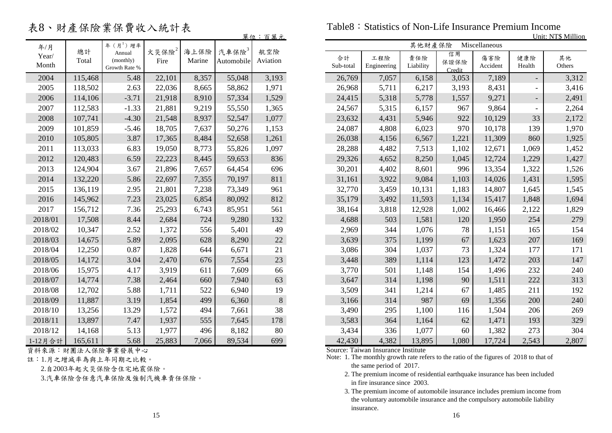表8、財產保險業保費收入統計表

|                |             |                                      |                  |                |                        |                 |                 |                    |                  |                      |                 |                          | ОШІ. ІМ 1 9 ІУШНО |
|----------------|-------------|--------------------------------------|------------------|----------------|------------------------|-----------------|-----------------|--------------------|------------------|----------------------|-----------------|--------------------------|-------------------|
| 年/月            |             | 年 $(H^{1})$ 增率                       |                  |                |                        |                 |                 |                    | 其他財產保險           |                      | Miscellaneous   |                          |                   |
| Year/<br>Month | 總計<br>Total | Annual<br>(monthly)<br>Growth Rate % | 火災保險 $2$<br>Fire | 海上保險<br>Marine | 汽車保險 $3$<br>Automobile | 航空險<br>Aviation | 合計<br>Sub-total | 工程險<br>Engineering | 責任險<br>Liability | 信用<br>保證保險<br>Credit | 傷害險<br>Accident | 健康險<br>Health            | 其他<br>Others      |
| 2004           | 115,468     | 5.48                                 | 22,101           | 8,357          | 55,048                 | 3,193           | 26,769          | 7,057              | 6,158            | 3,053                | 7,189           |                          | 3,312             |
| 2005           | 118,502     | 2.63                                 | 22,036           | 8,665          | 58,862                 | 1,971           | 26,968          | 5,711              | 6,217            | 3,193                | 8,431           | $\overline{\phantom{a}}$ | 3,416             |
| 2006           | 114,106     | $-3.71$                              | 21,918           | 8,910          | 57,334                 | 1,529           | 24,415          | 5,318              | 5,778            | 1,557                | 9,271           | $\overline{\phantom{a}}$ | 2,491             |
| 2007           | 112,583     | $-1.33$                              | 21,881           | 9,219          | 55,550                 | 1,365           | 24,567          | 5,315              | 6,157            | 967                  | 9,864           | $\overline{\phantom{a}}$ | 2,264             |
| 2008           | 107,741     | $-4.30$                              | 21,548           | 8,937          | 52,547                 | 1,077           | 23,632          | 4,431              | 5,946            | 922                  | 10,129          | 33                       | 2,172             |
| 2009           | 101,859     | $-5.46$                              | 18,705           | 7,637          | 50,276                 | 1,153           | 24,087          | 4,808              | 6,023            | 970                  | 10,178          | 139                      | 1,970             |
| 2010           | 105,805     | 3.87                                 | 17,365           | 8,484          | 52,658                 | 1,261           | 26,038          | 4,156              | 6,567            | 1,221                | 11,309          | 860                      | 1,925             |
| 2011           | 113,033     | 6.83                                 | 19,050           | 8,773          | 55,826                 | 1,097           | 28,288          | 4,482              | 7,513            | 1,102                | 12,671          | 1,069                    | 1,452             |
| 2012           | 120,483     | 6.59                                 | 22,223           | 8,445          | 59,653                 | 836             | 29,326          | 4,652              | 8,250            | 1,045                | 12,724          | 1,229                    | 1,427             |
| 2013           | 124,904     | 3.67                                 | 21,896           | 7,657          | 64,454                 | 696             | 30,201          | 4,402              | 8,601            | 996                  | 13,354          | 1,322                    | 1,526             |
| 2014           | 132,220     | 5.86                                 | 22,697           | 7,355          | 70,197                 | 811             | 31,161          | 3,922              | 9,084            | 1,103                | 14,026          | 1,431                    | 1,595             |
| 2015           | 136,119     | 2.95                                 | 21,801           | 7,238          | 73,349                 | 961             | 32,770          | 3,459              | 10,131           | 1,183                | 14,807          | 1,645                    | 1,545             |
| 2016           | 145,962     | 7.23                                 | 23,025           | 6,854          | 80,092                 | 812             | 35,179          | 3,492              | 11,593           | 1,134                | 15,417          | 1,848                    | 1,694             |
| 2017           | 156,712     | 7.36                                 | 25,293           | 6,743          | 85,951                 | 561             | 38,164          | 3,818              | 12,928           | 1,002                | 16,466          | 2,122                    | 1,829             |
| 2018/01        | 17,508      | 8.44                                 | 2,684            | 724            | 9,280                  | 132             | 4,688           | 503                | 1,581            | 120                  | 1,950           | 254                      | 279               |
| 2018/02        | 10,347      | 2.52                                 | 1,372            | 556            | 5,401                  | 49              | 2,969           | 344                | 1,076            | 78                   | 1,151           | 165                      | 154               |
| 2018/03        | 14,675      | 5.89                                 | 2,095            | 628            | 8,290                  | 22              | 3,639           | 375                | 1,199            | 67                   | 1,623           | 207                      | 169               |
| 2018/04        | 12,250      | 0.87                                 | 1,828            | 644            | 6,671                  | 21              | 3,086           | 304                | 1,037            | 73                   | 1,324           | 177                      | 171               |
| 2018/05        | 14,172      | 3.04                                 | 2,470            | 676            | 7,554                  | 23              | 3,448           | 389                | 1,114            | 123                  | 1,472           | 203                      | 147               |
| 2018/06        | 15,975      | 4.17                                 | 3,919            | 611            | 7,609                  | 66              | 3,770           | 501                | 1,148            | 154                  | 1,496           | 232                      | 240               |
| 2018/07        | 14,774      | 7.38                                 | 2,464            | 660            | 7,940                  | 63              | 3,647           | 314                | 1,198            | 90                   | 1,511           | 222                      | 313               |
| 2018/08        | 12,702      | 5.88                                 | 1,711            | 522            | 6,940                  | 19              | 3,509           | 341                | 1,214            | 67                   | 1,485           | 211                      | 192               |
| 2018/09        | 11,887      | 3.19                                 | 1,854            | 499            | 6,360                  | $8\,$           | 3,166           | 314                | 987              | 69                   | 1,356           | 200                      | 240               |
| 2018/10        | 13,256      | 13.29                                | 1,572            | 494            | 7,661                  | 38              | 3,490           | 295                | 1,100            | 116                  | 1,504           | 206                      | 269               |
| 2018/11        | 13,897      | 7.47                                 | 1,937            | 555            | 7,645                  | 178             | 3,583           | 364                | 1,164            | 62                   | 1,471           | 193                      | 329               |
| 2018/12        | 14,168      | 5.13                                 | 1,977            | 496            | 8,182                  | 80              | 3,434           | 336                | 1,077            | 60                   | 1,382           | 273                      | 304               |
| 1-12月合計        | 165,611     | 5.68                                 | 25,883           | 7,066          | 89,534                 | 699             | 42,430          | 4,382              | 13,895           | 1,080                | 17,724          | 2,543                    | 2,807             |

資料來源:財團法人保險事業發展中心 Source: Taiwan Insurance Institute

註:1.月之增減率為與上年同期之比較。

2.自2003年起火災保險含住宅地震保險。

3.汽車保險含任意汽車保險及強制汽機車責任保險。

Table8: Statistics of Non-Life Insurance Premium Income

|         |         |                     |               |        |                                 | 量位:百萬元          | Unit: NT\$ Million |             |           |            |               |        |        |  |
|---------|---------|---------------------|---------------|--------|---------------------------------|-----------------|--------------------|-------------|-----------|------------|---------------|--------|--------|--|
| 年/月     | 總計      | 年 $(H^{1})$ 增率      |               | 海上保險   |                                 |                 |                    |             | 其他財產保險    |            | Miscellaneous |        |        |  |
| Year/   | Total   | Annual<br>(monthly) | 火災保險2<br>Fire | Marine | 汽車保險 <sup>3</sup><br>Automobile | 航空險<br>Aviation | 合計                 | 工程險         | 責任險       | 信用<br>保證保險 | 傷害險           | 健康險    | 其他     |  |
| Month   |         | Growth Rate %       |               |        |                                 |                 | Sub-total          | Engineering | Liability | Credit     | Accident      | Health | Others |  |
| 2004    | 115,468 | 5.48                | 22,101        | 8,357  | 55,048                          | 3,193           | 26,769             | 7,057       | 6,158     | 3,053      | 7,189         |        | 3,312  |  |
| 2005    | 118,502 | 2.63                | 22,036        | 8,665  | 58,862                          | 1,971           | 26,968             | 5,711       | 6,217     | 3,193      | 8,431         |        | 3,416  |  |
| 2006    | 114,106 | $-3.71$             | 21,918        | 8,910  | 57,334                          | 1,529           | 24,415             | 5,318       | 5,778     | 1,557      | 9,271         |        | 2,491  |  |
| 2007    | 112,583 | $-1.33$             | 21,881        | 9,219  | 55,550                          | 1,365           | 24,567             | 5,315       | 6,157     | 967        | 9,864         |        | 2,264  |  |
| 2008    | 107,741 | $-4.30$             | 21,548        | 8,937  | 52,547                          | 1,077           | 23,632             | 4,431       | 5,946     | 922        | 10,129        | 33     | 2,172  |  |
| 2009    | 101,859 | $-5.46$             | 18,705        | 7,637  | 50,276                          | 1,153           | 24,087             | 4,808       | 6,023     | 970        | 10,178        | 139    | 1,970  |  |
| 2010    | 105,805 | 3.87                | 17,365        | 8,484  | 52,658                          | 1,261           | 26,038             | 4,156       | 6,567     | 1,221      | 11,309        | 860    | 1,925  |  |
| 2011    | 113,033 | 6.83                | 19,050        | 8,773  | 55,826                          | 1,097           | 28,288             | 4,482       | 7,513     | 1,102      | 12,671        | 1,069  | 1,452  |  |
| 2012    | 120,483 | 6.59                | 22,223        | 8,445  | 59,653                          | 836             | 29,326             | 4,652       | 8,250     | 1,045      | 12,724        | 1,229  | 1,427  |  |
| 2013    | 124,904 | 3.67                | 21,896        | 7,657  | 64,454                          | 696             | 30,201             | 4,402       | 8,601     | 996        | 13,354        | 1,322  | 1,526  |  |
| 2014    | 132,220 | 5.86                | 22,697        | 7,355  | 70,197                          | 811             | 31,161             | 3,922       | 9,084     | 1,103      | 14,026        | 1,431  | 1,595  |  |
| 2015    | 136,119 | 2.95                | 21,801        | 7,238  | 73,349                          | 961             | 32,770             | 3,459       | 10,131    | 1,183      | 14,807        | 1,645  | 1,545  |  |
| 2016    | 145,962 | 7.23                | 23,025        | 6,854  | 80,092                          | 812             | 35,179             | 3,492       | 11,593    | 1,134      | 15,417        | 1,848  | 1,694  |  |
| 2017    | 156,712 | 7.36                | 25,293        | 6,743  | 85,951                          | 561             | 38,164             | 3,818       | 12,928    | 1,002      | 16,466        | 2,122  | 1,829  |  |
| 2018/01 | 17,508  | 8.44                | 2,684         | 724    | 9,280                           | 132             | 4,688              | 503         | 1,581     | 120        | 1,950         | 254    | 279    |  |
| 2018/02 | 10,347  | 2.52                | 1,372         | 556    | 5,401                           | 49              | 2,969              | 344         | 1,076     | 78         | 1,151         | 165    | 154    |  |
| 2018/03 | 14,675  | 5.89                | 2,095         | 628    | 8,290                           | 22              | 3,639              | 375         | 1,199     | 67         | 1,623         | 207    | 169    |  |
| 2018/04 | 12,250  | 0.87                | 1,828         | 644    | 6,671                           | 21              | 3,086              | 304         | 1,037     | 73         | 1,324         | 177    | 171    |  |
| 2018/05 | 14,172  | 3.04                | 2,470         | 676    | 7,554                           | 23              | 3,448              | 389         | 1,114     | 123        | 1,472         | 203    | 147    |  |
| 2018/06 | 15,975  | 4.17                | 3,919         | 611    | 7,609                           | 66              | 3,770              | 501         | 1,148     | 154        | 1,496         | 232    | 240    |  |
| 2018/07 | 14,774  | 7.38                | 2,464         | 660    | 7,940                           | 63              | 3,647              | 314         | 1,198     | 90         | 1,511         | 222    | 313    |  |
| 2018/08 | 12,702  | 5.88                | 1,711         | 522    | 6,940                           | 19              | 3,509              | 341         | 1,214     | 67         | 1,485         | 211    | 192    |  |
| 2018/09 | 11,887  | 3.19                | 1,854         | 499    | 6,360                           | $8\,$           | 3,166              | 314         | 987       | 69         | 1,356         | 200    | 240    |  |
| 2018/10 | 13,256  | 13.29               | 1,572         | 494    | 7,661                           | 38              | 3,490              | 295         | 1,100     | 116        | 1,504         | 206    | 269    |  |
| 2018/11 | 13,897  | 7.47                | 1,937         | 555    | 7,645                           | 178             | 3,583              | 364         | 1,164     | 62         | 1,471         | 193    | 329    |  |
| 2018/12 | 14,168  | 5.13                | 1,977         | 496    | 8,182                           | 80              | 3,434              | 336         | 1,077     | 60         | 1,382         | 273    | 304    |  |
| 12日 스 計 | 165 611 | 5.68                | 25.883        | 7066   | 89.534                          | 699             | 42.430             | 4 3 8 2     | 13.895    | 1.080      | 17 724        | 2,543  | 2.807  |  |

Note: 1. The monthly growth rate refers to the ratio of the figures of 2018 to that of the same period of 2017.

 2. The premium income of residential earthquake insurance has been included in fire insurance since 2003.

 3. The premium income of automobile insurance includes premium income from the voluntary automobile insurance and the compulsory automobile liability insurance.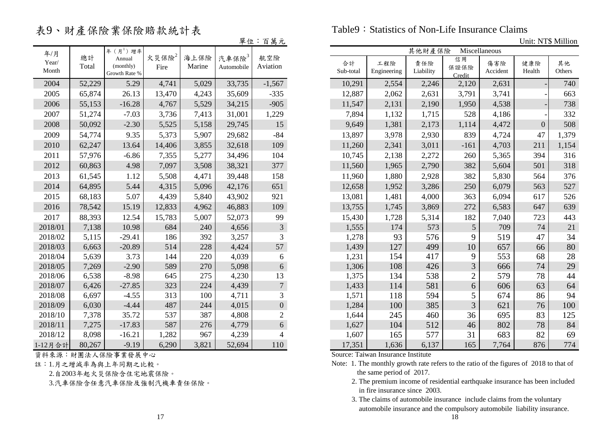## 表9、財產保險業保險賠款統計表

Table9: Statistics of Non-Life Insurance Claims

單位:百萬元 Unit: NT\$ Million

|         |        |                     |                   |        |            | ᇦ ᇒ ୵           |           |             |           |                |               |                  |        |
|---------|--------|---------------------|-------------------|--------|------------|-----------------|-----------|-------------|-----------|----------------|---------------|------------------|--------|
| 年/月     |        | 年 $(H^{1})$ 增率      |                   |        |            |                 |           |             | 其他財產保險    |                | Miscellaneous |                  |        |
| Year/   | 總計     | Annual<br>(monthly) | 火災保險 <sup>2</sup> | 海上保險   | 汽車保險3      | 航空險             | 合計        | 工程險         | 責任險       | 信用             | 傷害險           | 健康險              | 其他     |
| Month   | Total  | Growth Rate %       | Fire              | Marine | Automobile | Aviation        | Sub-total | Engineering | Liability | 保證保險<br>Credit | Accident      | Health           | Others |
| 2004    | 52,229 | 5.29                | 4,741             | 5,029  | 33,735     | $-1,567$        | 10,291    | 2,554       | 2,246     | 2,120          | 2,631         |                  | 740    |
| 2005    | 65,874 | 26.13               | 13,470            | 4,243  | 35,609     | $-335$          | 12,887    | 2,062       | 2,631     | 3,791          | 3,741         |                  | 663    |
| 2006    | 55,153 | $-16.28$            | 4,767             | 5,529  | 34,215     | $-905$          | 11,547    | 2,131       | 2,190     | 1,950          | 4,538         |                  | 738    |
| 2007    | 51,274 | $-7.03$             | 3,736             | 7,413  | 31,001     | 1,229           | 7,894     | 1,132       | 1,715     | 528            | 4,186         |                  | 332    |
| 2008    | 50,092 | $-2.30$             | 5,525             | 5,158  | 29,745     | 15              | 9,649     | 1,381       | 2,173     | 1,114          | 4,472         | $\boldsymbol{0}$ | 508    |
| 2009    | 54,774 | 9.35                | 5,373             | 5,907  | 29,682     | $-84$           | 13,897    | 3,978       | 2,930     | 839            | 4,724         | 47               | 1,379  |
| 2010    | 62,247 | 13.64               | 14,406            | 3,855  | 32,618     | 109             | 11,260    | 2,341       | 3,011     | $-161$         | 4,703         | 211              | 1,154  |
| 2011    | 57,976 | $-6.86$             | 7,355             | 5,277  | 34,496     | 104             | 10,745    | 2,138       | 2,272     | 260            | 5,365         | 394              | 316    |
| 2012    | 60,863 | 4.98                | 7,097             | 3,508  | 38,321     | 377             | 11,560    | 1,965       | 2,790     | 382            | 5,604         | 501              | 318    |
| 2013    | 61,545 | 1.12                | 5,508             | 4,471  | 39,448     | 158             | 11,960    | 1,880       | 2,928     | 382            | 5,830         | 564              | 376    |
| 2014    | 64,895 | 5.44                | 4,315             | 5,096  | 42,176     | 651             | 12,658    | 1,952       | 3,286     | 250            | 6,079         | 563              | 527    |
| 2015    | 68,183 | 5.07                | 4,439             | 5,840  | 43,902     | 921             | 13,081    | 1,481       | 4,000     | 363            | 6,094         | 617              | 526    |
| 2016    | 78,542 | 15.19               | 12,833            | 4,962  | 46,883     | 109             | 13,755    | 1,745       | 3,869     | 272            | 6,583         | 647              | 639    |
| 2017    | 88,393 | 12.54               | 15,783            | 5,007  | 52,073     | 99              | 15,430    | 1,728       | 5,314     | 182            | 7,040         | 723              | 443    |
| 2018/01 | 7,138  | 10.98               | 684               | 240    | 4,656      | $\mathfrak{Z}$  | 1,555     | 174         | 573       | 5              | 709           | 74               | 21     |
| 2018/02 | 5,115  | $-29.41$            | 186               | 392    | 3,257      | 3               | 1,278     | 93          | 576       | 9              | 519           | 47               | 34     |
| 2018/03 | 6,663  | $-20.89$            | 514               | 228    | 4,424      | 57              | 1,439     | 127         | 499       | 10             | 657           | 66               | 80     |
| 2018/04 | 5,639  | 3.73                | 144               | 220    | 4,039      | 6               | 1,231     | 154         | 417       | 9              | 553           | 68               | 28     |
| 2018/05 | 7,269  | $-2.90$             | 589               | 270    | 5,098      | $6\phantom{.}6$ | 1,306     | 108         | 426       | 3              | 666           | 74               | 29     |
| 2018/06 | 6,538  | $-8.98$             | 645               | 275    | 4,230      | 13              | 1,375     | 134         | 538       | $\overline{2}$ | 579           | 78               | 44     |
| 2018/07 | 6,426  | $-27.85$            | 323               | 224    | 4,439      | $\overline{7}$  | 1,433     | 114         | 581       | 6              | 606           | 63               | 64     |
| 2018/08 | 6,697  | $-4.55$             | 313               | 100    | 4,711      | 3               | 1,571     | 118         | 594       | 5              | 674           | 86               | 94     |
| 2018/09 | 6,030  | $-4.44$             | 487               | 244    | 4,015      | $0\,$           | 1,284     | 100         | 385       | $\overline{3}$ | 621           | 76               | 100    |
| 2018/10 | 7,378  | 35.72               | 537               | 387    | 4,808      | $\overline{2}$  | 1,644     | 245         | 460       | 36             | 695           | 83               | 125    |
| 2018/11 | 7,275  | $-17.83$            | 587               | 276    | 4,779      | 6               | 1,627     | 104         | 512       | 46             | 802           | 78               | 84     |
| 2018/12 | 8,098  | $-16.21$            | 1,282             | 967    | 4,239      | 4               | 1,607     | 165         | 577       | 31             | 683           | 82               | 69     |
| 1-12月合計 | 80,267 | $-9.19$             | 6,290             | 3,821  | 52,694     | 110             | 17,351    | 1,636       | 6,137     | 165            | 7,764         | 876              | 774    |

資料來源:財團法人保險事業發展中心 Source: Taiwan Insurance Institute

註:1.月之增減率為與上年同期之比較。

2.自2003年起火災保險含住宅地震保險。

3.汽車保險含任意汽車保險及強制汽機車責任保險。

| 年/月                     |                | 年 $(H^{1})$ 增率                       |                           |                |                        |                      |                 |                    | 其他財產保險           | Miscellaneous        |                 |               |              |
|-------------------------|----------------|--------------------------------------|---------------------------|----------------|------------------------|----------------------|-----------------|--------------------|------------------|----------------------|-----------------|---------------|--------------|
| Year/<br>Month          | 總計<br>Total    | Annual<br>(monthly)<br>Growth Rate % | 火災保險 <sup>2</sup><br>Fire | 海上保險<br>Marine | 汽車保險 $3$<br>Automobile | 航空險<br>Aviation      | 合計<br>Sub-total | 工程險<br>Engineering | 責任險<br>Liability | 信用<br>保證保險<br>Credit | 傷害險<br>Accident | 健康險<br>Health | 其他<br>Others |
| 2004                    | 52,229         | 5.29                                 | 4,741                     | 5,029          | 33,735                 | $-1,567$             | 10,291          | 2,554              | 2,246            | 2,120                | 2,631           |               | 740          |
| 2005                    | 65,874         | 26.13                                | 13,470                    | 4,243          | 35,609                 | $-335$               | 12,887          | 2,062              | 2,631            | 3,791                | 3,741           |               | 663          |
| 2006                    | 55,153         | $-16.28$                             | 4,767                     | 5,529          | 34,215                 | $-905$               | 11,547          | 2,131              | 2,190            | 1,950                | 4,538           |               | 738          |
| 2007                    | 51,274         | $-7.03$                              | 3,736                     | 7,413          | 31,001                 | 1,229                | 7,894           | 1,132              | 1,715            | 528                  | 4,186           |               | 332          |
| 2008                    | 50,092         | $-2.30$                              | 5,525                     | 5,158          | 29,745                 | 15                   | 9,649           | 1,381              | 2,173            | 1,114                | 4,472           | $\Omega$      | 508          |
| 2009                    | 54,774         | 9.35                                 | 5,373                     | 5,907          | 29,682                 | $-84$                | 13,897          | 3,978              | 2,930            | 839                  | 4,724           | 47            | 1,379        |
| 2010                    | 62,247         | 13.64                                | 14,406                    | 3,855          | 32,618                 | 109                  | 11,260          | 2,341              | 3,011            | $-161$               | 4,703           | 211           | 1,154        |
| 2011                    | 57,976         | $-6.86$                              | 7,355                     | 5,277          | 34,496                 | 104                  | 10,745          | 2,138              | 2,272            | 260                  | 5,365           | 394           | 316          |
| 2012                    | 60,863         | 4.98                                 | 7,097                     | 3,508          | 38,321                 | 377                  | 11,560          | 1,965              | 2,790            | 382                  | 5,604           | 501           | 318          |
| 2013                    | 61,545         | 1.12                                 | 5,508                     | 4,471          | 39,448                 | 158                  | 11,960          | 1,880              | 2,928            | 382                  | 5,830           | 564           | 376          |
| 2014                    | 64,895         | 5.44                                 | 4,315                     | 5,096          | 42,176                 | 651                  | 12,658          | 1,952              | 3,286            | 250                  | 6,079           | 563           | 527          |
| 2015                    | 68,183         | 5.07                                 | 4,439                     | 5,840          | 43,902                 | 921                  | 13,081          | 1,481              | 4,000            | 363                  | 6,094           | 617           | 526          |
| 2016                    | 78,542         | 15.19                                | 12,833                    | 4,962          | 46,883                 | 109                  | 13,755          | 1,745              | 3,869            | 272                  | 6,583           | 647           | 639          |
| 2017                    | 88,393         | 12.54                                | 15,783                    | 5,007          | 52,073                 | 99                   | 15,430          | 1,728              | 5,314            | 182                  | 7,040           | 723           | 443          |
| 018/01                  | 7,138          | 10.98                                | 684                       | 240            | 4,656                  | $\mathfrak{Z}$       | 1,555           | 174                | 573              | 5                    | 709             | 74            | 21           |
| 018/02                  | 5,115          | $-29.41$                             | 186                       | 392            | 3,257                  | $\overline{3}$       | 1,278           | 93                 | 576              | 9                    | 519             | 47            | 34           |
| 018/03                  | 6,663          | $-20.89$                             | 514                       | 228            | 4,424                  | 57                   | 1,439           | 127                | 499              | 10                   | 657             | 66            | 80           |
| 018/04                  | 5,639          | 3.73                                 | 144                       | 220            | 4,039                  | 6                    | 1,231           | 154                | 417              | 9                    | 553             | 68            | 28           |
| 018/05                  | 7,269          | $-2.90$                              | 589                       | 270            | 5,098                  | 6                    | 1,306           | 108                | 426              |                      | 666             | 74            | 29           |
| 018/06                  | 6,538          | $-8.98$                              | 645                       | 275            | 4,230                  | 13                   | 1,375           | 134                | 538              | $\overline{2}$       | 579             | 78            | 44           |
| 018/07                  | 6,426          | $-27.85$                             | 323                       | 224            | 4,439                  | $\overline{7}$       | 1,433           | 114                | 581              | 6                    | 606             | 63            | 64           |
| 018/08                  | 6,697          | $-4.55$                              | 313                       | 100            | 4,711                  | 3                    | 1,571           | 118                | 594              |                      | 674             | 86            | 94           |
| 018/09                  | 6,030          | $-4.44$                              | 487                       | 244            | 4,015                  | $\overline{0}$       | 1,284           | 100                | 385              | 3                    | 621             | 76            | 100          |
| 018/10                  | 7,378          | 35.72                                | 537                       | 387            | 4,808                  | $\overline{2}$       | 1,644           | 245                | 460              | 36                   | 695             | 83            | 125          |
| 018/11                  | 7,275          | $-17.83$                             | 587                       | 276            | 4,779                  | 6                    | 1,627           | 104                | 512              | 46                   | 802             | 78            | 84           |
| 018/12<br>$20 \times 1$ | 8,098<br>00.25 | $-16.21$<br>0.10                     | 1,282<br>$\epsilon$ 200   | 967<br>2.021   | 4,239<br>52001         | 4<br>11 <sub>0</sub> | 1,607<br>17.251 | 165<br>1 C2C       | 577<br>6.127     | 31<br>$1 \leq 5$     | 683<br>77C1     | 82<br>07c     | 69<br>771    |
|                         |                |                                      |                           |                |                        |                      |                 |                    |                  |                      |                 |               |              |

Note: 1. The monthly growth rate refers to the ratio of the figures of 2018 to that of the same period of 2017.

- 2. The premium income of residential earthquake insurance has been included in fire insurance since 2003.
- 3. The claims of automobile insurance include claims from the voluntary automobile insurance and the compulsory automobile liability insurance.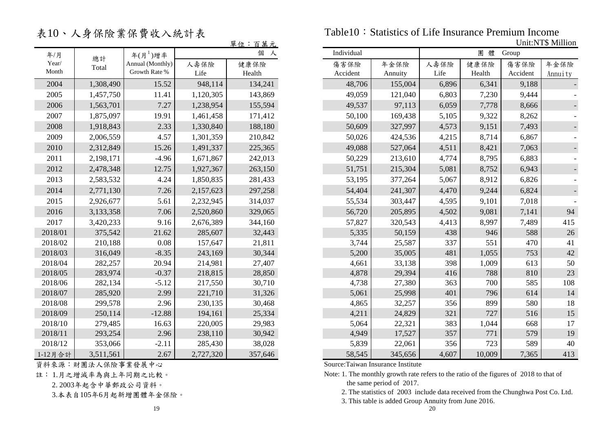表10、人身保險業保費收入統計表

|         |           |                  |           | 單位:百萬元  |
|---------|-----------|------------------|-----------|---------|
| 年/月     | 總計        | 年 $(H^1)$ 增率     |           | 個<br>人  |
| Year/   | Total     | Annual (Monthly) | 人壽保險      | 健康保險    |
| Month   |           | Growth Rate %    | Life      | Health  |
| 2004    | 1,308,490 | 15.52            | 948,114   | 134,241 |
| 2005    | 1,457,750 | 11.41            | 1,120,305 | 143,869 |
| 2006    | 1,563,701 | 7.27             | 1,238,954 | 155,594 |
| 2007    | 1,875,097 | 19.91            | 1,461,458 | 171,412 |
| 2008    | 1,918,843 | 2.33             | 1,330,840 | 188,180 |
| 2009    | 2,006,559 | 4.57             | 1,301,359 | 210,842 |
| 2010    | 2,312,849 | 15.26            | 1,491,337 | 225,365 |
| 2011    | 2,198,171 | $-4.96$          | 1,671,867 | 242,013 |
| 2012    | 2,478,348 | 12.75            | 1,927,367 | 263,150 |
| 2013    | 2,583,532 | 4.24             | 1,850,835 | 281,433 |
| 2014    | 2,771,130 | 7.26             | 2,157,623 | 297,258 |
| 2015    | 2,926,677 | 5.61             | 2,232,945 | 314,037 |
| 2016    | 3,133,358 | 7.06             | 2,520,860 | 329,065 |
| 2017    | 3,420,233 | 9.16             | 2,676,389 | 344,160 |
| 2018/01 | 375,542   | 21.62            | 285,607   | 32,443  |
| 2018/02 | 210,188   | 0.08             | 157,647   | 21,811  |
| 2018/03 | 316,049   | $-8.35$          | 243,169   | 30,344  |
| 2018/04 | 282,257   | 20.94            | 214,981   | 27,407  |
| 2018/05 | 283,974   | $-0.37$          | 218,815   | 28,850  |
| 2018/06 | 282,134   | $-5.12$          | 217,550   | 30,710  |
| 2018/07 | 285,920   | 2.99             | 221,710   | 31,326  |
| 2018/08 | 299,578   | 2.96             | 230,135   | 30,468  |
| 2018/09 | 250,114   | $-12.88$         | 194,161   | 25,334  |
| 2018/10 | 279,485   | 16.63            | 220,005   | 29,983  |
| 2018/11 | 293,254   | 2.96             | 238,110   | 30,942  |
| 2018/12 | 353,066   | $-2.11$          | 285,430   | 38,028  |
| 1-12月合計 | 3,511,561 | 2.67             | 2,727,320 | 357,646 |

資料來源:財團法人保險事業發展中心

註: 1.月之增減率為與上年同期之比較。

2. 2003年起含中華郵政公司資料。

3.本表自105年6月起新增團體年金保險。

Table10: Statistics of Life Insurance Premium Income Unit:NT\$ Million

|                |           |                                   |              | 平1年・日 あ 儿      |            |          |                 |              |                |                  | UΠU.I LE VIIIIUII |
|----------------|-----------|-----------------------------------|--------------|----------------|------------|----------|-----------------|--------------|----------------|------------------|-------------------|
| 年/月            | 總計        | 年 $(H^1)$ 增率                      |              | 個 人            | Individual |          |                 |              | 團體             | Group            |                   |
| Year/<br>Month | Total     | Annual (Monthly)<br>Growth Rate % | 人壽保險<br>Life | 健康保險<br>Health | 傷害保險       | Accident | 年金保險<br>Annuity | 人壽保險<br>Life | 健康保險<br>Health | 傷害保險<br>Accident | 年金保險<br>Annuity   |
| 2004           | 1,308,490 | 15.52                             | 948,114      | 134,241        |            | 48,706   | 155,004         | 6,896        | 6,341          | 9,188            |                   |
| 2005           | 1,457,750 | 11.41                             | 1,120,305    | 143,869        |            | 49,059   | 121,040         | 6,803        | 7,230          | 9,444            |                   |
| 2006           | 1,563,701 | 7.27                              | 1,238,954    | 155,594        |            | 49,537   | 97,113          | 6,059        | 7,778          | 8,666            |                   |
| 2007           | 1,875,097 | 19.91                             | 1,461,458    | 171,412        |            | 50,100   | 169,438         | 5,105        | 9,322          | 8,262            |                   |
| 2008           | 1,918,843 | 2.33                              | 1,330,840    | 188,180        |            | 50,609   | 327,997         | 4,573        | 9,151          | 7,493            |                   |
| 2009           | 2,006,559 | 4.57                              | 1,301,359    | 210,842        |            | 50,026   | 424,536         | 4,215        | 8,714          | 6,867            |                   |
| 2010           | 2,312,849 | 15.26                             | 1,491,337    | 225,365        |            | 49,088   | 527,064         | 4,511        | 8,421          | 7,063            |                   |
| 2011           | 2,198,171 | $-4.96$                           | 1,671,867    | 242,013        |            | 50,229   | 213,610         | 4,774        | 8,795          | 6,883            |                   |
| 2012           | 2,478,348 | 12.75                             | 1,927,367    | 263,150        |            | 51,751   | 215,304         | 5,081        | 8,752          | 6,943            |                   |
| 2013           | 2,583,532 | 4.24                              | 1,850,835    | 281,433        |            | 53,195   | 377,264         | 5,067        | 8,912          | 6,826            |                   |
| 2014           | 2,771,130 | 7.26                              | 2,157,623    | 297,258        |            | 54,404   | 241,307         | 4,470        | 9,244          | 6,824            |                   |
| 2015           | 2,926,677 | 5.61                              | 2,232,945    | 314,037        |            | 55,534   | 303,447         | 4,595        | 9,101          | 7,018            |                   |
| 2016           | 3,133,358 | 7.06                              | 2,520,860    | 329,065        |            | 56,720   | 205,895         | 4,502        | 9,081          | 7,141            | 94                |
| 2017           | 3,420,233 | 9.16                              | 2,676,389    | 344,160        |            | 57,827   | 320,543         | 4,413        | 8,997          | 7,489            | 415               |
| 2018/01        | 375,542   | 21.62                             | 285,607      | 32,443         |            | 5,335    | 50,159          | 438          | 946            | 588              | $26\,$            |
| 2018/02        | 210,188   | 0.08                              | 157,647      | 21,811         |            | 3,744    | 25,587          | 337          | 551            | 470              | 41                |
| 2018/03        | 316,049   | $-8.35$                           | 243,169      | 30,344         |            | 5,200    | 35,005          | 481          | 1,055          | 753              | 42                |
| 2018/04        | 282,257   | 20.94                             | 214,981      | 27,407         |            | 4,661    | 33,138          | 398          | 1,009          | 613              | 50                |
| 2018/05        | 283,974   | $-0.37$                           | 218,815      | 28,850         |            | 4,878    | 29,394          | 416          | 788            | 810              | 23                |
| 2018/06        | 282,134   | $-5.12$                           | 217,550      | 30,710         |            | 4,738    | 27,380          | 363          | 700            | 585              | 108               |
| 2018/07        | 285,920   | 2.99                              | 221,710      | 31,326         |            | 5,061    | 25,998          | 401          | 796            | 614              | 14                |
| 2018/08        | 299,578   | 2.96                              | 230,135      | 30,468         |            | 4,865    | 32,257          | 356          | 899            | 580              | 18                |
| 2018/09        | 250,114   | $-12.88$                          | 194,161      | 25,334         |            | 4,211    | 24,829          | 321          | 727            | 516              | 15                |
| 2018/10        | 279,485   | 16.63                             | 220,005      | 29,983         |            | 5,064    | 22,321          | 383          | 1,044          | 668              | 17                |
| 2018/11        | 293,254   | 2.96                              | 238,110      | 30,942         |            | 4,949    | 17,527          | 357          | 771            | 579              | 19                |
| 2018/12        | 353,066   | $-2.11$                           | 285,430      | 38,028         |            | 5,839    | 22,061          | 356          | 723            | 589              | 40                |
| 1-12月合計        | 3,511,561 | 2.67                              | 2,727,320    | 357,646        |            | 58,545   | 345,656         | 4,607        | 10,009         | 7,365            | 413               |

Source:Taiwan Insurance Institute

Note: 1. The monthly growth rate refers to the ratio of the figures of 2018 to that of the same period of 2017.

2. The statistics of 2003 include data received from the Chunghwa Post Co. Ltd.

3. This table is added Group Annuity from June 2016.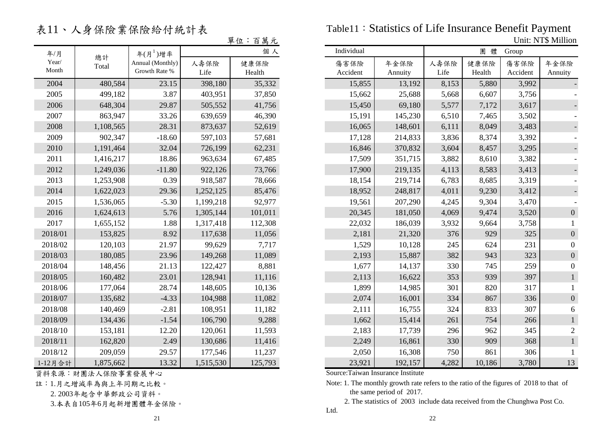表11、人身保險業保險給付統計表

|                |           |                                   |              | 單位:百萬元         |                  |
|----------------|-----------|-----------------------------------|--------------|----------------|------------------|
| 年/月            | 總計        | 年 $(H^1)$ 增率                      |              | 個人             | Individual       |
| Year/<br>Month | Total     | Annual (Monthly)<br>Growth Rate % | 人壽保險<br>Life | 健康保險<br>Health | 傷害保險<br>Accident |
| 2004           | 480,584   | 23.15                             | 398,180      | 35,332         | 15,8             |
| 2005           | 499,182   | 3.87                              | 403,951      | 37,850         | 15,6             |
| 2006           | 648,304   | 29.87                             | 505,552      | 41,756         | 15,45            |
| 2007           | 863,947   | 33.26                             | 639,659      | 46,390         | 15,19            |
| 2008           | 1,108,565 | 28.31                             | 873,637      | 52,619         | 16,00            |
| 2009           | 902,347   | $-18.60$                          | 597,103      | 57,681         | 17,12            |
| 2010           | 1,191,464 | 32.04                             | 726,199      | 62,231         | 16,84            |
| 2011           | 1,416,217 | 18.86                             | 963,634      | 67,485         | 17,50            |
| 2012           | 1,249,036 | $-11.80$                          | 922,126      | 73,766         | 17,90            |
| 2013           | 1,253,908 | 0.39                              | 918,587      | 78,666         | 18,1;            |
| 2014           | 1,622,023 | 29.36                             | 1,252,125    | 85,476         | 18,9             |
| 2015           | 1,536,065 | $-5.30$                           | 1,199,218    | 92,977         | 19,50            |
| 2016           | 1,624,613 | 5.76                              | 1,305,144    | 101,011        | 20,34            |
| 2017           | 1,655,152 | 1.88                              | 1,317,418    | 112,308        | 22,0             |
| 2018/01        | 153,825   | 8.92                              | 117,638      | 11,056         | 2,18             |
| 2018/02        | 120,103   | 21.97                             | 99,629       | 7,717          | 1,52             |
| 2018/03        | 180,085   | 23.96                             | 149,268      | 11,089         | 2,19             |
| 2018/04        | 148,456   | 21.13                             | 122,427      | 8,881          | 1,6              |
| 2018/05        | 160,482   | 23.01                             | 128,941      | 11,116         | 2,1              |
| 2018/06        | 177,064   | 28.74                             | 148,605      | 10,136         | 1,89             |
| 2018/07        | 135,682   | $-4.33$                           | 104,988      | 11,082         | $2,0^{\circ}$    |
| 2018/08        | 140,469   | $-2.81$                           | 108,951      | 11,182         | 2,1              |
| 2018/09        | 134,436   | $-1.54$                           | 106,790      | 9,288          | 1,6              |
| 2018/10        | 153,181   | 12.20                             | 120,061      | 11,593         | 2,18             |
| 2018/11        | 162,820   | 2.49                              | 130,686      | 11,416         | 2,24             |
| 2018/12        | 209,059   | 29.57                             | 177,546      | 11,237         | 2,0.             |
| 1-12月合計        | 1,875,662 | 13.32                             | 1,515,530    | 125,793        | 23,92            |

資料來源:財團法人保險事業發展中心

註:1.月之增減率為與上年同期之比較。

2. 2003年起含中華郵政公司資料。

3.本表自105年6月起新增團體年金保險。

Table11:Statistics of Life Insurance Benefit Payment Unit: NT\$ Million

|                                 |           |                                   |              | <u> 平仙 · 日禺儿</u> | UIIII. IN LO IVIIIIIUII |                 |              |                |                  |                  |  |
|---------------------------------|-----------|-----------------------------------|--------------|------------------|-------------------------|-----------------|--------------|----------------|------------------|------------------|--|
| 年/月                             | 總計        | 年 $(H^1)$ 增率                      |              | 個人               | Individual              |                 |              | 團體             | Group            |                  |  |
| $\operatorname{Year}/$<br>Month | Total     | Annual (Monthly)<br>Growth Rate % | 人壽保險<br>Life | 健康保險<br>Health   | 傷害保險<br>Accident        | 年金保險<br>Annuity | 人壽保險<br>Life | 健康保險<br>Health | 傷害保險<br>Accident | 年金保險<br>Annuity  |  |
| 2004                            | 480,584   | 23.15                             | 398,180      | 35,332           | 15,855                  | 13,192          | 8,153        | 5,880          | 3,992            |                  |  |
| 2005                            | 499,182   | 3.87                              | 403,951      | 37,850           | 15,662                  | 25,688          | 5,668        | 6,607          | 3,756            |                  |  |
| 2006                            | 648,304   | 29.87                             | 505,552      | 41,756           | 15,450                  | 69,180          | 5,577        | 7,172          | 3,617            |                  |  |
| 2007                            | 863,947   | 33.26                             | 639,659      | 46,390           | 15,191                  | 145,230         | 6,510        | 7,465          | 3,502            |                  |  |
| 2008                            | 1,108,565 | 28.31                             | 873,637      | 52,619           | 16,065                  | 148,601         | 6,111        | 8,049          | 3,483            |                  |  |
| 2009                            | 902,347   | $-18.60$                          | 597,103      | 57,681           | 17,128                  | 214,833         | 3,836        | 8,374          | 3,392            |                  |  |
| 2010                            | 1,191,464 | 32.04                             | 726,199      | 62,231           | 16,846                  | 370,832         | 3,604        | 8,457          | 3,295            |                  |  |
| 2011                            | 1,416,217 | 18.86                             | 963,634      | 67,485           | 17,509                  | 351,715         | 3,882        | 8,610          | 3,382            |                  |  |
| 2012                            | 1,249,036 | $-11.80$                          | 922,126      | 73,766           | 17,900                  | 219,135         | 4,113        | 8,583          | 3,413            |                  |  |
| 2013                            | 1,253,908 | 0.39                              | 918,587      | 78,666           | 18,154                  | 219,714         | 6,783        | 8,685          | 3,319            |                  |  |
| 2014                            | 1,622,023 | 29.36                             | 1,252,125    | 85,476           | 18,952                  | 248,817         | 4,011        | 9,230          | 3,412            |                  |  |
| 2015                            | 1,536,065 | $-5.30$                           | 1,199,218    | 92,977           | 19,561                  | 207,290         | 4,245        | 9,304          | 3,470            |                  |  |
| 2016                            | 1,624,613 | 5.76                              | 1,305,144    | 101,011          | 20,345                  | 181,050         | 4,069        | 9,474          | 3,520            | $\mathbf{0}$     |  |
| 2017                            | 1,655,152 | 1.88                              | 1,317,418    | 112,308          | 22,032                  | 186,039         | 3,932        | 9,664          | 3,758            |                  |  |
| 2018/01                         | 153,825   | 8.92                              | 117,638      | 11,056           | 2,181                   | 21,320          | 376          | 929            | 325              | $\mathbf{0}$     |  |
| 2018/02                         | 120,103   | 21.97                             | 99,629       | 7,717            | 1,529                   | 10,128          | 245          | 624            | 231              | $\mathbf{0}$     |  |
| 2018/03                         | 180,085   | 23.96                             | 149,268      | 11,089           | 2,193                   | 15,887          | 382          | 943            | 323              | $\boldsymbol{0}$ |  |
| 2018/04                         | 148,456   | 21.13                             | 122,427      | 8,881            | 1,677                   | 14,137          | 330          | 745            | 259              | $\overline{0}$   |  |
| 2018/05                         | 160,482   | 23.01                             | 128,941      | 11,116           | 2,113                   | 16,622          | 353          | 939            | 397              |                  |  |
| 2018/06                         | 177,064   | 28.74                             | 148,605      | 10,136           | 1,899                   | 14,985          | 301          | 820            | 317              |                  |  |
| 2018/07                         | 135,682   | $-4.33$                           | 104,988      | 11,082           | 2,074                   | 16,001          | 334          | 867            | 336              | $\boldsymbol{0}$ |  |
| 2018/08                         | 140,469   | $-2.81$                           | 108,951      | 11,182           | 2,111                   | 16,755          | 324          | 833            | 307              | 6                |  |
| 2018/09                         | 134,436   | $-1.54$                           | 106,790      | 9,288            | 1,662                   | 15,414          | 261          | 754            | 266              |                  |  |
| 2018/10                         | 153,181   | 12.20                             | 120,061      | 11,593           | 2,183                   | 17,739          | 296          | 962            | 345              | $\overline{c}$   |  |
| 2018/11                         | 162,820   | 2.49                              | 130,686      | 11,416           | 2,249                   | 16,861          | 330          | 909            | 368              |                  |  |
| 2018/12                         | 209,059   | 29.57                             | 177,546      | 11,237           | 2,050                   | 16,308          | 750          | 861            | 306              |                  |  |
| 1-12月合計                         | 1,875,662 | 13.32                             | 1,515,530    | 125,793          | 23,921                  | 192,157         | 4,282        | 10,186         | 3,780            | 13               |  |

Source:Taiwan Insurance Institute

Note: 1. The monthly growth rate refers to the ratio of the figures of 2018 to that of the same period of 2017.

2. The statistics of 2003 include data received from the Chunghwa Post Co.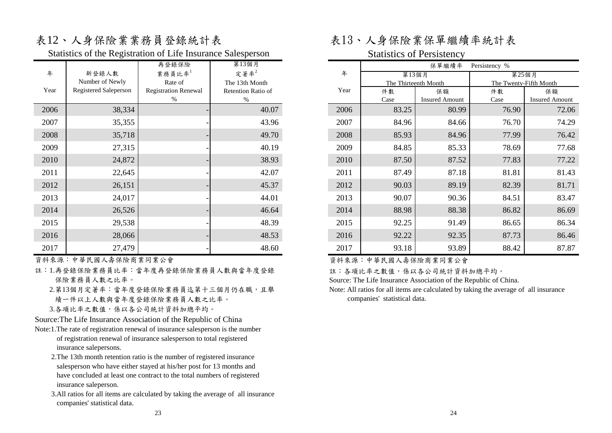# 表12、人身保險業業務員登錄統計表 表13、人身保險業保單繼續率統計表

Statistics of the Registration of Life Insurance Salesperson Statistics of Persistency

|      |                       | 再登錄保險                       | 第13個月              |
|------|-----------------------|-----------------------------|--------------------|
| 年    | 新登錄人數                 | 業務員比率 $1$                   | 定著率 $2$            |
|      | Number of Newly       | Rate of                     | The 13th Month     |
| Year | Registered Saleperson | <b>Registration Renewal</b> | Retention Ratio of |
|      |                       | %                           | %                  |
| 2006 | 38,334                |                             | 40.07              |
| 2007 | 35,355                |                             | 43.96              |
| 2008 | 35,718                |                             | 49.70              |
| 2009 | 27,315                |                             | 40.19              |
| 2010 | 24,872                |                             | 38.93              |
| 2011 | 22,645                |                             | 42.07              |
| 2012 | 26,151                |                             | 45.37              |
| 2013 | 24,017                |                             | 44.01              |
| 2014 | 26,526                |                             | 46.64              |
| 2015 | 29,538                |                             | 48.39              |
| 2016 | 28,066                |                             | 48.53              |
| 2017 | 27,479                |                             | 48.60              |

資料來源:中華民國人壽保險商業同業公會

- 註:1.再登錄保險業務員比率:當年度再登錄保險業務員人數與當年度登錄 保險業務員人數之比率。
	- 2.第13個月定著率:當年度登錄保險業務員迄第十三個月仍在職,且舉 績一件以上人數與當年度登錄保險業務員人數之比率。 3.各項比率之數值,係以各公司統計資料加總平均。

Source:The Life Insurance Association of the Republic of China

- Note:1.The rate of registration renewal of insurance salesperson is the number of registration renewal of insurance salesperson to total registered insurance salepersons.
	- 2.The 13th month retention ratio is the number of registered insurance salesperson who have either stayed at his/her post for 13 months and have concluded at least one contract to the total numbers of registered insurance saleperson.
	- 3.All ratios for all items are calculated by taking the average of all insurance companies' statistical data.

|      |                       | 第13個月                       |                    |      | 保單繼續率 | Persistency %         |                        |                       |  |
|------|-----------------------|-----------------------------|--------------------|------|-------|-----------------------|------------------------|-----------------------|--|
| 年    | 新登錄人數                 | 業務員比率 $1$                   | 定著率 $2$            | 年    | 第13個月 |                       | 第25個月                  |                       |  |
|      | Number of Newly       | Rate of                     | The 13th Month     |      |       | The Thirteenth Month  | The Twenty-Fifth Month |                       |  |
| Year | Registered Saleperson | <b>Registration Renewal</b> | Retention Ratio of | Year | 件數    | 保額                    | 件數                     | 保額                    |  |
|      |                       | %                           | $\%$               |      | Case  | <b>Insured Amount</b> | Case                   | <b>Insured Amount</b> |  |
| 2006 | 38,334                |                             | 40.07              | 2006 | 83.25 | 80.99                 | 76.90                  | 72.06                 |  |
| 2007 | 35,355                |                             | 43.96              | 2007 | 84.96 | 84.66                 | 76.70                  | 74.29                 |  |
| 2008 | 35,718                |                             | 49.70              | 2008 | 85.93 | 84.96                 | 77.99                  | 76.42                 |  |
| 2009 | 27,315                |                             | 40.19              | 2009 | 84.85 | 85.33                 | 78.69                  | 77.68                 |  |
| 2010 | 24,872                |                             | 38.93              | 2010 | 87.50 | 87.52                 | 77.83                  | 77.22                 |  |
| 2011 | 22,645                |                             | 42.07              | 2011 | 87.49 | 87.18                 | 81.81                  | 81.43                 |  |
| 2012 | 26,151                |                             | 45.37              | 2012 | 90.03 | 89.19                 | 82.39                  | 81.71                 |  |
| 2013 | 24,017                |                             | 44.01              | 2013 | 90.07 | 90.36                 | 84.51                  | 83.47                 |  |
| 2014 | 26,526                |                             | 46.64              | 2014 | 88.98 | 88.38                 | 86.82                  | 86.69                 |  |
| 2015 | 29,538                |                             | 48.39              | 2015 | 92.25 | 91.49                 | 86.65                  | 86.34                 |  |
| 2016 | 28,066                |                             | 48.53              | 2016 | 92.22 | 92.35                 | 87.73                  | 86.46                 |  |
| 2017 | 27,479                |                             | 48.60              | 2017 | 93.18 | 93.89                 | 88.42                  | 87.87                 |  |

資料來源:中華民國人壽保險商業同業公會

註:各項比率之數值,係以各公司統計資料加總平均。

Source: The Life Insurance Association of the Republic of China.

Note: All ratios for all items are calculated by taking the average of all insurance companies' statistical data.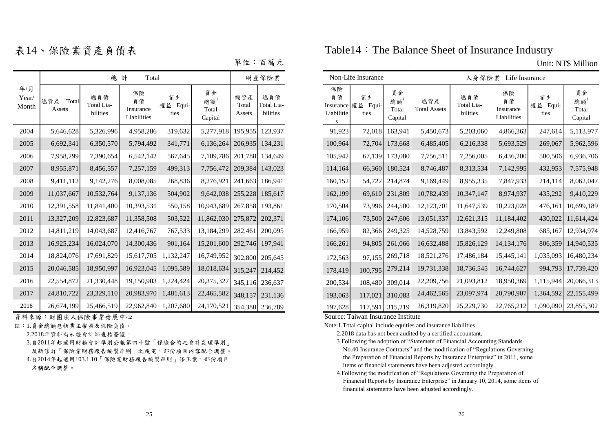|                       |                        | 總                             | Total<br>計                           |                           |                                   |                        | 財產保險業                         |                                     | Non-Life Insurance               |
|-----------------------|------------------------|-------------------------------|--------------------------------------|---------------------------|-----------------------------------|------------------------|-------------------------------|-------------------------------------|----------------------------------|
| 年/月<br>Year/<br>Month | 總資產<br>Total<br>Assets | 總負債<br>Total Lia-<br>bilities | 保險<br>負債<br>Insurance<br>Liabilities | 業主<br>權益<br>Equi-<br>ties | 資金<br>總額 $^1$<br>Total<br>Capital | 總資產<br>Total<br>Assets | 總負債<br>Total Lia-<br>bilities | 保險<br>負債<br>Liabilitie<br>${\bf S}$ | 業主<br>Insurance 權益 Equi-<br>ties |
| 2004                  | 5,646,628              | 5,326,996                     | 4,958,286                            | 319,632                   | 5,277,918                         | 195,955                | 123,937                       | 91,923                              | 72,018                           |
| 2005                  | 6,692,341              | 6,350,570                     | 5,794,492                            | 341,771                   | 6,136,264                         | 206,935                | 134,231                       | 100,964                             | 72,704                           |
| 2006                  | 7,958,299              | 7,390,654                     | 6,542,142                            | 567,645                   | 7,109,786                         | 201,788                | 134,649                       | 105,942                             | 67,139                           |
| 2007                  | 8,955,871              | 8,456,557                     | 7,257,159                            | 499,313                   | 7,756,472                         | 209,384                | 143,023                       | 114,164                             | 66,360                           |
| 2008                  | 9,411,112              | 9,142,276                     | 8,008,085                            | 268,836                   | 8,276,921                         | 241,663                | 186,941                       | 160,152                             | 54,722                           |
| 2009                  | 11,037,667             | 10,532,764                    | 9,137,136                            | 504,902                   | 9,642,038                         | 255,228                | 185,617                       | 162,199                             | 69,610                           |
| 2010                  | 12,391,558             | 11,841,400                    | 10,393,531                           | 550,158                   | 10,943,689                        | 267,858                | 193,861                       | 170,504                             | 73,996                           |
| 2011                  | 13,327,209             | 12,823,687                    | 11,358,508                           | 503,522                   | 11,862,030                        | 275,872                | 202,371                       | 174,106                             | 73,500                           |
| 2012                  | 14,811,219             | 14,043,687                    | 12,416,767                           | 767,533                   | 13,184,299                        | 282,461                | 200.095                       | 166,959                             | 82,366                           |
| 2013                  | 16,925,234             | 16,024,070                    | 14,300,436                           | 901,164                   | 15,201,600                        | 292,746                | 197,941                       | 166,261                             | 94,805                           |
| 2014                  | 18,824,076             | 17,691,829                    | 15,617,705                           | 1,132,247                 | 16,749,952                        | 302,800                | 205,645                       | 172,563                             | 97,155                           |
| 2015                  | 20,046,585             | 18,950,997                    | 16,923,045                           | 1,095,589                 | 18,018,634                        | 315,247                | 214,452                       | 178,419                             | 100,795                          |
| 2016                  | 22,554,872             | 21,330,448                    | 19,150,903                           | 1,224,424                 | 20,375,327                        | 345,116                | 236,637                       | 200,534                             | 108,480                          |
| 2017                  | 24,810,722             | 23,329,110                    | 20,983,970                           | 1,481,613                 | 22,465,582                        | 348,157                | 231,136                       | 193,063                             | 117,021                          |
| 2018                  | 26,674,199             | 25,466,519                    |                                      | 22,962,840 1,207,680      | 24,170,521                        |                        | 354,380 236,789               | 197.628                             | 117.591                          |

**資料來源:財團法人保險事業發展中心 Source: Taiwan Insurance Institute** 

- 註:1.資金總額包括業主權益及保險負債。
	- 2.2018年資料尚未經會計師查核簽證。
	- 3.自2011年起適用財務會計準則公報第四十號「保險合約之會計處理準則」
	- 及新修訂「保險業財務報告編製準則」之規定,部份項目內容配合調整。
	- 4.自2014年起適用103.1.10「保險業財務報告編製準則」修正案,部份項目

名稱配合調整。

表14、保險業資產負債表 Table14: The Balance Sheet of Insurance Industry

單位:百萬元 Unit: NT\$ Million

|                       |                        |                               | 財產保險業                                |                        |                              | Non-Life Insurance     |                               |  | 人身保險業 Life Insurance         |                                  |                              |                            |                               |                                      |                        |                              |
|-----------------------|------------------------|-------------------------------|--------------------------------------|------------------------|------------------------------|------------------------|-------------------------------|--|------------------------------|----------------------------------|------------------------------|----------------------------|-------------------------------|--------------------------------------|------------------------|------------------------------|
| 年/月<br>Year/<br>Aonth | 總資產<br>Total<br>Assets | 總負債<br>Total Lia-<br>bilities | 保險<br>負債<br>Insurance<br>Liabilities | 業主<br>權益 Equi-<br>ties | 資金<br>總額<br>Total<br>Capital | 總資產<br>Total<br>Assets | 總負債<br>Total Lia-<br>bilities |  | 保險<br>負債<br>Liabilitie<br>S. | 業主<br>Insurance 權益 Equi-<br>ties | 資金<br>總額<br>Total<br>Capital | 總資產<br><b>Total Assets</b> | 總負債<br>Total Lia-<br>bilities | 保險<br>負債<br>Insurance<br>Liabilities | 業主<br>權益 Equi-<br>ties | 資金<br>總額<br>Total<br>Capital |
| 2004                  | 5,646,628              | 5,326,996                     | 4,958,286                            | 319,632                | 5,277,918                    | 195,955                | 123.937                       |  | 91,923                       | 72,018                           | 163,941                      | 5,450,673                  | 5,203,060                     | 4,866,363                            | 247,614                | 5,113,977                    |
| 2005                  | 6,692,341              | 6,350,570                     | 5,794,492                            | 341,771                | 6,136,264                    | 206,935                | 134.231                       |  | 100,964                      | 72,704                           | 173,668                      | 6,485,405                  | 6,216,338                     | 5,693,529                            | 269,067                | 5,962,596                    |
| 2006                  | 7,958,299              | 7,390,654                     | 6,542,142                            | 567,645                | 7,109,786                    | 201,788                | 134.649                       |  | 105,942                      |                                  | 67,139 173,080               | 7,756,511                  | 7,256,005                     | 6,436,200                            | 500,506                | 6,936,706                    |
| 2007                  | 8,955,871              | 8,456,557                     | 7,257,159                            | 499,313                | 7,756,472                    | 209,384                | 143,023                       |  | 114,164                      | 66,360                           | 180,524                      | 8,746,487                  | 8,313,534                     | 7,142,995                            | 432,953                | 7,575,948                    |
| 2008                  | 9,411,112              | 9,142,276                     | 8,008,085                            | 268,836                | 8,276,921                    | 241,663                | 186.941                       |  | 160,152                      |                                  | 54,722 214,874               | 9,169,449                  | 8,955,335                     | 7,847,933                            | 214,114                | 8,062,047                    |
| 2009                  | 11,037,667             | 10,532,764                    | 9,137,136                            | 504,902                | 9,642,038 255,228            |                        | 185,617                       |  | 162,199                      |                                  | 69,610 231,809               | 10,782,439                 | 10,347,147                    | 8,974,937                            | 435,292                | 9,410,229                    |
| 2010                  | 12,391,558             | 11,841,400                    | 10,393,531                           | 550,158                | 10,943,689                   | 267,858                | 193.861                       |  | 170,504                      |                                  | 73,996 244,500               | 12,123,701                 | 11,647,539                    | 10,223,028                           | 476,161                | 10,699,189                   |
| 2011                  | 13,327,209             | 12,823,687                    | 11,358,508                           | 503,522                | 11,862,030 275,872 202,371   |                        |                               |  | 174,106                      |                                  | 73,500 247,606               | 13,051,337                 | 12,621,315                    | 11,184,402                           | 430,022                | 11,614,424                   |
| 2012                  | 14,811,219             | 14,043,687                    | 12,416,767                           | 767,533                | 13,184,299                   | 282,461                | 200,095                       |  | 166,959                      |                                  | 82,366 249,325               | 14,528,759                 | 13,843,592                    | 12,249,808                           | 685,167                | 12,934,974                   |
| 2013                  | 16,925,234             | 16,024,070                    | 14,300,436                           | 901,164                | 15,201,600 292,746 197,941   |                        |                               |  | 166,261                      |                                  | 94,805 261,066               | 16,632,488                 | 15,826,129                    | 14, 134, 176                         |                        | 806,359 14,940,535           |
| 2014                  | 18,824,076             | 17,691,829                    | 15,617,705                           | 1,132,247              | 16,749,952                   |                        | 302,800 205,645               |  | 172,563                      | 97,155                           | 269,718                      | 18,521,276                 | 17,486,184                    | 15,445,141                           | 1,035,093              | 16,480,234                   |
| 2015                  | 20,046,585             | 18,950,997                    | 16,923,045                           | 1,095,589              | 18,018,634                   |                        | 315,247 214,452               |  | 178,419                      | 100,795                          | 279,214                      | 19,731,338                 | 18,736,545                    | 16,744,627                           |                        | 994,793 17,739,420           |
| 2016                  | 22,554,872             | 21,330,448                    | 19,150,903                           | 1,224,424              | 20,375,327                   |                        | 345,116 236,637               |  | 200,534                      | 108,480                          | 309,014                      | 22,209,756                 | 21,093,812                    | 18,950,369                           |                        | 1,115,944 20,066,313         |
| 2017                  | 24,810,722             | 23,329,110                    | 20,983,970                           | 1,481,613              | 22,465,582                   |                        | 348,157 231,136               |  | 193,063                      |                                  | 117,021 310,083              | 24,462,565                 | 23,097,974                    | 20,790,907                           |                        | 1,364,592 22,155,499         |
| 2018                  | 26,674,199             | 25,466,519                    | 22,962,840 1,207,680                 |                        | 24,170,521                   |                        | 354.380 236.789               |  | 197,628                      |                                  | 117,591 315,219              | 26,319,820                 | 25,229,730                    | 22,765,212                           |                        | 1,090,090 23,855,302         |

Note:1.Total capital include equities and insurance liabilities.

- 3.Following the adoption of "Statement of Financial Accounting Standards No.40 Insurance Contracts" and the modification of "Regulations Governing the Preparation of Financial Reports by Insurance Enterprise" in 2011, some items of financial statements have been adjusted accordingly.
- 4.Following the modification of "Regulations Governing the Preparation of Financial Reports by Insurance Enterprise" in January 10, 2014, some items of financial statements have been adjusted accordingly.

 <sup>2.2018</sup> data has not been audited by a certified accountant.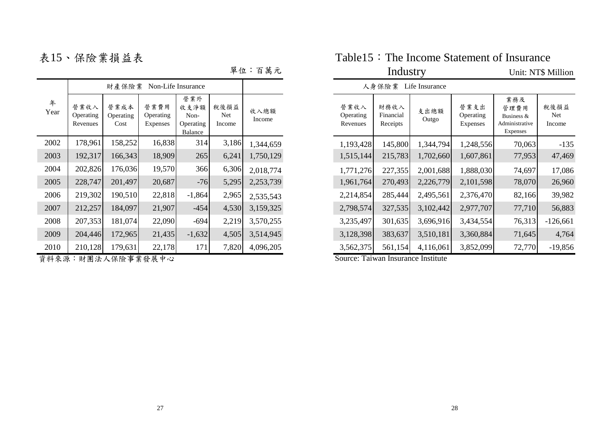表15、保險業損益表

| 年<br>Year | 營業收入<br>Operating<br>Revenues | 營業成本<br>Operating<br>Cost | 營業費用<br>Operating<br>Expenses | 營業外<br>收支淨額<br>Non-<br>Operating<br><b>Balance</b> | 稅後損益<br>Net<br>Income | 收入總額<br>Income |
|-----------|-------------------------------|---------------------------|-------------------------------|----------------------------------------------------|-----------------------|----------------|
| 2002      | 178,961                       | 158,252                   | 16,838                        | 314                                                | 3,186                 | 1,344,659      |
| 2003      | 192,317                       | 166,343                   | 18,909                        | 265                                                | 6,241                 | 1,750,129      |
| 2004      | 202,826                       | 176,036                   | 19,570                        | 366                                                | 6,306                 | 2,018,774      |
| 2005      | 228,747                       | 201,497                   | 20,687                        | $-76$                                              | 5,295                 | 2,253,739      |
| 2006      | 219,302                       | 190,510                   | 22,818                        | $-1,864$                                           | 2,965                 | 2,535,543      |
| 2007      | 212,257                       | 184,097                   | 21,907                        | $-454$                                             | 4,530                 | 3,159,325      |
| 2008      | 207,353                       | 181,074                   | 22,090                        | -694                                               | 2,219                 | 3,570,255      |
| 2009      | 204,446                       | 172,965                   | 21,435                        | $-1,632$                                           | 4,505                 | 3,514,945      |
| 2010      | 210,128                       | 179,631                   | 22,178                        | 171                                                | 7,820                 | 4,096,205      |

資料來源:財團法人保險事業發展中心 National Source: Taiwan Insurance Institute

| Table 15 : The Income Statement of Insurance |  |
|----------------------------------------------|--|
|----------------------------------------------|--|

單位:百萬元 Industry Unit: NT\$ Million

人身保險業 Life Insurance

| 年<br>Year | 營業收入<br>Operating<br>Revenues | 營業成本<br>Operating<br>Cost | 營業費用<br>Operating<br><b>Expenses</b> | 營業外<br>收支淨額<br>Non-<br>Operating<br>Balance | 稅後損益<br><b>Net</b><br>Income | 收入總額<br>Income | 營業收入<br>Operating<br>Revenues | 財務收入<br>Financial<br>Receipts | 支出總額<br>Outgo | 營業支出<br>Operating<br>Expenses | 業務及<br>管理費用<br>Business &<br>Administrative<br><b>Expenses</b> | 稅後損益<br>Net<br>Income |
|-----------|-------------------------------|---------------------------|--------------------------------------|---------------------------------------------|------------------------------|----------------|-------------------------------|-------------------------------|---------------|-------------------------------|----------------------------------------------------------------|-----------------------|
| 2002      | 178,961                       | 158,252                   | 16,838                               | 314                                         | 3,186                        | 1,344,659      | 1,193,428                     | 145,800                       | 1,344,794     | 1,248,556                     | 70,063                                                         | $-135$                |
| 2003      | 192,317                       | 166,343                   | 18,909                               | 265                                         | 6,241                        | 1,750,129      | 1,515,144                     | 215,783                       | 1,702,660     | 1,607,861                     | 77,953                                                         | 47,469                |
| 2004      | 202,826                       | 176,036                   | 19,570                               | 366                                         | 6,306                        | 2,018,774      | 1,771,276                     | 227,355                       | 2,001,688     | 1,888,030                     | 74,697                                                         | 17,086                |
| 2005      | 228,747                       | 201,497                   | 20,687                               | $-76$                                       | 5,295                        | 2,253,739      | 1,961,764                     | 270,493                       | 2,226,779     | 2,101,598                     | 78,070                                                         | 26,960                |
| 2006      | 219,302                       | 190,510                   | 22,818                               | $-1,864$                                    | 2,965                        | 2,535,543      | 2,214,854                     | 285,444                       | 2,495,561     | 2,376,470                     | 82,166                                                         | 39,982                |
| 2007      | 212,257                       | 184,097                   | 21,907                               | $-454$                                      | 4,530                        | 3,159,325      | 2,798,574                     | 327,535                       | 3,102,442     | 2,977,707                     | 77,710                                                         | 56,883                |
| 2008      | 207,353                       | 181,074                   | 22,090                               | $-694$                                      | 2,219                        | 3,570,255      | 3,235,497                     | 301,635                       | 3,696,916     | 3,434,554                     | 76,313                                                         | $-126,661$            |
| 2009      | 204,446                       | 172,965                   | 21,435                               | $-1,632$                                    | 4,505                        | 3,514,945      | 3,128,398                     | 383,637                       | 3,510,181     | 3,360,884                     | 71,645                                                         | 4,764                 |
| 2010      | 210,128                       | 179,631                   | 22,178                               | 171                                         | 7,820                        | 4,096,205      | 3,562,375                     | 561,154                       | 4,116,061     | 3,852,099                     | 72,770                                                         | $-19,856$             |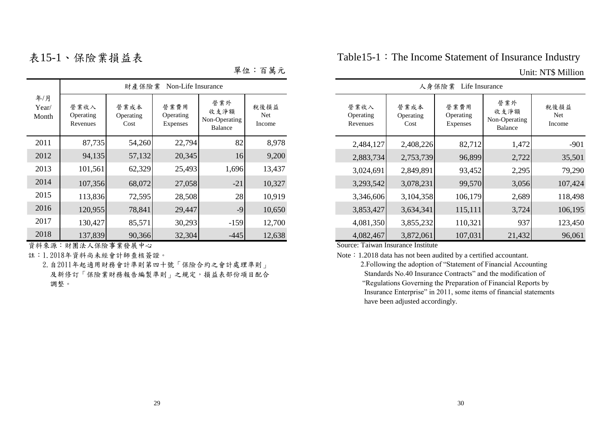| 單位: | 百萬元 |  |
|-----|-----|--|
|     |     |  |

|                       |                               | 財產保險業                     | Non-Life Insurance                   |                                         |                       |                               |                           | 人身保險業<br>Life Insurance              |                                         |                       |
|-----------------------|-------------------------------|---------------------------|--------------------------------------|-----------------------------------------|-----------------------|-------------------------------|---------------------------|--------------------------------------|-----------------------------------------|-----------------------|
| 年/月<br>Year/<br>Month | 營業收入<br>Operating<br>Revenues | 營業成本<br>Operating<br>Cost | 營業費用<br>Operating<br><b>Expenses</b> | 營業外<br>收支淨額<br>Non-Operating<br>Balance | 稅後損益<br>Net<br>Income | 營業收入<br>Operating<br>Revenues | 營業成本<br>Operating<br>Cost | 營業費用<br>Operating<br><b>Expenses</b> | 營業外<br>收支淨額<br>Non-Operating<br>Balance | 稅後損益<br>Net<br>Income |
| 2011                  | 87,735                        | 54,260                    | 22,794                               | 82                                      | 8,978                 | 2,484,127                     | 2,408,226                 | 82,712                               | 1,472                                   | $-901$                |
| 2012                  | 94,135                        | 57,132                    | 20,345                               | 16                                      | 9,200                 | 2,883,734                     | 2,753,739                 | 96,899                               | 2,722                                   | 35,501                |
| 2013                  | 101,561                       | 62,329                    | 25,493                               | 1,696                                   | 13,437                | 3,024,691                     | 2,849,891                 | 93,452                               | 2,295                                   | 79,290                |
| 2014                  | 107,356                       | 68,072                    | 27,058                               | $-21$                                   | 10,327                | 3,293,542                     | 3,078,231                 | 99,570                               | 3,056                                   | 107,424               |
| 2015                  | 113,836                       | 72,595                    | 28,508                               | 28                                      | 10,919                | 3,346,606                     | 3,104,358                 | 106,179                              | 2,689                                   | 118,498               |
| 2016                  | 120,955                       | 78,841                    | 29,447                               | $-9$                                    | 10,650                | 3,853,427                     | 3,634,341                 | 115,111                              | 3,724                                   | 106,195               |
| 2017                  | 130,427                       | 85,571                    | 30,293                               | $-159$                                  | 12,700                | 4,081,350                     | 3,855,232                 | 110,321                              | 937                                     | 123,450               |
| 2018                  | 137,839                       | 90,366                    | 32,304                               | $-445$                                  | 12,638                | 4,082,467                     | 3,872,061                 | 107,031                              | 21,432                                  | 96,061                |

資料來源:財團法人保險事業發展中心 Source: Taiwan Insurance Institute

 2.自2011年起適用財務會計準則第四十號「保險合約之會計處理準則」 及新修訂「保險業財務報告編製準則」之規定,損益表部份項目配合 調整。

表15-1、保險業損益表 Table15-1: The Income Statement of Insurance Industry

### 單位:百萬元 Unit: NT\$ Million

|                               |                           | 人身保險業<br>Life Insurance       |                                                |                       |
|-------------------------------|---------------------------|-------------------------------|------------------------------------------------|-----------------------|
| 營業收入<br>Operating<br>Revenues | 營業成本<br>Operating<br>Cost | 營業費用<br>Operating<br>Expenses | 營業外<br>收支淨額<br>Non-Operating<br><b>Balance</b> | 稅後損益<br>Net<br>Income |
| 2,484,127                     | 2,408,226                 | 82,712                        | 1,472                                          | $-901$                |
| 2,883,734                     | 2,753,739                 | 96,899                        | 2,722                                          | 35,501                |
| 3,024,691                     | 2,849,891                 | 93,452                        | 2,295                                          | 79,290                |
| 3,293,542                     | 3,078,231                 | 99,570                        | 3,056                                          | 107,424               |
| 3,346,606                     | 3,104,358                 | 106,179                       | 2,689                                          | 118,498               |
| 3,853,427                     | 3,634,341                 | 115,111                       | 3,724                                          | 106,195               |
| 4,081,350                     | 3,855,232                 | 110,321                       | 937                                            | 123,450               |
| 4,082,467                     | 3,872,061                 | 107,031                       | 21,432                                         | 96,061                |

註:1.2018年資料尚未經會計師查核簽證。 Note:1.2018 data has not been audited by a certified accountant.

 2.Following the adoption of "Statement of Financial Accounting Standards No.40 Insurance Contracts" and the modification of "Regulations Governing the Preparation of Financial Reports by Insurance Enterprise" in 2011, some items of financial statements have been adjusted accordingly.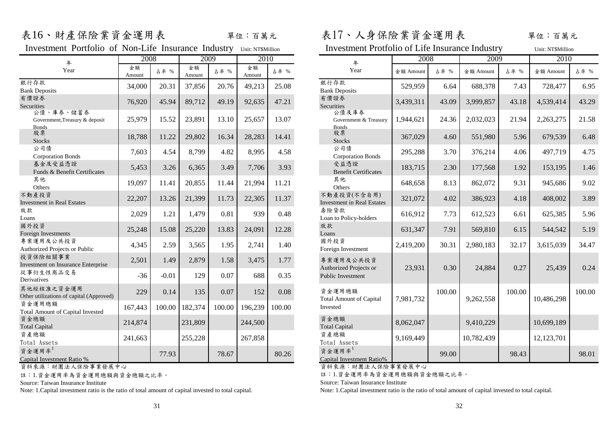Investment Portfolio of Non-Life Insurance Industry Unit: NT\$Million

| 年                                                           | 2008         |         |                | 2009   | 2010         |        | 年                                                | 2008      |        | 2009       |        | 2010       |        |
|-------------------------------------------------------------|--------------|---------|----------------|--------|--------------|--------|--------------------------------------------------|-----------|--------|------------|--------|------------|--------|
| Year                                                        | 金額<br>Amount | 占率 %    | 金額<br>Amount   | 占率 %   | 全額<br>Amount | 占率 %   | Year                                             | 金額 Amount | 占率 %   | 金額 Amount  | 占率 %   | 金額 Amount  | 占率 %   |
| 銀行存款<br><b>Bank Deposits</b>                                | 34,000       | 20.31   | 37,856         | 20.76  | 49,213       | 25.08  | 銀行存款<br><b>Bank Deposits</b>                     | 529,959   | 6.64   | 688,378    | 7.43   | 728,477    | 6.95   |
| 有價證券<br>Securities                                          | 76,920       | 45.94   | 89,712         | 49.19  | 92,635       | 47.21  | 有價證券<br>Securities                               | 3,439,311 | 43.09  | 3,999,857  | 43.18  | 4,539,414  | 43.29  |
| 公債、庫券、儲蓄券<br>Government, Treasury & deposit<br><b>Bonds</b> | 25,979       | 15.52   | 23,891         | 13.10  | 25,657       | 13.07  | 公債及庫券<br>Government & Treasury<br><b>Bonds</b>   | 1,944,621 | 24.36  | 2,032,023  | 21.94  | 2,263,275  | 21.58  |
| 股票<br><b>Stocks</b>                                         | 18,788       | 11.22   | 29,802         | 16.34  | 28,283       | 14.41  | 股票<br><b>Stocks</b>                              | 367,029   | 4.60   | 551,980    | 5.96   | 679,539    | 6.48   |
| 公司債<br><b>Corporation Bonds</b>                             | 7,603        | 4.54    | 8,799          | 4.82   | 8,995        | 4.58   | 公司債<br><b>Corporation Bonds</b>                  | 295,288   | 3.70   | 376,214    | 4.06   | 497,719    | 4.75   |
| 基金及受益憑證<br>Funds & Benefit Certificates                     | 5,453        | 3.26    | 6,365          | 3.49   | 7,706        | 3.93   | 受益憑證<br><b>Benefit Certificates</b>              | 183,715   | 2.30   | 177,568    | 1.92   | 153,195    | 1.46   |
| 其他<br>Others                                                | 19,097       | 11.41   | 20,855         | 11.44  | 21,994       | 11.21  | 其他<br>Others                                     | 648,658   | 8.13   | 862,072    | 9.31   | 945,686    | 9.02   |
| 不動產投資<br><b>Investment in Real Estates</b>                  | 22,207       | 13.26   | 21,399         | 11.73  | 22,305       | 11.37  | 不動產投資(不含自用)<br><b>Investment in Real Estates</b> | 321,072   | 4.02   | 386,923    | 4.18   | 408,002    | 3.89   |
| 放款<br>Loans                                                 | 2,029        | 1.21    | 1,479          | 0.81   | 939          | 0.48   | 壽險貸款<br>Loan to Policy-holders                   | 616,912   | 7.73   | 612,523    | 6.61   | 625,385    | 5.96   |
| 國外投資<br>Foreign Investments                                 | 25,248       | 15.08   | 25,220         | 13.83  | 24,091       | 12.28  | 放款<br>Loans                                      | 631,347   | 7.91   | 569,810    | 6.15   | 544,542    | 5.19   |
| 專案運用及公共投資<br>Authorized Projects or Public                  | 4,345        | 2.59    | 3,565          | 1.95   | 2,741        | 1.40   | 國外投資<br>Foreign Investment                       | 2,419,200 | 30.31  | 2,980,183  | 32.17  | 3,615,039  | 34.47  |
| 投資保險相關事業<br>Investment on Insurance Enterprise              | 2,501        | 1.49    | 2,879          | 1.58   | 3,475        | 1.77   | 專案運用及公共投資<br>Authorized Projects or              | 23,931    | 0.30   | 24,884     | 0.27   | 25,439     | 0.24   |
| 從事衍生性商品交易<br>Derivatives                                    | $-36$        | $-0.01$ | 129            | 0.07   | 688          | 0.35   | Public Investment                                |           |        |            |        |            |        |
| 其他經核准之資金運用<br>Other utilizations of capital (Approved)      | 229          | 0.14    | 135            | 0.07   | 152          | 0.08   | 資金運用總額<br><b>Total Amount of Capital</b>         | 7,981,732 | 100.00 | 9,262,558  | 100.00 | 10,486,298 | 100.00 |
| 資金運用總額<br><b>Total Amount of Capital Invested</b>           | 167,443      |         | 100.00 182,374 | 100.00 | 196,239      | 100.00 | Invested                                         |           |        |            |        |            |        |
| 資金總額<br><b>Total Capital</b>                                | 214,874      |         | 231,809        |        | 244,500      |        | 資金總額<br><b>Total Capital</b>                     | 8,062,047 |        | 9,410,229  |        | 10,699,189 |        |
| 資產總額<br>Total Assets                                        | 241,663      |         | 255,228        |        | 267,858      |        | 資產總額<br>Total Assets                             | 9,169,449 |        | 10,782,439 |        | 12,123,701 |        |
| 資金運用率 <sup>1</sup><br>Capital Investment Ratio %            |              | 77.93   |                | 78.67  |              | 80.26  | 資金運用率 <sup>1</sup><br>Capital Investment Ratio%  |           | 99.00  |            | 98.43  |            | 98.01  |

資料來源:財團法人保險事業發展中心

註:1.資金運用率為資金運用總額與資金總額之比率。

Source: Taiwan Insurance Institute

表16、財產保險業資金運用表 單位:百萬元 表17、人身保險業資金運用表 單位:百萬元

| Portfolio of Non-Life Insurance Industry Unit: NT\$Million |              |         |              |        |              |        | <b>Investment Protfolio of Life Insurance Industry</b> |           |        |            |        | Unit: NT\$Million |        |
|------------------------------------------------------------|--------------|---------|--------------|--------|--------------|--------|--------------------------------------------------------|-----------|--------|------------|--------|-------------------|--------|
| 年                                                          | 2008         |         | 2009         |        | 2010         |        | 年                                                      | 2008      |        | 2009       |        | 2010              |        |
| 'ear                                                       | 金額<br>Amount | 占率 %    | 金額<br>Amount | 占率 %   | 全額<br>Amount | 占率 %   | Year                                                   | 金額 Amount | 占率 %   | 金額 Amount  | 占率 %   | 金額 Amount         | 占率 %   |
|                                                            | 34,000       | 20.31   | 37,856       | 20.76  | 49,213       | 25.08  | 銀行存款<br><b>Bank Deposits</b>                           | 529,959   | 6.64   | 688,378    | 7.43   | 728,477           | 6.95   |
|                                                            | 76,920       | 45.94   | 89,712       | 49.19  | 92,635       | 47.21  | 有價證券<br>Securities                                     | 3,439,311 | 43.09  | 3,999,857  | 43.18  | 4,539,414         | 43.29  |
| 、儲蓄券<br>reasury & deposit                                  | 25,979       | 15.52   | 23,891       | 13.10  | 25,657       | 13.07  | 公債及庫券<br>Government & Treasury<br><b>Bonds</b>         | 1,944,621 | 24.36  | 2,032,023  | 21.94  | 2,263,275         | 21.58  |
|                                                            | 18,788       | 11.22   | 29,802       | 16.34  | 28,283       | 14.41  | 股票<br>Stocks                                           | 367,029   | 4.60   | 551,980    | 5.96   | 679,539           | 6.48   |
| <b>Bonds</b>                                               | 7,603        | 4.54    | 8,799        | 4.82   | 8,995        | 4.58   | 公司債<br><b>Corporation Bonds</b>                        | 295,288   | 3.70   | 376,214    | 4.06   | 497,719           | 4.75   |
| 憑證<br>efit Certificates                                    | 5,453        | 3.26    | 6,365        | 3.49   | 7,706        | 3.93   | 受益憑證<br><b>Benefit Certificates</b>                    | 183,715   | 2.30   | 177,568    | 1.92   | 153,195           | 1.46   |
|                                                            | 19,097       | 11.41   | 20,855       | 11.44  | 21,994       | 11.21  | 其他<br>Others                                           | 648,658   | 8.13   | 862,072    | 9.31   | 945,686           | 9.02   |
| Estates                                                    | 22,207       | 13.26   | 21,399       | 11.73  | 22,305       | 11.37  | 不動產投資(不含自用)<br><b>Investment in Real Estates</b>       | 321,072   | 4.02   | 386,923    | 4.18   | 408,002           | 3.89   |
|                                                            | 2,029        | 1.21    | 1,479        | 0.81   | 939          | 0.48   | 壽險貸款<br>Loan to Policy-holders                         | 616,912   | 7.73   | 612,523    | 6.61   | 625,385           | 5.96   |
| ts.                                                        | 25,248       | 15.08   | 25,220       | 13.83  | 24,091       | 12.28  | 放款<br>Loans                                            | 631,347   | 7.91   | 569,810    | 6.15   | 544,542           | 5.19   |
| 投資<br>ts or Public                                         | 4,345        | 2.59    | 3,565        | 1.95   | 2,741        | 1.40   | 國外投資<br>Foreign Investment                             | 2,419,200 | 30.31  | 2,980,183  | 32.17  | 3,615,039         | 34.47  |
| <b>trance Enterprise</b>                                   | 2,501        | 1.49    | 2,879        | 1.58   | 3,475        | 1.77   | 專案運用及公共投資<br>Authorized Projects or                    | 23,931    | 0.30   | 24,884     | 0.27   | 25,439            | 0.24   |
| 交易                                                         | $-36$        | $-0.01$ | 129          | 0.07   | 688          | 0.35   | Public Investment                                      |           |        |            |        |                   |        |
| 金運用<br>f capital (Approved)                                | 229          | 0.14    | 135          | 0.07   | 152          | 0.08   | 資金運用總額<br>Total Amount of Capital                      | 7,981,732 | 100.00 | 9,262,558  | 100.00 | 10,486,298        | 100.00 |
| Capital Invested                                           | 167,443      | 100.00  | 182,374      | 100.00 | 196,239      | 100.00 | Invested                                               |           |        |            |        |                   |        |
|                                                            | 214,874      |         | 231,809      |        | 244,500      |        | 資金總額<br><b>Total Capital</b>                           | 8,062,047 |        | 9,410,229  |        | 10,699,189        |        |
|                                                            | 241,663      |         | 255,228      |        | 267,858      |        | 資產總額<br>Total Assets                                   | 9,169,449 |        | 10,782,439 |        | 12,123,701        |        |
| t Ratio %                                                  |              | 77.93   |              | 78.67  |              | 80.26  | 資金運用率 <sup>1</sup><br>Capital Investment Ratio%        |           | 99.00  |            | 98.43  |                   | 98.01  |

資料來源:財團法人保險事業發展中心

註:1.資金運用率為資金運用總額與資金總額之比率。

Source: Taiwan Insurance Institute

Note: 1.Capital investment ratio is the ratio of total amount of capital invested to total capital. Note: 1.Capital investment ratio is the ratio of total amount of capital invested to total capital.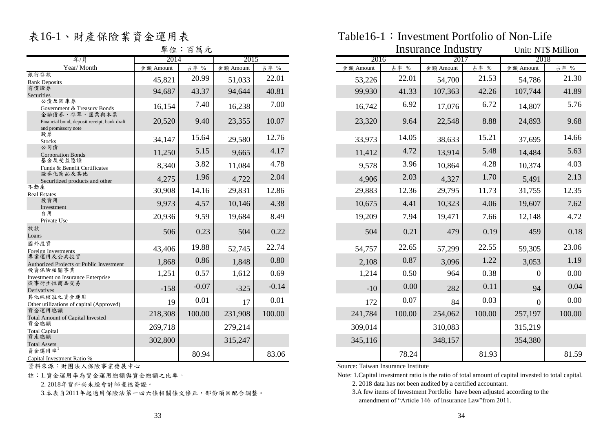# 單位:百萬元

|                                                                                     | 十一        | $\overline{\phantom{a}}$<br>ロ 肉 八 |           |         |           |        | mourance muusu |        |           | UMIL. IN LO IVILLIIOII |
|-------------------------------------------------------------------------------------|-----------|-----------------------------------|-----------|---------|-----------|--------|----------------|--------|-----------|------------------------|
| 年/月                                                                                 | 2014      |                                   | 2015      |         | 2016      |        | 2017           |        | 2018      |                        |
| Year/Month                                                                          | 金額 Amount | 占率 %                              | 金額 Amount | 占率 %    | 金額 Amount | 占率 %   | 金額 Amount      | 占率 %   | 金額 Amount | 占率 %                   |
| 銀行存款<br><b>Bank Deposits</b>                                                        | 45,821    | 20.99                             | 51,033    | 22.01   | 53,226    | 22.01  | 54,700         | 21.53  | 54,786    | 21.30                  |
| 有價證券<br>Securities                                                                  | 94,687    | 43.37                             | 94,644    | 40.81   | 99,930    | 41.33  | 107,363        | 42.26  | 107,744   | 41.89                  |
| 公債及國庫券<br>Government & Treasury Bonds                                               | 16,154    | 7.40                              | 16,238    | 7.00    | 16,742    | 6.92   | 17,076         | 6.72   | 14,807    | 5.76                   |
| 金融債券、存單、匯票與本票<br>Financial bond, deposit receipt, bank draft<br>and promissory note | 20,520    | 9.40                              | 23,355    | 10.07   | 23,320    | 9.64   | 22,548         | 8.88   | 24,893    | 9.68                   |
| 股票<br><b>Stocks</b>                                                                 | 34,147    | 15.64                             | 29,580    | 12.76   | 33,973    | 14.05  | 38,633         | 15.21  | 37,695    | 14.66                  |
| 公司債<br><b>Corporation Bonds</b>                                                     | 11,250    | 5.15                              | 9,665     | 4.17    | 11,412    | 4.72   | 13,914         | 5.48   | 14,484    | 5.63                   |
| 基金及受益憑證<br>Funds & Benefit Certificates                                             | 8,340     | 3.82                              | 11,084    | 4.78    | 9,578     | 3.96   | 10,864         | 4.28   | 10,374    | 4.03                   |
| 證券化商品及其他<br>Securitized products and other                                          | 4,275     | 1.96                              | 4,722     | 2.04    | 4,906     | 2.03   | 4,327          | 1.70   | 5,491     | 2.13                   |
| 不動產<br><b>Real Estates</b>                                                          | 30,908    | 14.16                             | 29,831    | 12.86   | 29,883    | 12.36  | 29,795         | 11.73  | 31,755    | 12.35                  |
| 投資用<br>Investment                                                                   | 9,973     | 4.57                              | 10,146    | 4.38    | 10,675    | 4.41   | 10,323         | 4.06   | 19,607    | 7.62                   |
| 自用<br>Private Use                                                                   | 20,936    | 9.59                              | 19,684    | 8.49    | 19,209    | 7.94   | 19,471         | 7.66   | 12,148    | 4.72                   |
| 放款<br>Loans                                                                         | 506       | 0.23                              | 504       | 0.22    | 504       | 0.21   | 479            | 0.19   | 459       | 0.18                   |
| 國外投資<br>Foreign Investments                                                         | 43,406    | 19.88                             | 52,745    | 22.74   | 54,757    | 22.65  | 57,299         | 22.55  | 59,305    | 23.06                  |
| 專案運用及公共投資<br>Authorized Projects or Public Investment                               | 1,868     | 0.86                              | 1,848     | 0.80    | 2,108     | 0.87   | 3,096          | 1.22   | 3,053     | 1.19                   |
| 投資保險相關事業<br>Investment on Insurance Enterprise                                      | 1,251     | 0.57                              | 1,612     | 0.69    | 1,214     | 0.50   | 964            | 0.38   | $\Omega$  | 0.00                   |
| 從事衍生性商品交易<br>Derivatives                                                            | $-158$    | $-0.07$                           | $-325$    | $-0.14$ | $-10$     | 0.00   | 282            | 0.11   | 94        | 0.04                   |
| 其他經核准之資金運用<br>Other utilizations of capital (Approved)                              | 19        | 0.01                              | 17        | 0.01    | 172       | 0.07   | 84             | 0.03   | $\Omega$  | 0.00                   |
| 資金運用總額<br><b>Total Amount of Capital Invested</b>                                   | 218,308   | 100.00                            | 231,908   | 100.00  | 241,784   | 100.00 | 254,062        | 100.00 | 257,197   | 100.00                 |
| 資金總額<br><b>Total Capital</b>                                                        | 269,718   |                                   | 279,214   |         | 309,014   |        | 310,083        |        | 315,219   |                        |
| 資產總額<br><b>Total Assets</b>                                                         | 302,800   |                                   | 315,247   |         | 345,116   |        | 348,157        |        | 354,380   |                        |
| 資金運用率1<br>Conital Invostment Datio 04                                               |           | 80.94                             |           | 83.06   |           | 78.24  |                | 81.93  |           | 81.59                  |

**TOOS TOOS ASSESSES ARE ARRANGED AT A SOURCE IN SOURCE: Taiwan Insurance Institute** Source: Taiwan Insurance Institute

註:1.資金運用率為資金運用總額與資金總額之比率。

2. 2018年資料尚未經會計師查核簽證。

3.本表自2011年起適用保險法第一四六條相關條文修正,部份項目配合調整。

## 表16-1、財產保險業資金運用表 Table16-1: Investment Portfolio of Non-Life

|                                                                                     |           | 單位:百萬元  |           |         |           |        | Insurance Industry |        |           | Unit: NT\$ Million |
|-------------------------------------------------------------------------------------|-----------|---------|-----------|---------|-----------|--------|--------------------|--------|-----------|--------------------|
| 年/月                                                                                 | 2014      |         | 2015      |         | 2016      |        | 2017               |        | 2018      |                    |
| Year/Month                                                                          | 金額 Amount | 占率 %    | 金額 Amount | 占率 %    | 金額 Amount | 占率 %   | 金額 Amount          | 占率 %   | 金額 Amount | 占率 %               |
| 銀行存款<br><b>Bank Deposits</b>                                                        | 45,821    | 20.99   | 51,033    | 22.01   | 53,226    | 22.01  | 54,700             | 21.53  | 54,786    | 21.30              |
| 有價證券<br><b>Securities</b>                                                           | 94,687    | 43.37   | 94,644    | 40.81   | 99,930    | 41.33  | 107,363            | 42.26  | 107,744   | 41.89              |
| 公債及國庫券<br>Government & Treasury Bonds                                               | 16,154    | 7.40    | 16,238    | 7.00    | 16,742    | 6.92   | 17,076             | 6.72   | 14,807    | 5.76               |
| 金融債券、存單、匯票與本票<br>Financial bond, deposit receipt, bank draft<br>and promissory note | 20,520    | 9.40    | 23,355    | 10.07   | 23,320    | 9.64   | 22,548             | 8.88   | 24,893    | 9.68               |
| 股票<br>Stocks                                                                        | 34,147    | 15.64   | 29,580    | 12.76   | 33,973    | 14.05  | 38,633             | 15.21  | 37,695    | 14.66              |
| 公司債<br><b>Corporation Bonds</b>                                                     | 11,250    | 5.15    | 9,665     | 4.17    | 11,412    | 4.72   | 13,914             | 5.48   | 14,484    | 5.63               |
| 基金及受益憑證<br>Funds & Benefit Certificates                                             | 8,340     | 3.82    | 11,084    | 4.78    | 9,578     | 3.96   | 10,864             | 4.28   | 10,374    | 4.03               |
| 證券化商品及其他<br>Securitized products and other                                          | 4,275     | 1.96    | 4,722     | 2.04    | 4,906     | 2.03   | 4,327              | 1.70   | 5,491     | 2.13               |
| 不動產<br><b>Real Estates</b>                                                          | 30,908    | 14.16   | 29,831    | 12.86   | 29,883    | 12.36  | 29,795             | 11.73  | 31,755    | 12.35              |
| 投資用<br>Investment                                                                   | 9,973     | 4.57    | 10,146    | 4.38    | 10,675    | 4.41   | 10,323             | 4.06   | 19,607    | 7.62               |
| 自用<br>Private Use                                                                   | 20,936    | 9.59    | 19,684    | 8.49    | 19,209    | 7.94   | 19,471             | 7.66   | 12,148    | 4.72               |
| 放款<br>Loans                                                                         | 506       | 0.23    | 504       | 0.22    | 504       | 0.21   | 479                | 0.19   | 459       | 0.18               |
| 國外投資<br>Foreign Investments                                                         | 43,406    | 19.88   | 52,745    | 22.74   | 54,757    | 22.65  | 57,299             | 22.55  | 59,305    | 23.06              |
| 專案運用及公共投資<br>Authorized Projects or Public Investment                               | 1,868     | 0.86    | 1,848     | 0.80    | 2,108     | 0.87   | 3,096              | 1.22   | 3,053     | 1.19               |
| 投資保險相關事業<br><b>Investment on Insurance Enterprise</b>                               | 1,251     | 0.57    | 1,612     | 0.69    | 1,214     | 0.50   | 964                | 0.38   | $\Omega$  | 0.00               |
| 從事衍生性商品交易<br>Derivatives                                                            | $-158$    | $-0.07$ | $-325$    | $-0.14$ | $-10$     | 0.00   | 282                | 0.11   | 94        | 0.04               |
| 其他經核准之資金運用<br>Other utilizations of capital (Approved)                              | 19        | 0.01    | 17        | 0.01    | 172       | 0.07   | 84                 | 0.03   | $\Omega$  | 0.00               |
| 資金運用總額<br><b>Total Amount of Capital Invested</b>                                   | 218,308   | 100.00  | 231,908   | 100.00  | 241,784   | 100.00 | 254,062            | 100.00 | 257,197   | 100.00             |
| 資金總額<br><b>Total Capital</b>                                                        | 269,718   |         | 279,214   |         | 309,014   |        | 310,083            |        | 315,219   |                    |
| 資產總額<br><b>Total Assets</b>                                                         | 302,800   |         | 315,247   |         | 345,116   |        | 348,157            |        | 354,380   |                    |
| 資金運用率 <sup>1</sup><br>Capital Investment Ratio %                                    |           | 80.94   |           | 83.06   |           | 78.24  |                    | 81.93  |           | 81.59              |

Note: 1.Capital investment ratio is the ratio of total amount of capital invested to total capital.

2. 2018 data has not been audited by a certified accountant.

 3.A few items of Investment Portfolio have been adjusted according to the amendment of "Article 146 of Insurance Law"from 2011.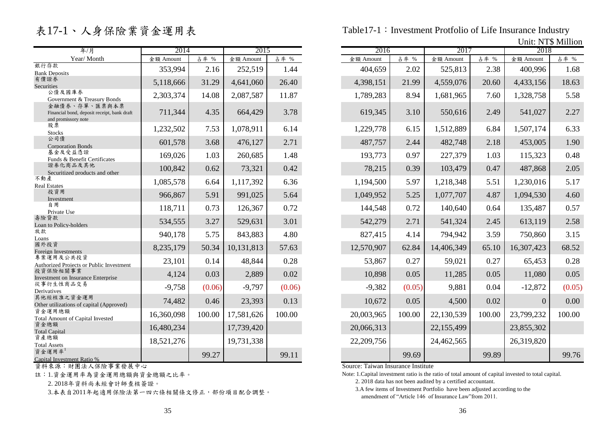# 表17-1、人身保險業資金運用表

| 年/月                                                                                 | 2014       |        | 2015       |        | 2016       |        | 2017       |        | 2018           |        |
|-------------------------------------------------------------------------------------|------------|--------|------------|--------|------------|--------|------------|--------|----------------|--------|
| Year/Month                                                                          | 金額 Amount  | 占率 %   | 金額 Amount  | 占率 %   | 金額 Amount  | 占率 %   | 金額 Amount  | 占率 %   | 金額 Amount      | 占率 %   |
| 銀行存款<br><b>Bank Deposits</b>                                                        | 353,994    | 2.16   | 252,519    | 1.44   | 404,659    | 2.02   | 525,813    | 2.38   | 400,996        | 1.68   |
| 有價證券<br>Securities                                                                  | 5,118,666  | 31.29  | 4,641,060  | 26.40  | 4,398,151  | 21.99  | 4,559,076  | 20.60  | 4,433,156      | 18.63  |
| 公債及國庫券<br>Government & Treasury Bonds                                               | 2,303,374  | 14.08  | 2,087,587  | 11.87  | 1,789,283  | 8.94   | 1,681,965  | 7.60   | 1,328,758      | 5.58   |
| 金融債券、存單、匯票與本票<br>Financial bond, deposit receipt, bank draft<br>and promissory note | 711,344    | 4.35   | 664,429    | 3.78   | 619,345    | 3.10   | 550,616    | 2.49   | 541,027        | 2.27   |
| 股票<br><b>Stocks</b>                                                                 | 1,232,502  | 7.53   | 1,078,911  | 6.14   | 1,229,778  | 6.15   | 1,512,889  | 6.84   | 1,507,174      | 6.33   |
| 公司債<br><b>Corporation Bonds</b>                                                     | 601,578    | 3.68   | 476,127    | 2.71   | 487,757    | 2.44   | 482,748    | 2.18   | 453,005        | 1.90   |
| 基金及受益憑證<br>Funds & Benefit Certificates                                             | 169,026    | 1.03   | 260,685    | 1.48   | 193,773    | 0.97   | 227,379    | 1.03   | 115,323        | 0.48   |
| 證券化商品及其他<br>Securitized products and other                                          | 100,842    | 0.62   | 73,321     | 0.42   | 78,215     | 0.39   | 103,479    | 0.47   | 487,868        | 2.05   |
| 不動產<br><b>Real Estates</b>                                                          | 1,085,578  | 6.64   | 1,117,392  | 6.36   | 1,194,500  | 5.97   | 1,218,348  | 5.51   | 1,230,016      | 5.17   |
| 投資用<br>Investment                                                                   | 966,867    | 5.91   | 991,025    | 5.64   | 1,049,952  | 5.25   | 1,077,707  | 4.87   | 1,094,530      | 4.60   |
| 自用<br>Private Use                                                                   | 118,711    | 0.73   | 126,367    | 0.72   | 144,548    | 0.72   | 140,640    | 0.64   | 135,487        | 0.57   |
| 壽險貸款<br>Loan to Policy-holders                                                      | 534,555    | 3.27   | 529,631    | 3.01   | 542,279    | 2.71   | 541,324    | 2.45   | 613,119        | 2.58   |
| 放款<br>Loans                                                                         | 940,178    | 5.75   | 843,883    | 4.80   | 827,415    | 4.14   | 794,942    | 3.59   | 750,860        | 3.15   |
| 國外投資<br>Foreign Investments                                                         | 8,235,179  | 50.34  | 10,131,813 | 57.63  | 12,570,907 | 62.84  | 14,406,349 | 65.10  | 16,307,423     | 68.52  |
| 專案運用及公共投資<br>Authorized Projects or Public Investment                               | 23,101     | 0.14   | 48,844     | 0.28   | 53,867     | 0.27   | 59,021     | 0.27   | 65,453         | 0.28   |
| 投資保險相關事業<br>Investment on Insurance Enterprise                                      | 4,124      | 0.03   | 2,889      | 0.02   | 10,898     | 0.05   | 11,285     | 0.05   | 11,080         | 0.05   |
| 從事衍生性商品交易<br>Derivatives                                                            | $-9,758$   | (0.06) | $-9,797$   | (0.06) | $-9,382$   | (0.05) | 9,881      | 0.04   | $-12,872$      | (0.05) |
| 其他經核准之資金運用<br>Other utilizations of capital (Approved)                              | 74,482     | 0.46   | 23,393     | 0.13   | 10,672     | 0.05   | 4,500      | 0.02   | $\overline{0}$ | 0.00   |
| 資金運用總額<br><b>Total Amount of Capital Invested</b>                                   | 16,360,098 | 100.00 | 17,581,626 | 100.00 | 20,003,965 | 100.00 | 22,130,539 | 100.00 | 23,799,232     | 100.00 |
| 資金總額<br><b>Total Capital</b>                                                        | 16,480,234 |        | 17,739,420 |        | 20,066,313 |        | 22,155,499 |        | 23,855,302     |        |
| 資產總額<br><b>Total Assets</b>                                                         | 18,521,276 |        | 19,731,338 |        | 22,209,756 |        | 24,462,565 |        | 26,319,820     |        |
| 資金運用率 <sup>1</sup><br>Capital Investment Ratio %                                    |            | 99.27  |            | 99.11  |            | 99.69  |            | 99.89  |                | 99.76  |

資料來源:財團法人保險事業發展中心

註:1.資金運用率為資金運用總額與資金總額之比率。

2. 2018年資料尚未經會計師查核簽證。

3.本表自2011年起適用保險法第一四六條相關條文修正,部份項目配合調整。

Table17-1: Investment Protfolio of Life Insurance Industry

 $U_{\text{min}}$  MT $\phi$  Million

| 2014<br>2016<br>2015<br>2017<br>2018<br>占率 %<br>占率 %<br>占率 %<br>占率 %<br>金額 Amount<br>金額 Amount<br>金額 Amount<br>金額 Amount<br>252,519<br>1.44<br>404,659<br>2.02<br>525,813<br>2.38<br>400,996<br>353,994<br>2.16<br>26.40<br>4,398,151<br>5,118,666<br>31.29<br>4,641,060<br>21.99<br>4,559,076<br>20.60<br>4,433,156<br>2,303,374<br>2,087,587<br>11.87<br>8.94<br>7.60<br>14.08<br>1,789,283<br>1,681,965<br>1,328,758<br>711,344<br>3.78<br>4.35<br>664,429<br>619,345<br>3.10<br>550,616<br>2.49<br>541,027<br>1,232,502<br>7.53<br>1,078,911<br>6.14<br>1,229,778<br>6.15<br>1,512,889<br>6.84<br>1,507,174<br>476,127<br>2.71<br>487,757<br>2.44<br>482,748<br>2.18<br>601,578<br>3.68<br>453,005<br>0.97<br>169,026<br>1.03<br>1.48<br>193,773<br>227,379<br>1.03<br>115,323<br>260,685<br>100,842<br>0.42<br>78,215<br>0.39<br>103,479<br>0.47<br>487,868<br>0.62<br>73,321<br>6.36<br>1,194,500<br>5.97<br>5.51<br>1,230,016<br>1,085,578<br>6.64<br>1,117,392<br>1,218,348<br>5.64<br>4.87<br>966,867<br>5.91<br>991,025<br>1,049,952<br>5.25<br>1,077,707<br>1,094,530<br>118,711<br>0.72<br>144,548<br>0.72<br>140,640<br>0.73<br>126,367<br>0.64<br>135,487<br>3.01<br>3.27<br>542,279<br>2.71<br>541,324<br>2.45<br>613,119<br>534,555<br>529,631<br>940,178<br>843,883<br>4.80<br>827,415<br>4.14<br>794,942<br>5.75<br>3.59<br>750,860<br>50.34<br>10,131,813<br>12,570,907<br>62.84<br>14,406,349<br>16,307,423<br>8,235,179<br>57.63<br>65.10<br>0.28<br>0.27<br>23,101<br>0.14<br>48,844<br>53,867<br>59,021<br>0.27<br>65,453<br>0.02<br>0.03<br>10,898<br>0.05<br>0.05<br>4,124<br>2,889<br>11,285<br>11,080<br>(0.05)<br>0.04<br>$-9,758$<br>(0.06)<br>$-9,797$<br>(0.06)<br>$-9,382$<br>9,881<br>$-12,872$<br>74,482<br>0.46<br>0.13<br>0.05<br>0.02<br>23,393<br>10,672<br>4,500<br>$\overline{0}$<br>100.00<br>100.00<br>100.00<br>100.00<br>17,581,626<br>20,003,965<br>22,130,539<br>23,799,232<br>17,739,420<br>20,066,313<br>22,155,499<br>23,855,302<br>19,731,338<br>22,209,756<br>24,462,565<br>26,319,820<br>99.27<br>99.11<br>99.89<br>99.69 |      | UNIU: IN LO MILIION |  |  |  |  |  |
|-------------------------------------------------------------------------------------------------------------------------------------------------------------------------------------------------------------------------------------------------------------------------------------------------------------------------------------------------------------------------------------------------------------------------------------------------------------------------------------------------------------------------------------------------------------------------------------------------------------------------------------------------------------------------------------------------------------------------------------------------------------------------------------------------------------------------------------------------------------------------------------------------------------------------------------------------------------------------------------------------------------------------------------------------------------------------------------------------------------------------------------------------------------------------------------------------------------------------------------------------------------------------------------------------------------------------------------------------------------------------------------------------------------------------------------------------------------------------------------------------------------------------------------------------------------------------------------------------------------------------------------------------------------------------------------------------------------------------------------------------------------------------------------------------------------------------------------------------------------------------------------------------------------------------------------------------------------------------------------------------------------------------------------------------------------------------------|------|---------------------|--|--|--|--|--|
| 金額 Amount<br>16,360,098<br>16,480,234<br>18,521,276                                                                                                                                                                                                                                                                                                                                                                                                                                                                                                                                                                                                                                                                                                                                                                                                                                                                                                                                                                                                                                                                                                                                                                                                                                                                                                                                                                                                                                                                                                                                                                                                                                                                                                                                                                                                                                                                                                                                                                                                                           |      |                     |  |  |  |  |  |
|                                                                                                                                                                                                                                                                                                                                                                                                                                                                                                                                                                                                                                                                                                                                                                                                                                                                                                                                                                                                                                                                                                                                                                                                                                                                                                                                                                                                                                                                                                                                                                                                                                                                                                                                                                                                                                                                                                                                                                                                                                                                               | 占率 % |                     |  |  |  |  |  |
| 18.63                                                                                                                                                                                                                                                                                                                                                                                                                                                                                                                                                                                                                                                                                                                                                                                                                                                                                                                                                                                                                                                                                                                                                                                                                                                                                                                                                                                                                                                                                                                                                                                                                                                                                                                                                                                                                                                                                                                                                                                                                                                                         |      |                     |  |  |  |  |  |
|                                                                                                                                                                                                                                                                                                                                                                                                                                                                                                                                                                                                                                                                                                                                                                                                                                                                                                                                                                                                                                                                                                                                                                                                                                                                                                                                                                                                                                                                                                                                                                                                                                                                                                                                                                                                                                                                                                                                                                                                                                                                               |      |                     |  |  |  |  |  |
|                                                                                                                                                                                                                                                                                                                                                                                                                                                                                                                                                                                                                                                                                                                                                                                                                                                                                                                                                                                                                                                                                                                                                                                                                                                                                                                                                                                                                                                                                                                                                                                                                                                                                                                                                                                                                                                                                                                                                                                                                                                                               |      |                     |  |  |  |  |  |
| 6.33<br>0.48<br>2.05<br>5.17<br>4.60<br>0.57<br>2.58<br>68.52<br>0.28<br>0.05<br>(0.05)<br>0.00<br>100.00<br>99.76                                                                                                                                                                                                                                                                                                                                                                                                                                                                                                                                                                                                                                                                                                                                                                                                                                                                                                                                                                                                                                                                                                                                                                                                                                                                                                                                                                                                                                                                                                                                                                                                                                                                                                                                                                                                                                                                                                                                                            | 2.27 |                     |  |  |  |  |  |
|                                                                                                                                                                                                                                                                                                                                                                                                                                                                                                                                                                                                                                                                                                                                                                                                                                                                                                                                                                                                                                                                                                                                                                                                                                                                                                                                                                                                                                                                                                                                                                                                                                                                                                                                                                                                                                                                                                                                                                                                                                                                               |      |                     |  |  |  |  |  |
|                                                                                                                                                                                                                                                                                                                                                                                                                                                                                                                                                                                                                                                                                                                                                                                                                                                                                                                                                                                                                                                                                                                                                                                                                                                                                                                                                                                                                                                                                                                                                                                                                                                                                                                                                                                                                                                                                                                                                                                                                                                                               |      |                     |  |  |  |  |  |
|                                                                                                                                                                                                                                                                                                                                                                                                                                                                                                                                                                                                                                                                                                                                                                                                                                                                                                                                                                                                                                                                                                                                                                                                                                                                                                                                                                                                                                                                                                                                                                                                                                                                                                                                                                                                                                                                                                                                                                                                                                                                               |      |                     |  |  |  |  |  |
|                                                                                                                                                                                                                                                                                                                                                                                                                                                                                                                                                                                                                                                                                                                                                                                                                                                                                                                                                                                                                                                                                                                                                                                                                                                                                                                                                                                                                                                                                                                                                                                                                                                                                                                                                                                                                                                                                                                                                                                                                                                                               |      |                     |  |  |  |  |  |
|                                                                                                                                                                                                                                                                                                                                                                                                                                                                                                                                                                                                                                                                                                                                                                                                                                                                                                                                                                                                                                                                                                                                                                                                                                                                                                                                                                                                                                                                                                                                                                                                                                                                                                                                                                                                                                                                                                                                                                                                                                                                               |      |                     |  |  |  |  |  |
|                                                                                                                                                                                                                                                                                                                                                                                                                                                                                                                                                                                                                                                                                                                                                                                                                                                                                                                                                                                                                                                                                                                                                                                                                                                                                                                                                                                                                                                                                                                                                                                                                                                                                                                                                                                                                                                                                                                                                                                                                                                                               |      |                     |  |  |  |  |  |
|                                                                                                                                                                                                                                                                                                                                                                                                                                                                                                                                                                                                                                                                                                                                                                                                                                                                                                                                                                                                                                                                                                                                                                                                                                                                                                                                                                                                                                                                                                                                                                                                                                                                                                                                                                                                                                                                                                                                                                                                                                                                               |      |                     |  |  |  |  |  |
|                                                                                                                                                                                                                                                                                                                                                                                                                                                                                                                                                                                                                                                                                                                                                                                                                                                                                                                                                                                                                                                                                                                                                                                                                                                                                                                                                                                                                                                                                                                                                                                                                                                                                                                                                                                                                                                                                                                                                                                                                                                                               |      |                     |  |  |  |  |  |
|                                                                                                                                                                                                                                                                                                                                                                                                                                                                                                                                                                                                                                                                                                                                                                                                                                                                                                                                                                                                                                                                                                                                                                                                                                                                                                                                                                                                                                                                                                                                                                                                                                                                                                                                                                                                                                                                                                                                                                                                                                                                               |      |                     |  |  |  |  |  |
|                                                                                                                                                                                                                                                                                                                                                                                                                                                                                                                                                                                                                                                                                                                                                                                                                                                                                                                                                                                                                                                                                                                                                                                                                                                                                                                                                                                                                                                                                                                                                                                                                                                                                                                                                                                                                                                                                                                                                                                                                                                                               |      |                     |  |  |  |  |  |
|                                                                                                                                                                                                                                                                                                                                                                                                                                                                                                                                                                                                                                                                                                                                                                                                                                                                                                                                                                                                                                                                                                                                                                                                                                                                                                                                                                                                                                                                                                                                                                                                                                                                                                                                                                                                                                                                                                                                                                                                                                                                               |      |                     |  |  |  |  |  |
|                                                                                                                                                                                                                                                                                                                                                                                                                                                                                                                                                                                                                                                                                                                                                                                                                                                                                                                                                                                                                                                                                                                                                                                                                                                                                                                                                                                                                                                                                                                                                                                                                                                                                                                                                                                                                                                                                                                                                                                                                                                                               |      |                     |  |  |  |  |  |
|                                                                                                                                                                                                                                                                                                                                                                                                                                                                                                                                                                                                                                                                                                                                                                                                                                                                                                                                                                                                                                                                                                                                                                                                                                                                                                                                                                                                                                                                                                                                                                                                                                                                                                                                                                                                                                                                                                                                                                                                                                                                               |      |                     |  |  |  |  |  |
|                                                                                                                                                                                                                                                                                                                                                                                                                                                                                                                                                                                                                                                                                                                                                                                                                                                                                                                                                                                                                                                                                                                                                                                                                                                                                                                                                                                                                                                                                                                                                                                                                                                                                                                                                                                                                                                                                                                                                                                                                                                                               |      |                     |  |  |  |  |  |
|                                                                                                                                                                                                                                                                                                                                                                                                                                                                                                                                                                                                                                                                                                                                                                                                                                                                                                                                                                                                                                                                                                                                                                                                                                                                                                                                                                                                                                                                                                                                                                                                                                                                                                                                                                                                                                                                                                                                                                                                                                                                               |      |                     |  |  |  |  |  |
|                                                                                                                                                                                                                                                                                                                                                                                                                                                                                                                                                                                                                                                                                                                                                                                                                                                                                                                                                                                                                                                                                                                                                                                                                                                                                                                                                                                                                                                                                                                                                                                                                                                                                                                                                                                                                                                                                                                                                                                                                                                                               |      |                     |  |  |  |  |  |
|                                                                                                                                                                                                                                                                                                                                                                                                                                                                                                                                                                                                                                                                                                                                                                                                                                                                                                                                                                                                                                                                                                                                                                                                                                                                                                                                                                                                                                                                                                                                                                                                                                                                                                                                                                                                                                                                                                                                                                                                                                                                               |      |                     |  |  |  |  |  |
|                                                                                                                                                                                                                                                                                                                                                                                                                                                                                                                                                                                                                                                                                                                                                                                                                                                                                                                                                                                                                                                                                                                                                                                                                                                                                                                                                                                                                                                                                                                                                                                                                                                                                                                                                                                                                                                                                                                                                                                                                                                                               |      |                     |  |  |  |  |  |

Source: Taiwan Insurance Institute

Note: 1.Capital investment ratio is the ratio of total amount of capital invested to total capital.

2. 2018 data has not been audited by a certified accountant.

 3.A few items of Investment Portfolio have been adjusted according to the amendment of "Article 146 of Insurance Law"from 2011.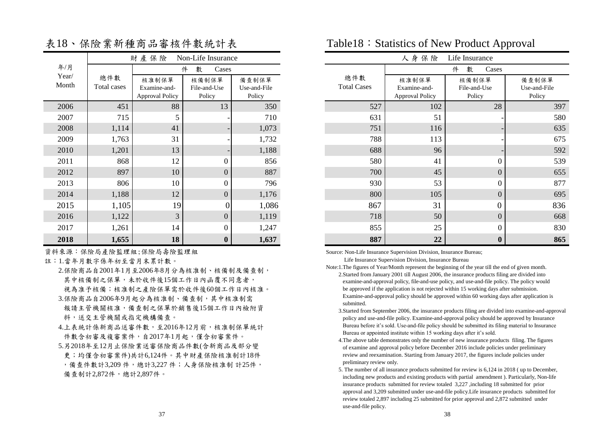|                |                           | 財產保險                   | Non-Life Insurance    |                       |
|----------------|---------------------------|------------------------|-----------------------|-----------------------|
| 年/月            |                           |                        | 件<br>數<br>Cases       |                       |
| Year/<br>Month | 總件數<br><b>Total cases</b> | 核准制保單<br>Examine-and-  | 核備制保單<br>File-and-Use | 備查制保單<br>Use-and-File |
|                |                           | <b>Approval Policy</b> | Policy                | Policy                |
| 2006           | 451                       | 88                     | 13                    | 350                   |
| 2007           | 715                       | 5                      |                       | 710                   |
| 2008           | 1,114                     | 41                     |                       | 1,073                 |
| 2009           | 1,763                     | 31                     |                       | 1,732                 |
| 2010           | 1,201                     | 13                     |                       | 1,188                 |
| 2011           | 868                       | 12                     | $\theta$              | 856                   |
| 2012           | 897                       | 10                     | $\theta$              | 887                   |
| 2013           | 806                       | 10                     | $\Omega$              | 796                   |
| 2014           | 1,188                     | 12                     | $\overline{0}$        | 1,176                 |
| 2015           | 1,105                     | 19                     | 0                     | 1,086                 |
| 2016           | 1,122                     | 3                      | $\theta$              | 1,119                 |
| 2017           | 1,261                     | 14                     | $\theta$              | 1,247                 |
| 2018           | 1.655                     | 18                     | $\Omega$              | 1.637                 |

表18、保險業新種商品審核件數統計表

資料來源:保險局產險監理組;保險局壽險監理組

註:1.當年月數字係年初至當月末累計數。

 2.保險商品自2001年1月至2006年8月分為核准制、核備制及備查制, 其中核備制之保單,未於收件後15個工作日內函覆不同意者, 視為准予核備;核准制之產險保單需於收件後60個工作日內核准。

3.保險商品自2006年9月起分為核准制、備查制,其中核准制需

 報請主管機關核准,備查制之保單於銷售後15個工作日內檢附資 料,送交主管機關或指定機構備查。

- 4.上表統計係新商品送審件數,至2016年12月前,核准制保單統計 件數含初審及複審案件,自2017年1月起,僅含初審案件。
- 5.另2018年至12月止保險業送審保險商品件數(含新商品及部分變 更;均僅含初審案件)共計6,124件。其中財產保險核准制計18件 ,備查件數計3,209 件,總計3,227 件;人身保險核准制 計25件, 備查制計2,872件,總計2,897件。

### Table18: Statistics of New Product Approval

|                |                    | 財產保險                                            | Non-Life Insurance              |                                 |                           | 人身保險                                            | Life Insurance                  |                                 |
|----------------|--------------------|-------------------------------------------------|---------------------------------|---------------------------------|---------------------------|-------------------------------------------------|---------------------------------|---------------------------------|
| 年/月            |                    |                                                 | 件<br>數<br>Cases                 |                                 |                           |                                                 | 數<br>件<br>Cases                 |                                 |
| Year/<br>Month | 總件數<br>Total cases | 核准制保單<br>Examine-and-<br><b>Approval Policy</b> | 核備制保單<br>File-and-Use<br>Policy | 備查制保單<br>Use-and-File<br>Policy | 總件數<br><b>Total Cases</b> | 核准制保單<br>Examine-and-<br><b>Approval Policy</b> | 核備制保單<br>File-and-Use<br>Policy | 備查制保單<br>Use-and-File<br>Policy |
| 2006           | 451                | 88                                              | 13                              | 350                             | 527                       | 102                                             | 28                              | 397                             |
| 2007           | 715                |                                                 |                                 | 710                             | 631                       | 51                                              |                                 | 580                             |
| 2008           | 1,114              | 41                                              |                                 | 1,073                           | 751                       | 116                                             |                                 | 635                             |
| 2009           | 1,763              | 31                                              |                                 | 1,732                           | 788                       | 113                                             |                                 | 675                             |
| 2010           | 1,201              | 13                                              |                                 | 1,188                           | 688                       | 96                                              |                                 | 592                             |
| 2011           | 868                | 12                                              | $\boldsymbol{0}$                | 856                             | 580                       | 41                                              | $\Omega$                        | 539                             |
| 2012           | 897                | 10                                              | $\mathbf{0}$                    | 887                             | 700                       | 45                                              | $\overline{0}$                  | 655                             |
| 2013           | 806                | 10                                              | $\boldsymbol{0}$                | 796                             | 930                       | 53                                              | $\theta$                        | 877                             |
| 2014           | 1,188              | 12                                              | $\overline{0}$                  | 1,176                           | 800                       | 105                                             | $\overline{0}$                  | 695                             |
| 2015           | 1,105              | 19                                              |                                 | 1,086                           | 867                       | 31                                              | $\theta$                        | 836                             |
| 2016           | 1,122              | 3                                               | $\overline{0}$                  | 1,119                           | 718                       | 50                                              | $\overline{0}$                  | 668                             |
| 2017           | 1,261              | 14                                              | $\mathbf{0}$                    | 1,247                           | 855                       | 25                                              | $\mathbf{0}$                    | 830                             |
| 2018           | 1,655              | 18                                              | $\boldsymbol{0}$                | 1,637                           | 887                       | 22                                              | $\bf{0}$                        | 865                             |

Source: Non-Life Insurance Supervision Division, Insurance Bureau;

Life Insurance Supervision Division, Insurance Bureau

- Note:1.The figures of Year/Month represent the beginning of the year till the end of given month. 2.Started from January 2001 till August 2006, the insurance products filing are divided into examine-and-approval policy, file-and-use policy, and use-and-file policy. The policy would be approved if the application is not rejected within 15 working days after submission. Examine-and-approval policy should be approved within 60 working days after application is submitted.
	- 3.Started from September 2006, the insurance products filing are divided into examine-and-approval policy and use-and-file policy. Examine-and-approval policy should be approved by Insurance Bureau before it's sold. Use-and-file policy should be submitted its filing material to Insurance Bureau or appointed institute within 15 working days after it's sold.
	- 4.The above table demonstrates only the number of new insurance products filing. The figures of examine and approval policy before December 2016 include policies under preliminary review and reexamination. Starting from January 2017, the figures include policies under preliminary review only.
	- 5. The number of all insurance products submitted for review is 6,124 in 2018 ( up to December, including new products and existing products with partial amendment ). Particularly, Non-life insurance products submitted for review totaled 3,227 ,including 18 submitted for prior approval and 3,209 submitted under use-and-file policy.Life insurance products submitted for review totaled 2,897 including 25 submitted for prior approval and 2,872 submitted under use-and-file policy.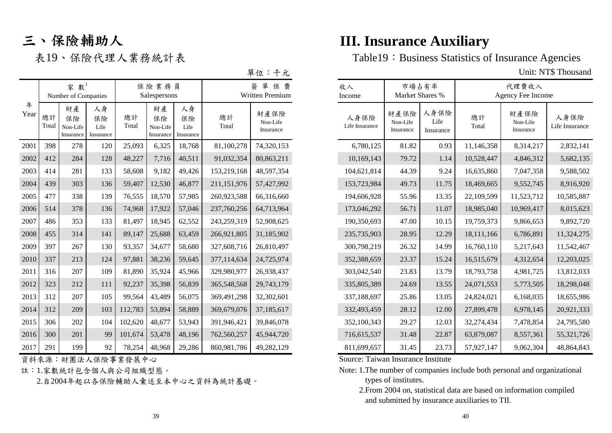# 三、保險輔助人

| Ω |
|---|
|---|

|           |             | 家數 $1$<br>Number of Companies     |                               |             | 保險業務員<br>Salespersons             |                               |             | 單<br>保<br>費<br>Written Premium | 收入<br>Income           | 市場占有率<br>Market Shares %      |                           |             | 代理費收入<br>Agency Fee Income    |                        |
|-----------|-------------|-----------------------------------|-------------------------------|-------------|-----------------------------------|-------------------------------|-------------|--------------------------------|------------------------|-------------------------------|---------------------------|-------------|-------------------------------|------------------------|
| 年<br>Year | 總計<br>Total | 財產<br>保險<br>Non-Life<br>Insurance | 人身<br>保險<br>Life<br>Insurance | 總計<br>Total | 財產<br>保險<br>Non-Life<br>Insurance | 人身<br>保險<br>Life<br>Insurance | 總計<br>Total | 財產保險<br>Non-Life<br>Insurance  | 人身保險<br>Life Insurance | 財產保險<br>Non-Life<br>Insurance | 人身保險<br>Life<br>Insurance | 總計<br>Total | 財產保險<br>Non-Life<br>Insurance | 人身保險<br>Life Insurance |
| 2001      | 398         | 278                               | 120                           | 25,093      | 6,325                             | 18,768                        | 81,100,278  | 74,320,153                     | 6,780,125              | 81.82                         | 0.93                      | 11,146,358  | 8,314,217                     | 2,832,141              |
| 2002      | 412         | 284                               | 128                           | 48,227      | 7,716                             | 40,511                        | 91,032,354  | 80,863,211                     | 10,169,143             | 79.72                         | 1.14                      | 10,528,447  | 4,846,312                     | 5,682,135              |
| 2003      | 414         | 281                               | 133                           | 58,608      | 9,182                             | 49,426                        | 153,219,168 | 48,597,354                     | 104,621,814            | 44.39                         | 9.24                      | 16,635,860  | 7,047,358                     | 9,588,502              |
| 2004      | 439         | 303                               | 136                           | 59,407      | 12,530                            | 46,877                        | 211,151,976 | 57,427,992                     | 153,723,984            | 49.73                         | 11.75                     | 18,469,665  | 9,552,745                     | 8,916,920              |
| 2005      | 477         | 338                               | 139                           | 76,555      | 18,570                            | 57,985                        | 260,923,588 | 66,316,660                     | 194,606,928            | 55.96                         | 13.35                     | 22,109,599  | 11,523,712                    | 10,585,887             |
| 2006      | 514         | 378                               | 136                           | 74,968      | 17,922                            | 57,046                        | 237,760,256 | 64,713,964                     | 173,046,292            | 56.71                         | 11.07                     | 18,985,040  | 10,969,417                    | 8,015,623              |
| 2007      | 486         | 353                               | 133                           | 81,497      | 18,945                            | 62,552                        | 243,259,319 | 52,908,625                     | 190,350,693            | 47.00                         | 10.15                     | 19,759,373  | 9,866,653                     | 9,892,720              |
| 2008      | 455         | 314                               | 141                           | 89,147      | 25,688                            | 63,459                        | 266,921,805 | 31,185,902                     | 235,735,903            | 28.95                         | 12.29                     | 18,111,166  | 6,786,891                     | 11,324,275             |
| 2009      | 397         | 267                               | 130                           | 93,357      | 34,677                            | 58,680                        | 327,608,716 | 26,810,497                     | 300,798,219            | 26.32                         | 14.99                     | 16,760,110  | 5,217,643                     | 11,542,467             |
| 2010      | 337         | 213                               | 124                           | 97,881      | 38,236                            | 59,645                        | 377,114,634 | 24,725,974                     | 352,388,659            | 23.37                         | 15.24                     | 16,515,679  | 4,312,654                     | 12,203,025             |
| 2011      | 316         | 207                               | 109                           | 81,890      | 35,924                            | 45,966                        | 329,980,977 | 26,938,437                     | 303,042,540            | 23.83                         | 13.79                     | 18,793,758  | 4,981,725                     | 13,812,033             |
| 2012      | 323         | 212                               | 111                           | 92,237      | 35,398                            | 56,839                        | 365,548,568 | 29,743,179                     | 335,805,389            | 24.69                         | 13.55                     | 24,071,553  | 5,773,505                     | 18,298,048             |
| 2013      | 312         | 207                               | 105                           | 99,564      | 43,489                            | 56,075                        | 369,491,298 | 32,302,601                     | 337,188,697            | 25.86                         | 13.05                     | 24,824,021  | 6,168,035                     | 18,655,986             |
| 2014      | 312         | 209                               | 103                           | 112,783     | 53,894                            | 58,889                        | 369,679,076 | 37,185,617                     | 332,493,459            | 28.12                         | 12.00                     | 27,899,478  | 6,978,145                     | 20,921,333             |
| 2015      | 306         | 202                               | 104                           | 102,620     | 48,677                            | 53,943                        | 391,946,421 | 39,846,078                     | 352,100,343            | 29.27                         | 12.03                     | 32,274,434  | 7,478,854                     | 24,795,580             |
| 2016      | 300         | 201                               | 99                            | 101,674     | 53,478                            | 48,196                        | 762,560,257 | 45,944,720                     | 716,615,537            | 31.48                         | 22.87                     | 63,879,087  | 8,557,361                     | 55,321,726             |
| 2017      | 291         | 199                               | 92                            | 78,254      | 48,968                            | 29,286                        | 860,981,786 | 49,282,129                     | 811,699,657            | 31.45                         | 23.73                     | 57,927,147  | 9,062,304                     | 48,864,843             |

資料來源:財團法人保險事業發展中心

註:1.家數統計包含個人與公司組織型態。

2.自2004年起以各保險輔助人彙送至本中心之資料為統計基礎。

# **III. Insurance Auxiliary**

表19、保險代理人業務統計表 Table19: Business Statistics of Insurance Agencies

Unit: NT\$ Thousand

| 收入<br>Income           | Market Shares %               | 市場占有率                     |             | 代理費收入<br>Agency Fee Income    |                        |
|------------------------|-------------------------------|---------------------------|-------------|-------------------------------|------------------------|
| 人身保險<br>Life Insurance | 財產保險<br>Non-Life<br>Insurance | 人身保險<br>Life<br>Insurance | 總計<br>Total | 財產保險<br>Non-Life<br>Insurance | 人身保險<br>Life Insurance |
| 6,780,125              | 81.82                         | 0.93                      | 11,146,358  | 8,314,217                     | 2,832,141              |
| 10,169,143             | 79.72                         | 1.14                      | 10,528,447  | 4,846,312                     | 5,682,135              |
| 104,621,814            | 44.39                         | 9.24                      | 16,635,860  | 7,047,358                     | 9,588,502              |
| 153,723,984            | 49.73                         | 11.75                     | 18,469,665  | 9,552,745                     | 8,916,920              |
| 194,606,928            | 55.96                         | 13.35                     | 22,109,599  | 11,523,712                    | 10,585,887             |
| 173,046,292            | 56.71                         | 11.07                     | 18,985,040  | 10,969,417                    | 8,015,623              |
| 190,350,693            | 47.00                         | 10.15                     | 19,759,373  | 9,866,653                     | 9,892,720              |
| 235,735,903            | 28.95                         | 12.29                     | 18,111,166  | 6,786,891                     | 11,324,275             |
| 300,798,219            | 26.32                         | 14.99                     | 16,760,110  | 5,217,643                     | 11,542,467             |
| 352,388,659            | 23.37                         | 15.24                     | 16,515,679  | 4,312,654                     | 12,203,025             |
| 303,042,540            | 23.83                         | 13.79                     | 18,793,758  | 4,981,725                     | 13,812,033             |
| 335,805,389            | 24.69                         | 13.55                     | 24,071,553  | 5,773,505                     | 18,298,048             |
| 337,188,697            | 25.86                         | 13.05                     | 24,824,021  | 6,168,035                     | 18,655,986             |
| 332,493,459            | 28.12                         | 12.00                     | 27,899,478  | 6,978,145                     | 20,921,333             |
| 352,100,343            | 29.27                         | 12.03                     | 32,274,434  | 7,478,854                     | 24,795,580             |
| 716,615,537            | 31.48                         | 22.87                     | 63,879,087  | 8,557,361                     | 55,321,726             |
| 811,699,657            | 31.45                         | 23.73                     | 57,927,147  | 9,062,304                     | 48,864,843             |

Source: Taiwan Insurance Institute

Note: 1.The number of companies include both personal and organizational types of institutes.

 <sup>2.</sup>From 2004 on, statistical data are based on information compiled and submitted by insurance auxiliaries to TII.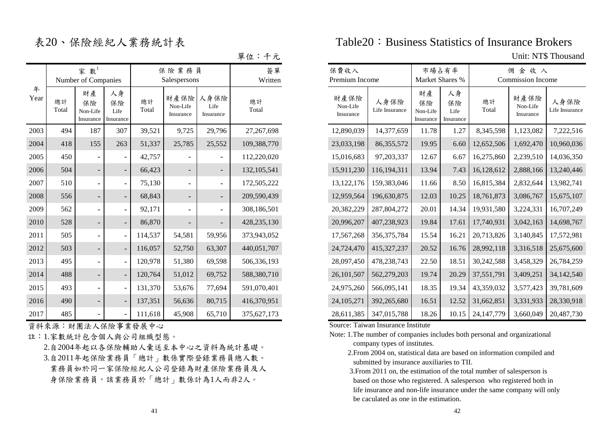| 單位: | 十兀 |  |
|-----|----|--|
|     |    |  |

|           |             | 家數 $1$<br>Number of Companies     |                               |             | 保險業務員<br>Salespersons         |                           | 簽單<br>Written |  |  |
|-----------|-------------|-----------------------------------|-------------------------------|-------------|-------------------------------|---------------------------|---------------|--|--|
| 年<br>Year | 總計<br>Total | 財產<br>保險<br>Non-Life<br>Insurance | 人身<br>保險<br>Life<br>Insurance | 總計<br>Total | 財產保險<br>Non-Life<br>Insurance | 人身保險<br>Life<br>Insurance | 總計<br>Total   |  |  |
| 2003      | 494         | 187                               | 307                           | 39,521      | 9,725                         | 29,796                    | 27,267,698    |  |  |
| 2004      | 418         | 155                               | 263                           | 51,337      | 25,785                        | 25,552                    | 109,388,770   |  |  |
| 2005      | 450         |                                   |                               | 42,757      |                               |                           | 112,220,020   |  |  |
| 2006      | 504         |                                   |                               | 66,423      |                               |                           | 132, 105, 541 |  |  |
| 2007      | 510         |                                   |                               | 75,130      |                               |                           | 172,505,222   |  |  |
| 2008      | 556         |                                   |                               | 68,843      |                               |                           | 209,590,439   |  |  |
| 2009      | 562         |                                   |                               | 92,171      |                               |                           | 308,186,501   |  |  |
| 2010      | 528         |                                   |                               | 86,870      |                               |                           | 428,235,130   |  |  |
| 2011      | 505         |                                   |                               | 114,537     | 54,581                        | 59,956                    | 373,943,052   |  |  |
| 2012      | 503         |                                   |                               | 116,057     | 52,750                        | 63,307                    | 440,051,707   |  |  |
| 2013      | 495         |                                   |                               | 120,978     | 51,380                        | 69,598                    | 506,336,193   |  |  |
| 2014      | 488         |                                   |                               | 120,764     | 51,012                        | 69,752                    | 588,380,710   |  |  |
| 2015      | 493         |                                   |                               | 131,370     | 53,676                        | 77,694                    | 591,070,401   |  |  |
| 2016      | 490         |                                   |                               | 137,351     | 56,636                        | 80,715                    | 416,370,951   |  |  |
| 2017      | 485         |                                   |                               | 111,618     | 45,908                        | 65,710                    | 375,627,173   |  |  |

資料來源:財團法人保險事業發展中心

註:1.家數統計包含個人與公司組織型態。

 2.自2004年起以各保險輔助人彙送至本中心之資料為統計基礎。 3.自2011年起保險業務員「總計」數係實際登錄業務員總人數。 業務員如於同一家保險經紀人公司登錄為財產保險業務員及人 身保險業務員,該業務員於「總計」數係計為1人而非2人。

### 表20、保險經紀人業務統計表 Table20:Business Statistics of Insurance Brokers

Unit: NT\$ Thousand

|           |             | 家數 $1$<br>Number of Companies     |                               |             | 保险業務員<br>Salespersons         |                           | 簽單<br>Written | 保費收入<br>Premium Income        |                        |                                   | 市場占有率<br>Market Shares %      |              | 佣金收入<br><b>Commission Income</b> |                        |
|-----------|-------------|-----------------------------------|-------------------------------|-------------|-------------------------------|---------------------------|---------------|-------------------------------|------------------------|-----------------------------------|-------------------------------|--------------|----------------------------------|------------------------|
| 年<br>Year | 總計<br>Total | 財產<br>保險<br>Non-Life<br>Insurance | 人身<br>保險<br>Life<br>Insurance | 總計<br>Total | 財產保險<br>Non-Life<br>Insurance | 人身保險<br>Life<br>Insurance | 總計<br>Total   | 財產保險<br>Non-Life<br>Insurance | 人身保險<br>Life Insurance | 財產<br>保險<br>Non-Life<br>Insurance | 人身<br>保險<br>Life<br>Insurance | 總計<br>Total  | 財產保險<br>Non-Life<br>Insurance    | 人身保險<br>Life Insurance |
| 2003      | 494         | 187                               | 307                           | 39,521      | 9,725                         | 29,796                    | 27,267,698    | 12,890,039                    | 14,377,659             | 11.78                             | 1.27                          | 8,345,598    | 1,123,082                        | 7,222,516              |
| 2004      | 418         | 155                               | 263                           | 51,337      | 25,785                        | 25,552                    | 109,388,770   | 23,033,198                    | 86, 355, 572           | 19.95                             | 6.60                          | 12,652,506   | 1,692,470                        | 10,960,036             |
| 2005      | 450         |                                   |                               | 42,757      |                               |                           | 112,220,020   | 15,016,683                    | 97,203,337             | 12.67                             | 6.67                          | 16,275,860   | 2,239,510                        | 14,036,350             |
| 2006      | 504         |                                   |                               | 66,423      | $\overline{\phantom{0}}$      |                           | 132, 105, 541 | 15,911,230                    | 116,194,311            | 13.94                             | 7.43                          | 16,128,612   | 2,888,166                        | 13,240,446             |
| 2007      | 510         |                                   |                               | 75,130      | $\overline{\phantom{a}}$      | $\overline{\phantom{a}}$  | 172,505,222   | 13, 122, 176                  | 159,383,046            | 11.66                             | 8.50                          | 16,815,384   | 2,832,644                        | 13,982,741             |
| 2008      | 556         |                                   |                               | 68,843      | $\overline{\phantom{a}}$      | $\overline{\phantom{a}}$  | 209,590,439   | 12,959,564                    | 196,630,875            | 12.03                             | 10.25                         | 18,761,873   | 3,086,767                        | 15,675,107             |
| 2009      | 562         |                                   |                               | 92,171      |                               |                           | 308,186,501   | 20,382,229                    | 287,804,272            | 20.01                             | 14.34                         | 19,931,580   | 3,224,331                        | 16,707,249             |
| 2010      | 528         |                                   |                               | 86,870      |                               |                           | 428,235,130   | 20,996,207                    | 407,238,923            | 19.84                             | 17.61                         | 17,740,931   | 3,042,163                        | 14,698,767             |
| 2011      | 505         |                                   |                               | 114,537     | 54,581                        | 59,956                    | 373,943,052   | 17,567,268                    | 356, 375, 784          | 15.54                             | 16.21                         | 20,713,826   | 3,140,845                        | 17,572,981             |
| 2012      | 503         |                                   |                               | 116,057     | 52,750                        | 63,307                    | 440,051,707   | 24,724,470                    | 415,327,237            | 20.52                             | 16.76                         | 28,992,118   | 3,316,518                        | 25,675,600             |
| 2013      | 495         |                                   |                               | 120,978     | 51,380                        | 69,598                    | 506,336,193   | 28,097,450                    | 478,238,743            | 22.50                             | 18.51                         | 30,242,588   | 3,458,329                        | 26,784,259             |
| 2014      | 488         |                                   |                               | 120,764     | 51,012                        | 69,752                    | 588,380,710   | 26,101,507                    | 562,279,203            | 19.74                             | 20.29                         | 37,551,791   | 3,409,251                        | 34,142,540             |
| 2015      | 493         |                                   |                               | 131,370     | 53,676                        | 77,694                    | 591,070,401   | 24,975,260                    | 566,095,141            | 18.35                             | 19.34                         | 43,359,032   | 3,577,423                        | 39,781,609             |
| 2016      | 490         |                                   |                               | 137,351     | 56,636                        | 80,715                    | 416,370,951   | 24, 105, 271                  | 392,265,680            | 16.51                             | 12.52                         | 31,662,851   | 3,331,933                        | 28,330,918             |
| 2017      | 485         |                                   |                               | 111,618     | 45,908                        | 65,710                    | 375,627,173   | 28,611,385                    | 347,015,788            | 18.26                             | 10.15                         | 24, 147, 779 | 3,660,049                        | 20,487,730             |

Source: Taiwan Insurance Institute

- Note: 1.The number of companies includes both personal and organizational company types of institutes.
	- 2.From 2004 on, statistical data are based on information compiled and submitted by insurance auxiliaries to TII.

 3.From 2011 on, the estimation of the total number of salesperson is based on those who registered. A salesperson who registered both in life insurance and non-life insurance under the same company will only be caculated as one in the estimation.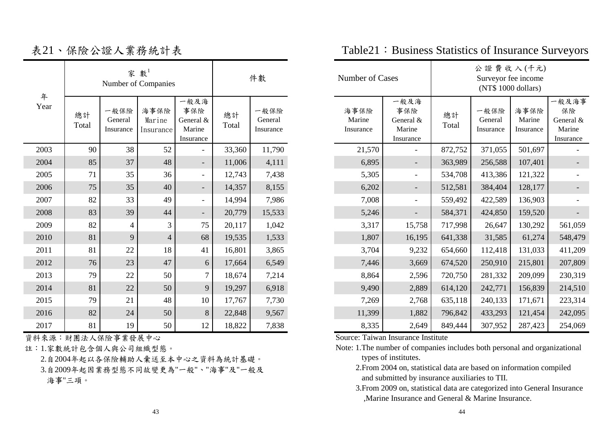|           |             |                              | 家數 $1$<br>Number of Companies |                                                 |             | 件數                           | Number of Cases             |                                                 |             | 公證費收入(千元)<br>Surveyor fee income<br>(NT\$ 1000 dollars) |                             |                                                 |
|-----------|-------------|------------------------------|-------------------------------|-------------------------------------------------|-------------|------------------------------|-----------------------------|-------------------------------------------------|-------------|---------------------------------------------------------|-----------------------------|-------------------------------------------------|
| 年<br>Year | 總計<br>Total | 一般保險<br>General<br>Insurance | 海事保險<br>Marine<br>Insurance   | 一般及海<br>事保險<br>General &<br>Marine<br>Insurance | 總計<br>Total | 一般保險<br>General<br>Insurance | 海事保險<br>Marine<br>Insurance | 一般及海<br>事保險<br>General &<br>Marine<br>Insurance | 總計<br>Total | 一般保險<br>General<br>Insurance                            | 海事保險<br>Marine<br>Insurance | 一般及海事<br>保險<br>General &<br>Marine<br>Insurance |
| 2003      | 90          | 38                           | 52                            | $\overline{\phantom{0}}$                        | 33,360      | 11,790                       | 21,570                      | $-$                                             | 872,752     | 371,055                                                 | 501,697                     |                                                 |
| 2004      | 85          | 37                           | 48                            | $\overline{\phantom{a}}$                        | 11,006      | 4,111                        | 6,895                       | $\overline{\phantom{a}}$                        | 363,989     | 256,588                                                 | 107,401                     |                                                 |
| 2005      | 71          | 35                           | 36                            | $\overline{\phantom{0}}$                        | 12,743      | 7,438                        | 5,305                       | $\overline{\phantom{a}}$                        | 534,708     | 413,386                                                 | 121,322                     |                                                 |
| 2006      | 75          | 35                           | 40                            | $\overline{\phantom{a}}$                        | 14,357      | 8,155                        | 6,202                       | $\overline{\phantom{a}}$                        | 512,581     | 384,404                                                 | 128,177                     |                                                 |
| 2007      | 82          | 33                           | 49                            | $\overline{\phantom{0}}$                        | 14,994      | 7,986                        | 7,008                       | $-$                                             | 559,492     | 422,589                                                 | 136,903                     |                                                 |
| 2008      | 83          | 39                           | 44                            | $\overline{\phantom{a}}$                        | 20,779      | 15,533                       | 5,246                       | $\overline{\phantom{a}}$                        | 584,371     | 424,850                                                 | 159,520                     |                                                 |
| 2009      | 82          | 4                            | 3                             | 75                                              | 20,117      | 1,042                        | 3,317                       | 15,758                                          | 717,998     | 26,647                                                  | 130,292                     | 561,059                                         |
| 2010      | 81          | 9                            | $\overline{4}$                | 68                                              | 19,535      | 1,533                        | 1,807                       | 16,195                                          | 641,338     | 31,585                                                  | 61,274                      | 548,479                                         |
| 2011      | 81          | 22                           | 18                            | 41                                              | 16,801      | 3,865                        | 3,704                       | 9,232                                           | 654,660     | 112,418                                                 | 131,033                     | 411,209                                         |
| 2012      | 76          | 23                           | 47                            | 6                                               | 17,664      | 6,549                        | 7,446                       | 3,669                                           | 674,520     | 250,910                                                 | 215,801                     | 207,809                                         |
| 2013      | 79          | 22                           | 50                            | $\overline{7}$                                  | 18,674      | 7,214                        | 8,864                       | 2,596                                           | 720,750     | 281,332                                                 | 209,099                     | 230,319                                         |
| 2014      | 81          | $22\,$                       | 50                            | 9                                               | 19,297      | 6,918                        | 9,490                       | 2,889                                           | 614,120     | 242,771                                                 | 156,839                     | 214,510                                         |
| 2015      | 79          | 21                           | 48                            | 10                                              | 17,767      | 7,730                        | 7,269                       | 2,768                                           | 635,118     | 240,133                                                 | 171,671                     | 223,314                                         |
| 2016      | 82          | 24                           | 50                            | 8                                               | 22,848      | 9,567                        | 11,399                      | 1,882                                           | 796,842     | 433,293                                                 | 121,454                     | 242,095                                         |
| 2017      | 81          | 19                           | 50                            | 12                                              | 18,822      | 7,838                        | 8,335                       | 2,649                                           | 849,444     | 307,952                                                 | 287,423                     | 254,069                                         |

資料來源:財團法人保險事業發展中心

註:1.家數統計包含個人與公司組織型態。

 2.自2004年起以各保險輔助人彙送至本中心之資料為統計基礎。 3.自2009年起因業務型態不同故變更為"一般"、"海事"及"一般及 海事"三項。

| Number of Cases             |                                                | 公證費收入(千元)<br>Surveyor fee income<br>(NT\$ 1000 dollars) |                              |                             |                                                |  |  |  |
|-----------------------------|------------------------------------------------|---------------------------------------------------------|------------------------------|-----------------------------|------------------------------------------------|--|--|--|
| 海事保險<br>Marine<br>Insurance | 般及海<br>事保險<br>General &<br>Marine<br>Insurance | 總計<br>Total                                             | 一般保險<br>General<br>Insurance | 海事保險<br>Marine<br>Insurance | 般及海事<br>保險<br>General &<br>Marine<br>Insurance |  |  |  |
| 21,570                      |                                                | 872,752                                                 | 371,055                      | 501,697                     |                                                |  |  |  |
| 6,895                       |                                                | 363,989                                                 | 256,588                      | 107,401                     |                                                |  |  |  |
| 5,305                       |                                                | 534,708                                                 | 413,386                      | 121,322                     |                                                |  |  |  |
| 6,202                       |                                                | 512,581                                                 | 384,404                      | 128,177                     |                                                |  |  |  |
| 7,008                       |                                                | 559,492                                                 | 422,589                      | 136,903                     |                                                |  |  |  |
| 5,246                       |                                                | 584,371                                                 | 424,850                      | 159,520                     |                                                |  |  |  |
| 3,317                       | 15,758                                         | 717,998                                                 | 26,647                       | 130,292                     | 561,059                                        |  |  |  |
| 1,807                       | 16,195                                         | 641,338                                                 | 31,585                       | 61,274                      | 548,479                                        |  |  |  |
| 3,704                       | 9,232                                          | 654,660                                                 | 112,418                      | 131,033                     | 411,209                                        |  |  |  |
| 7,446                       | 3,669                                          | 674,520                                                 | 250,910                      | 215,801                     | 207,809                                        |  |  |  |
| 8,864                       | 2,596                                          | 720,750                                                 | 281,332                      | 209,099                     | 230,319                                        |  |  |  |
| 9,490                       | 2,889                                          | 614,120                                                 | 242,771                      | 156,839                     | 214,510                                        |  |  |  |
| 7,269                       | 2,768                                          | 635,118                                                 | 240,133                      | 171,671                     | 223,314                                        |  |  |  |
| 11,399                      | 1,882                                          | 796,842                                                 | 433,293                      | 121,454                     | 242,095                                        |  |  |  |
| 8,335                       | 2,649                                          | 849,444                                                 | 307,952                      | 287,423                     | 254,069                                        |  |  |  |

表21、保險公證人業務統計表 Table21:Business Statistics of Insurance Surveyors

Source: Taiwan Insurance Institute

Note: 1.The number of companies includes both personal and organizational types of institutes.

 2.From 2004 on, statistical data are based on information compiled and submitted by insurance auxiliaries to TII.

 3.From 2009 on, statistical data are categorized into General Insurance ,Marine Insurance and General & Marine Insurance.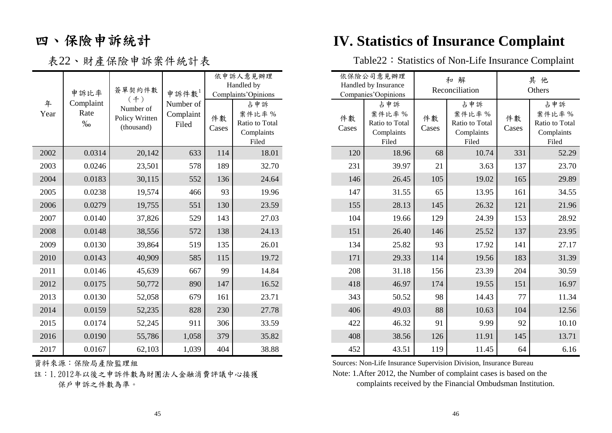# 四、保險申訴統計

|           |                            |                                                  |                                 |             | 依申訴人意見辦理<br>Handled by                                |
|-----------|----------------------------|--------------------------------------------------|---------------------------------|-------------|-------------------------------------------------------|
|           | 申訴比率                       | 簽單契約件數                                           | 申訴件數                            |             | Complaints'Opinions                                   |
| 年<br>Year | Complaint<br>Rate<br>$\%0$ | (4)<br>Number of<br>Policy Written<br>(thousand) | Number of<br>Complaint<br>Filed | 件數<br>Cases | 占申訴<br>案件比率%<br>Ratio to Total<br>Complaints<br>Filed |
| 2002      | 0.0314                     | 20,142                                           | 633                             | 114         | 18.01                                                 |
| 2003      | 0.0246                     | 23,501                                           | 578                             | 189         | 32.70                                                 |
| 2004      | 0.0183                     | 30,115                                           | 552                             | 136         | 24.64                                                 |
| 2005      | 0.0238                     | 19,574                                           | 466                             | 93          | 19.96                                                 |
| 2006      | 0.0279                     | 19,755                                           | 551                             | 130         | 23.59                                                 |
| 2007      | 0.0140                     | 37,826                                           | 529                             | 143         | 27.03                                                 |
| 2008      | 0.0148                     | 38,556                                           | 572                             | 138         | 24.13                                                 |
| 2009      | 0.0130                     | 39,864                                           | 519                             | 135         | 26.01                                                 |
| 2010      | 0.0143                     | 40,909                                           | 585                             | 115         | 19.72                                                 |
| 2011      | 0.0146                     | 45,639                                           | 667                             | 99          | 14.84                                                 |
| 2012      | 0.0175                     | 50,772                                           | 890                             | 147         | 16.52                                                 |
| 2013      | 0.0130                     | 52,058                                           | 679                             | 161         | 23.71                                                 |
| 2014      | 0.0159                     | 52,235                                           | 828                             | 230         | 27.78                                                 |
| 2015      | 0.0174                     | 52,245                                           | 911                             | 306         | 33.59                                                 |
| 2016      | 0.0190                     | 55,786                                           | 1,058                           | 379         | 35.82                                                 |
| 2017      | 0.0167                     | 62,103                                           | 1,039                           | 404         | 38.88                                                 |

註:1.2012年以後之申訴件數為財團法人金融消費評議中心接獲 保戶申訴之件數為準。

# **IV. Statistics of Insurance Complaint**

表22、財產保險申訴案件統計表 Table22: Statistics of Non-Life Insurance Complaint

|           | 簽單契約件數<br>申訴比率<br>(4)     |                                           | 申訴件數                            | 依申訴人意見辦理<br>Handled by<br>Complaints'Opinions |                                                       |             | 依保險公司意見辦理<br>Handled by Insurance<br>Companies'Oopinions |             | 和解<br>Reconciliation                                  | 其他<br>Others |                                                       |  |
|-----------|---------------------------|-------------------------------------------|---------------------------------|-----------------------------------------------|-------------------------------------------------------|-------------|----------------------------------------------------------|-------------|-------------------------------------------------------|--------------|-------------------------------------------------------|--|
| 年<br>Year | Complaint<br>Rate<br>$\%$ | Number of<br>Policy Written<br>(thousand) | Number of<br>Complaint<br>Filed | 件數<br>Cases                                   | 占申訴<br>案件比率%<br>Ratio to Total<br>Complaints<br>Filed | 件數<br>Cases | 占申訴<br>案件比率%<br>Ratio to Total<br>Complaints<br>Filed    | 件數<br>Cases | 占申訴<br>案件比率%<br>Ratio to Total<br>Complaints<br>Filed | 件數<br>Cases  | 占申訴<br>案件比率%<br>Ratio to Total<br>Complaints<br>Filed |  |
| 2002      | 0.0314                    | 20,142                                    | 633                             | 114                                           | 18.01                                                 | 120         | 18.96                                                    | 68          | 10.74                                                 | 331          | 52.29                                                 |  |
| 2003      | 0.0246                    | 23,501                                    | 578                             | 189                                           | 32.70                                                 | 231         | 39.97                                                    | 21          | 3.63                                                  | 137          | 23.70                                                 |  |
| 2004      | 0.0183                    | 30,115                                    | 552                             | 136                                           | 24.64                                                 | 146         | 26.45                                                    | 105         | 19.02                                                 | 165          | 29.89                                                 |  |
| 2005      | 0.0238                    | 19,574                                    | 466                             | 93                                            | 19.96                                                 | 147         | 31.55                                                    | 65          | 13.95                                                 | 161          | 34.55                                                 |  |
| 2006      | 0.0279                    | 19,755                                    | 551                             | 130                                           | 23.59                                                 | 155         | 28.13                                                    | 145         | 26.32                                                 | 121          | 21.96                                                 |  |
| 2007      | 0.0140                    | 37,826                                    | 529                             | 143                                           | 27.03                                                 | 104         | 19.66                                                    | 129         | 24.39                                                 | 153          | 28.92                                                 |  |
| 2008      | 0.0148                    | 38,556                                    | 572                             | 138                                           | 24.13                                                 | 151         | 26.40                                                    | 146         | 25.52                                                 | 137          | 23.95                                                 |  |
| 2009      | 0.0130                    | 39,864                                    | 519                             | 135                                           | 26.01                                                 | 134         | 25.82                                                    | 93          | 17.92                                                 | 141          | 27.17                                                 |  |
| 2010      | 0.0143                    | 40,909                                    | 585                             | 115                                           | 19.72                                                 | 171         | 29.33                                                    | 114         | 19.56                                                 | 183          | 31.39                                                 |  |
| 2011      | 0.0146                    | 45,639                                    | 667                             | 99                                            | 14.84                                                 | 208         | 31.18                                                    | 156         | 23.39                                                 | 204          | 30.59                                                 |  |
| 2012      | 0.0175                    | 50,772                                    | 890                             | 147                                           | 16.52                                                 | 418         | 46.97                                                    | 174         | 19.55                                                 | 151          | 16.97                                                 |  |
| 2013      | 0.0130                    | 52,058                                    | 679                             | 161                                           | 23.71                                                 | 343         | 50.52                                                    | 98          | 14.43                                                 | 77           | 11.34                                                 |  |
| 2014      | 0.0159                    | 52,235                                    | 828                             | 230                                           | 27.78                                                 | 406         | 49.03                                                    | 88          | 10.63                                                 | 104          | 12.56                                                 |  |
| 2015      | 0.0174                    | 52,245                                    | 911                             | 306                                           | 33.59                                                 | 422         | 46.32                                                    | 91          | 9.99                                                  | 92           | 10.10                                                 |  |
| 2016      | 0.0190                    | 55,786                                    | 1,058                           | 379                                           | 35.82                                                 | 408         | 38.56                                                    | 126         | 11.91                                                 | 145          | 13.71                                                 |  |
| 2017      | 0.0167                    | 62,103                                    | 1,039                           | 404                                           | 38.88                                                 | 452         | 43.51                                                    | 119         | 11.45                                                 | 64           | 6.16                                                  |  |

資料來源:保險局產險監理組 Sources: Non-Life Insurance Supervision Division, Insurance Bureau Note: 1.After 2012, the Number of complaint cases is based on the complaints received by the Financial Ombudsman Institution.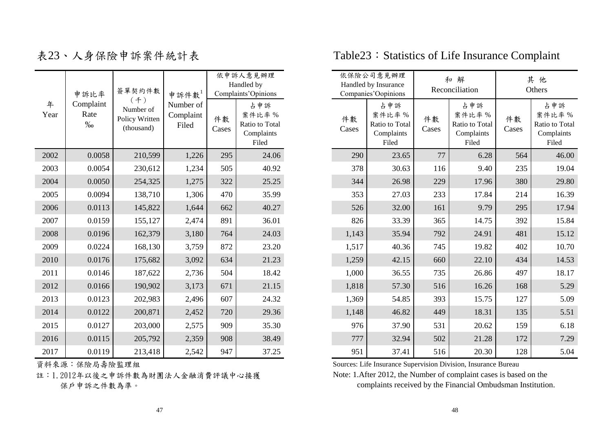|           | 申訴比率                      | 簽單契約件數                                           | 申訴件數                            | 依申訴人意見辦理<br>Handled by<br>Complaints'Opinions |                                                       |  |  |
|-----------|---------------------------|--------------------------------------------------|---------------------------------|-----------------------------------------------|-------------------------------------------------------|--|--|
| 年<br>Year | Complaint<br>Rate<br>$\%$ | (4)<br>Number of<br>Policy Written<br>(thousand) | Number of<br>Complaint<br>Filed | 件數<br>Cases                                   | 占申訴<br>案件比率%<br>Ratio to Total<br>Complaints<br>Filed |  |  |
| 2002      | 0.0058                    | 210,599                                          | 1,226                           | 295                                           | 24.06                                                 |  |  |
| 2003      | 0.0054                    | 230,612                                          | 1,234                           | 505                                           | 40.92                                                 |  |  |
| 2004      | 0.0050                    | 254,325                                          | 1,275                           | 322                                           | 25.25                                                 |  |  |
| 2005      | 0.0094                    | 138,710                                          | 1,306                           | 470                                           | 35.99                                                 |  |  |
| 2006      | 0.0113                    | 145,822                                          | 1,644                           | 662                                           | 40.27                                                 |  |  |
| 2007      | 0.0159                    | 155,127                                          | 2,474                           | 891                                           | 36.01                                                 |  |  |
| 2008      | 0.0196                    | 162,379                                          | 3,180                           | 764                                           | 24.03                                                 |  |  |
| 2009      | 0.0224                    | 168,130                                          | 3,759                           | 872                                           | 23.20                                                 |  |  |
| 2010      | 0.0176                    | 175,682                                          | 3,092                           | 634                                           | 21.23                                                 |  |  |
| 2011      | 0.0146                    | 187,622                                          | 2,736                           | 504                                           | 18.42                                                 |  |  |
| 2012      | 0.0166                    | 190,902                                          | 3,173                           | 671                                           | 21.15                                                 |  |  |
| 2013      | 0.0123                    | 202,983                                          | 2,496                           | 607                                           | 24.32                                                 |  |  |
| 2014      | 0.0122                    | 200,871                                          | 2,452                           | 720                                           | 29.36                                                 |  |  |
| 2015      | 0.0127                    | 203,000                                          | 2,575                           | 909                                           | 35.30                                                 |  |  |
| 2016      | 0.0115                    | 205,792                                          | 2,359                           | 908                                           | 38.49                                                 |  |  |
| 2017      | 0.0119                    | 213,418                                          | 2,542                           | 947                                           | 37.25                                                 |  |  |

註:1.2012年以後之申訴件數為財團法人金融消費評議中心接獲 保戶申訴之件數為準。

# 表23、人身保險申訴案件統計表 Table23:Statistics of Life Insurance Complaint

|           | 申訴比率                      | 簽單契約件數                                           | 申訴件數                            |             | 依申訴人意見辦理<br>Handled by<br>Complaints'Opinions         |             | 依保險公司意見辦理<br>Handled by Insurance<br>Companies'Oopinions |             | 和解<br>Reconciliation                                  |             | 其他<br>Others                                          |
|-----------|---------------------------|--------------------------------------------------|---------------------------------|-------------|-------------------------------------------------------|-------------|----------------------------------------------------------|-------------|-------------------------------------------------------|-------------|-------------------------------------------------------|
| 年<br>Year | Complaint<br>Rate<br>$\%$ | (4)<br>Number of<br>Policy Written<br>(thousand) | Number of<br>Complaint<br>Filed | 件數<br>Cases | 占申訴<br>案件比率%<br>Ratio to Total<br>Complaints<br>Filed | 件數<br>Cases | 占申訴<br>案件比率%<br>Ratio to Total<br>Complaints<br>Filed    | 件數<br>Cases | 占申訴<br>案件比率%<br>Ratio to Total<br>Complaints<br>Filed | 件數<br>Cases | 占申訴<br>案件比率%<br>Ratio to Total<br>Complaints<br>Filed |
| 2002      | 0.0058                    | 210,599                                          | 1,226                           | 295         | 24.06                                                 | 290         | 23.65                                                    | 77          | 6.28                                                  | 564         | 46.00                                                 |
| 2003      | 0.0054                    | 230,612                                          | 1,234                           | 505         | 40.92                                                 | 378         | 30.63                                                    | 116         | 9.40                                                  | 235         | 19.04                                                 |
| 2004      | 0.0050                    | 254,325                                          | 1,275                           | 322         | 25.25                                                 | 344         | 26.98                                                    | 229         | 17.96                                                 | 380         | 29.80                                                 |
| 2005      | 0.0094                    | 138,710                                          | 1,306                           | 470         | 35.99                                                 | 353         | 27.03                                                    | 233         | 17.84                                                 | 214         | 16.39                                                 |
| 2006      | 0.0113                    | 145,822                                          | 1,644                           | 662         | 40.27                                                 | 526         | 32.00                                                    | 161         | 9.79                                                  | 295         | 17.94                                                 |
| 2007      | 0.0159                    | 155,127                                          | 2,474                           | 891         | 36.01                                                 | 826         | 33.39                                                    | 365         | 14.75                                                 | 392         | 15.84                                                 |
| 2008      | 0.0196                    | 162,379                                          | 3,180                           | 764         | 24.03                                                 | 1,143       | 35.94                                                    | 792         | 24.91                                                 | 481         | 15.12                                                 |
| 2009      | 0.0224                    | 168,130                                          | 3,759                           | 872         | 23.20                                                 | 1,517       | 40.36                                                    | 745         | 19.82                                                 | 402         | 10.70                                                 |
| 2010      | 0.0176                    | 175,682                                          | 3,092                           | 634         | 21.23                                                 | 1,259       | 42.15                                                    | 660         | 22.10                                                 | 434         | 14.53                                                 |
| 2011      | 0.0146                    | 187,622                                          | 2,736                           | 504         | 18.42                                                 | 1,000       | 36.55                                                    | 735         | 26.86                                                 | 497         | 18.17                                                 |
| 2012      | 0.0166                    | 190,902                                          | 3,173                           | 671         | 21.15                                                 | 1,818       | 57.30                                                    | 516         | 16.26                                                 | 168         | 5.29                                                  |
| 2013      | 0.0123                    | 202,983                                          | 2,496                           | 607         | 24.32                                                 | 1,369       | 54.85                                                    | 393         | 15.75                                                 | 127         | 5.09                                                  |
| 2014      | 0.0122                    | 200,871                                          | 2,452                           | 720         | 29.36                                                 | 1,148       | 46.82                                                    | 449         | 18.31                                                 | 135         | 5.51                                                  |
| 2015      | 0.0127                    | 203,000                                          | 2,575                           | 909         | 35.30                                                 | 976         | 37.90                                                    | 531         | 20.62                                                 | 159         | 6.18                                                  |
| 2016      | 0.0115                    | 205,792                                          | 2,359                           | 908         | 38.49                                                 | 777         | 32.94                                                    | 502         | 21.28                                                 | 172         | 7.29                                                  |
| 2017      | 0.0119                    | 213,418                                          | 2,542                           | 947         | 37.25                                                 | 951         | 37.41                                                    | 516         | 20.30                                                 | 128         | 5.04                                                  |

**資料來源:保險局壽險監理組 Sources: Life Insurance Supervision Division, Insurance Bureau** Note: 1.After 2012, the Number of complaint cases is based on the

complaints received by the Financial Ombudsman Institution.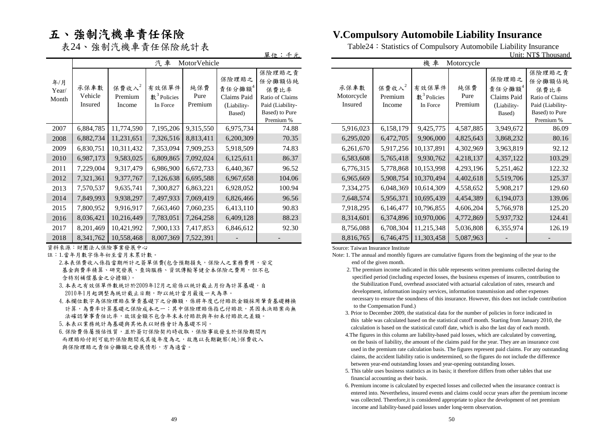## 五、強制汽機車責任保險

|       | 汽車<br>MotorVehicle |            |                        |           |             |                  |  | ,<br>機車<br>Motorcycle |           |                        |           |             |                  |
|-------|--------------------|------------|------------------------|-----------|-------------|------------------|--|-----------------------|-----------|------------------------|-----------|-------------|------------------|
|       |                    |            |                        |           |             |                  |  |                       |           |                        |           |             |                  |
| 年/月   | 承保車數               | 保費收入 $2$   | 有效保單件                  | 純保費       | 保險理賠之       | 保險理賠之責<br>任分攤額佔純 |  | 承保車數                  | 保費收入 $2$  | 有效保單件                  | 純保費       | 保險理賠之       | 保險理賠之責<br>任分攤額佔純 |
| Year/ |                    |            |                        |           | 責任分攤額4      | 保費比率             |  |                       |           |                        |           | 責任分攤額4      | 保費比率             |
| Month | Vehicle            | Premium    | $\text{\#}^3$ Policies | Pure      | Claims Paid | Ratio of Claims  |  | Motorcycle            | Premium   | $\text{\#}^3$ Policies | Pure      | Claims Paid | Ratio of Claims  |
|       | Insured            | Income     | In Force               | Premium   | (Liability- | Paid (Liability- |  | Insured               | Income    | In Force               | Premium   | (Liability- | Paid (Liability- |
|       |                    |            |                        |           | Based)      | Based) to Pure   |  |                       |           |                        |           | Based)      | Based) to Pure   |
|       |                    |            |                        |           |             | Premium %        |  |                       |           |                        |           |             | Premium %        |
| 2007  | 6,884,785          | 11,774,590 | 7,195,206              | 9,315,550 | 6,975,734   | 74.88            |  | 5,916,023             | 6,158,179 | 9,425,775              | 4,587,885 | 3,949,672   | 86.09            |
| 2008  | 6,882,734          | 11,231,651 | 7,326,516              | 8,813,411 | 6,200,309   | 70.35            |  | 6,295,020             | 6,472,705 | 9,906,000              | 4,825,643 | 3,868,232   | 80.16            |
| 2009  | 6,830,751          | 10,311,432 | 7,353,094              | 7,909,253 | 5,918,509   | 74.83            |  | 6,261,670             | 5,917,256 | 10,137,891             | 4,302,969 | 3,963,819   | 92.12            |
| 2010  | 6,987,173          | 9,583,025  | 6,809,865              | 7,092,024 | 6,125,611   | 86.37            |  | 6,583,608             | 5,765,418 | 9,930,762              | 4,218,137 | 4,357,122   | 103.29           |
| 2011  | 7,229,004          | 9,317,479  | 6,986,900              | 6,672,733 | 6,440,367   | 96.52            |  | 6,776,315             | 5,778,868 | 10,153,998             | 4,293,196 | 5,251,462   | 122.32           |
| 2012  | 7,321,361          | 9,377,767  | 7,126,638              | 6,695,588 | 6,967,658   | 104.06           |  | 6,965,669             | 5,908,754 | 10,370,494             | 4,402,618 | 5,519,706   | 125.37           |
| 2013  | 7,570,537          | 9,635,741  | 7,300,827              | 6,863,221 | 6,928,052   | 100.94           |  | 7,334,275             | 6,048,369 | 10,614,309             | 4,558,652 | 5,908,217   | 129.60           |
| 2014  | 7,849,993          | 9,938,297  | 7,497,933              | 7,069,419 | 6,826,466   | 96.56            |  | 7,648,574             | 5,956,371 | 10,695,439             | 4,454,389 | 6,194,073   | 139.06           |
| 2015  | 7,800,952          | 9,916,917  | 7,663,460              | 7,060,235 | 6,413,110   | 90.83            |  | 7,918,295             | 6,146,477 | 10,796,855             | 4,606,204 | 5,766,978   | 125.20           |
| 2016  | 8,036,421          | 10,216,449 | 7,783,051              | 7,264,258 | 6,409,128   | 88.23            |  | 8,314,601             | 6,374,896 | 10,970,006             | 4,772,869 | 5,937,732   | 124.41           |
| 2017  | 8,201,469          | 10,421,992 | 7,900,133              | 7,417,853 | 6,846,612   | 92.30            |  | 8,756,088             | 6,708,304 | 11,215,348             | 5,036,808 | 6,355,974   | 126.19           |
| 2018  | 8,341,762          | 10,558,468 | 8,007,369              | 7,522,391 |             |                  |  | 8,816,765             | 6,746,475 | 11,303,458             | 5,087,963 |             |                  |

資料來源:財團法人保險事業發展中心

註:1.當年月數字係年初至當月末累計數。

- 2.本表保費收入係指當期所計之簽單保費(包含預期損失,保險人之業務費用,安定 基金與費率精算、研究發展、查詢服務、資訊傳輸等健全本保險之費用,但不包 含特別補償基金之分擔額)。
- 3.本表之有效保單件數統計於2009年12月之前係以統計截止月份為計算基礎,自 2010年1月起調整為統計截止日期,即以統計當月最後一天為準。
- 4.本欄位數字為保險理賠在肇責基礎下之分攤額,係將年度已付賠款金額採用肇責基礎轉換 計算,為費率計算基礎之保險成本之一;其中保險理賠係指已付賠款,其因未決賠案尚無 法確認肇事責任比率,故該金額不包含年末未付賠款與年初未付賠款之差額。
- 5.本表以業務統計為基礎與其他表以財務會計為基礎不同。
- 6.保險費係屬預估性質,並於簽訂保險契約時收取,保險事故發生於保險期間內 而理賠給付則可能於保險期間或其後年度為之,故應以長期觀察(純)保費收入 與保險理賠之責任分攤額之發展情形,方為適當。

### **V.Compulsory Automobile Liability Insurance**

表24、強制汽機車責任保險統計表 Table24: Statistics of Compulsory Automobile Liability Insurance<br>Unit: NT\$ Thous

|  | 單位<br>$ -$<br>NT\$ Thousand<br>Unit:<br>兀 |  |
|--|-------------------------------------------|--|
|--|-------------------------------------------|--|

| 汽車                                         | MotorVehicle           |                                                         |                                                                                                |                               |                               | 機車                                            | Motorcycle             |                                                         |                                                                                                |
|--------------------------------------------|------------------------|---------------------------------------------------------|------------------------------------------------------------------------------------------------|-------------------------------|-------------------------------|-----------------------------------------------|------------------------|---------------------------------------------------------|------------------------------------------------------------------------------------------------|
| 效保單件<br>$\frac{3}{2}$ Policies<br>In Force | 純保費<br>Pure<br>Premium | 保險理賠之<br>責任分攤額4<br>Claims Paid<br>(Liability-<br>Based) | 保險理賠之責<br>任分攤額佔純<br>保費比率<br>Ratio of Claims<br>Paid (Liability-<br>Based) to Pure<br>Premium % | 承保車數<br>Motorcycle<br>Insured | 保費收入 $2$<br>Premium<br>Income | 有效保單件<br>$\text{\$}^{3}$ Policies<br>In Force | 純保費<br>Pure<br>Premium | 保險理賠之<br>責任分攤額4<br>Claims Paid<br>(Liability-<br>Based) | 保險理賠之責<br>任分攤額佔純<br>保費比率<br>Ratio of Claims<br>Paid (Liability-<br>Based) to Pure<br>Premium % |
| ,195,206                                   | 9,315,550              | 6,975,734                                               | 74.88                                                                                          | 5,916,023                     | 6,158,179                     | 9,425,775                                     | 4,587,885              | 3,949,672                                               | 86.09                                                                                          |
| ,326,516                                   | 8,813,411              | 6,200,309                                               | 70.35                                                                                          | 6,295,020                     | 6,472,705                     | 9,906,000                                     | 4,825,643              | 3,868,232                                               | 80.16                                                                                          |
| ,353,094                                   | 7,909,253              | 5,918,509                                               | 74.83                                                                                          | 6,261,670                     | 5,917,256                     | 10,137,891                                    | 4,302,969              | 3,963,819                                               | 92.12                                                                                          |
| ,809,865                                   | 7,092,024              | 6,125,611                                               | 86.37                                                                                          | 6,583,608                     | 5,765,418                     | 9,930,762                                     | 4,218,137              | 4,357,122                                               | 103.29                                                                                         |
| ,986,900                                   | 6,672,733              | 6,440,367                                               | 96.52                                                                                          | 6,776,315                     | 5,778,868                     | 10,153,998                                    | 4,293,196              | 5,251,462                                               | 122.32                                                                                         |
| ,126,638                                   | 6,695,588              | 6,967,658                                               | 104.06                                                                                         | 6,965,669                     | 5,908,754                     | 10,370,494                                    | 4,402,618              | 5,519,706                                               | 125.37                                                                                         |
| ,300,827                                   | 6,863,221              | 6,928,052                                               | 100.94                                                                                         | 7,334,275                     | 6,048,369                     | 10,614,309                                    | 4,558,652              | 5,908,217                                               | 129.60                                                                                         |
| ,497,933                                   | 7,069,419              | 6,826,466                                               | 96.56                                                                                          | 7,648,574                     | 5,956,371                     | 10,695,439                                    | 4,454,389              | 6,194,073                                               | 139.06                                                                                         |
| ,663,460                                   | 7,060,235              | 6,413,110                                               | 90.83                                                                                          | 7,918,295                     | 6,146,477                     | 10,796,855                                    | 4,606,204              | 5,766,978                                               | 125.20                                                                                         |
| ,783,051                                   | 7,264,258              | 6,409,128                                               | 88.23                                                                                          | 8,314,601                     | 6,374,896                     | 10,970,006                                    | 4,772,869              | 5,937,732                                               | 124.41                                                                                         |
| ,900,133                                   | 7,417,853              | 6,846,612                                               | 92.30                                                                                          | 8,756,088                     | 6,708,304                     | 11,215,348                                    | 5,036,808              | 6,355,974                                               | 126.19                                                                                         |
| ,007,369                                   | 7,522,391              |                                                         |                                                                                                | 8,816,765                     | 6,746,475                     | 11,303,458                                    | 5,087,963              |                                                         |                                                                                                |

Source: Taiwan Insurance Institute

- Note: 1. The annual and monthly figures are cumulative figures from the beginning of the year to the end of the given month.
	- 2. The premium income indicated in this table represents written premiums collected during the specified period (including expected losses, the business expenses of insurers, contribution to the Stabilization Fund, overhead associated with actuarial calculation of rates, research and development, information inquiry services, information transmission and other expenses necessary to ensure the soundness of this insurance. However, this does not include contribution to the Compensation Fund.)
	- 3. Prior to December 2009, the statistical data for the number of policies in force indicated in this table was calculated based on the statistical cutoff month. Starting from January 2010, the calculation is based on the statistical cutoff date, which is also the last day of each month.
	- 4.The figures in this column are liability-based paid losses, which are calculated by converting, on the basis of liability, the amount of the claims paid for the year. They are an insurance cost used in the premium rate calculation basis. The figures represent paid claims. For any outstanding claims, the accident liability ratio is undetermined, so the figures do not include the difference between year-end outstanding losses and year-opening outstanding losses.
	- 5. This table uses business statistics as its basis; it therefore differs from other tables that use financial accounting as their basis.
	- 6. Premium income is calculated by expected losses and collected when the insurance contract is entered into. Nevertheless, insured events and claims could occur years after the premium income was collected. Therefore,it is considered appropriate to place the development of net premium income and liability-based paid losses under long-term observation.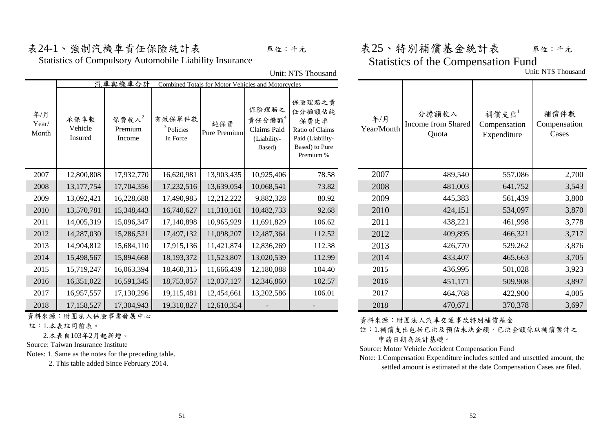Unit: NT\$ Thousand

Statistics of Compulsory Automobile Liability Insurance

## 表24-1、強制汽機車責任保險統計表 – 單位:千元 表25、特別補償基金統計表 單位:千元 Statistics of the Compensation Fund

Unit: NT\$ Thousand

|                       |                            | 汽車與機車合計                       |                                    | Combined Totals for Motor Vehicles and Motorcycles |                                                         |                                                                                                |                   |                                      |                                     |                               |
|-----------------------|----------------------------|-------------------------------|------------------------------------|----------------------------------------------------|---------------------------------------------------------|------------------------------------------------------------------------------------------------|-------------------|--------------------------------------|-------------------------------------|-------------------------------|
| 年/月<br>Year/<br>Month | 承保車數<br>Vehicle<br>Insured | 保費收入 $2$<br>Premium<br>Income | 有效保單件數<br>$3$ Policies<br>In Force | 純保費<br>Pure Premium                                | 保險理賠之<br>責任分攤額4<br>Claims Paid<br>(Liability-<br>Based) | 保險理賠之責<br>任分攤額佔純<br>保費比率<br>Ratio of Claims<br>Paid (Liability-<br>Based) to Pure<br>Premium % | 年/月<br>Year/Month | 分擔額收入<br>Income from Shared<br>Quota | 補償支出<br>Compensation<br>Expenditure | 補償件數<br>Compensation<br>Cases |
| 2007                  | 12,800,808                 | 17,932,770                    | 16,620,981                         | 13,903,435                                         | 10,925,406                                              | 78.58                                                                                          | 2007              | 489,540                              | 557,086                             | 2,700                         |
| 2008                  | 13, 177, 754               | 17,704,356                    | 17,232,516                         | 13,639,054                                         | 10,068,541                                              | 73.82                                                                                          | 2008              | 481,003                              | 641,752                             | 3,543                         |
| 2009                  | 13,092,421                 | 16,228,688                    | 17,490,985                         | 12,212,222                                         | 9,882,328                                               | 80.92                                                                                          | 2009              | 445,383                              | 561,439                             | 3,800                         |
| 2010                  | 13,570,781                 | 15,348,443                    | 16,740,627                         | 11,310,161                                         | 10,482,733                                              | 92.68                                                                                          | 2010              | 424,151                              | 534,097                             | 3,870                         |
| 2011                  | 14,005,319                 | 15,096,347                    | 17,140,898                         | 10,965,929                                         | 11,691,829                                              | 106.62                                                                                         | 2011              | 438,221                              | 461,998                             | 3,778                         |
| 2012                  | 14,287,030                 | 15,286,521                    | 17,497,132                         | 11,098,207                                         | 12,487,364                                              | 112.52                                                                                         | 2012              | 409,895                              | 466,321                             | 3,717                         |
| 2013                  | 14,904,812                 | 15,684,110                    | 17,915,136                         | 11,421,874                                         | 12,836,269                                              | 112.38                                                                                         | 2013              | 426,770                              | 529,262                             | 3,876                         |
| 2014                  | 15,498,567                 | 15,894,668                    | 18, 193, 372                       | 11,523,807                                         | 13,020,539                                              | 112.99                                                                                         | 2014              | 433,407                              | 465,663                             | 3,705                         |
| 2015                  | 15,719,247                 | 16,063,394                    | 18,460,315                         | 11,666,439                                         | 12,180,088                                              | 104.40                                                                                         | 2015              | 436,995                              | 501,028                             | 3,923                         |
| 2016                  | 16,351,022                 | 16,591,345                    | 18,753,057                         | 12,037,127                                         | 12,346,860                                              | 102.57                                                                                         | 2016              | 451,171                              | 509,908                             | 3,897                         |
| 2017                  | 16,957,557                 | 17,130,296                    | 19,115,481                         | 12,454,661                                         | 13,202,586                                              | 106.01                                                                                         | 2017              | 464,768                              | 422,900                             | 4,005                         |
| 2018                  | 17,158,527                 | 17,304,943                    | 19,310,827                         | 12,610,354                                         |                                                         |                                                                                                | 2018              | 470,671                              | 370,378                             | 3,697                         |

資料來源:財團法人保險事業發展中心

註:1.本表註同前表。

2.本表自103年2月起新增。

Source: Taiwan Insurance Institute

Notes: 1. Same as the notes for the preceding table.

2. This table added Since February 2014.

資料來源:財團法人汽車交通事故特別補償基金

註:1.補償支出包括已決及預估未決金額,已決金額係以補償案件之

申請日期為統計基礎。

Source: Motor Vehicle Accident Compensation Fund

Note: 1.Compensation Expenditure includes settled and unsettled amount, the settled amount is estimated at the date Compensation Cases are filed.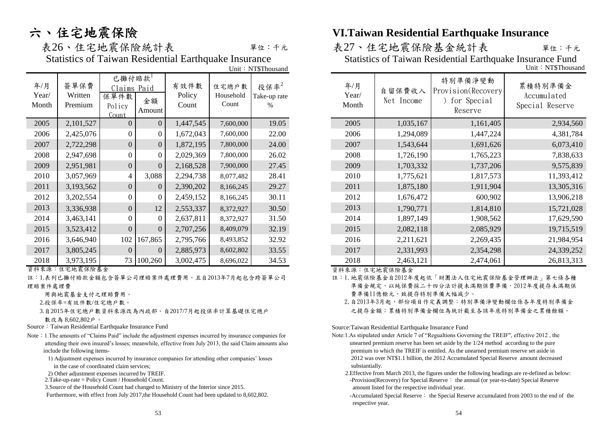# 六、住宅地震保險

單位:千元

Statistics of Taiwan Residential Earthquake Insurance Statistics of Taiwan Residential Earthquake Insurance Fund

|                       |                            |                                                 |                |                         |                             | Unit: NT\$Thousand           |                       |                      |                                                           | Unit: NT\$Thousand                        |
|-----------------------|----------------------------|-------------------------------------------------|----------------|-------------------------|-----------------------------|------------------------------|-----------------------|----------------------|-----------------------------------------------------------|-------------------------------------------|
| 年/月<br>Year/<br>Month | 簽單保費<br>Written<br>Premium | 已攤付賠款<br>Claims Paid<br>保單件數<br>Policy<br>Count | 金額<br>Amount   | 有效件數<br>Policy<br>Count | 住宅總戶數<br>Household<br>Count | 投保率 $2$<br>Take-up rate<br>% | 年/月<br>Year/<br>Month | 自留保費收入<br>Net Income | 特別準備淨變動<br>Provision(Recovery<br>) for Special<br>Reserve | 累積特別準備金<br>Accumulated<br>Special Reserve |
| 2005                  | 2,101,527                  | $\Omega$                                        | $\Omega$       | 1,447,545               | 7,600,000                   | 19.05                        | 2005                  | 1,035,167            | 1,161,405                                                 | 2,934,560                                 |
| 2006                  | 2,425,076                  | $\Omega$                                        | $\Omega$       | 1,672,043               | 7,600,000                   | 22.00                        | 2006                  | 1,294,089            | 1,447,224                                                 | 4,381,784                                 |
| 2007                  | 2,722,298                  | $\overline{0}$                                  | $\overline{0}$ | 1,872,195               | 7,800,000                   | 24.00                        | 2007                  | 1,543,644            | 1,691,626                                                 | 6,073,410                                 |
| 2008                  | 2,947,698                  | $\Omega$                                        | $\Omega$       | 2,029,369               | 7,800,000                   | 26.02                        | 2008                  | 1,726,190            | 1,765,223                                                 | 7,838,633                                 |
| 2009                  | 2,951,981                  | $\overline{0}$                                  | $\Omega$       | 2,168,528               | 7,900,000                   | 27.45                        | 2009                  | 1,703,332            | 1,737,206                                                 | 9,575,839                                 |
| 2010                  | 3,057,969                  | 4                                               | 3,088          | 2,294,738               | 8,077,482                   | 28.41                        | 2010                  | 1,775,621            | 1,817,573                                                 | 11,393,412                                |
| 2011                  | 3,193,562                  | $\overline{0}$                                  | $\overline{0}$ | 2,390,202               | 8,166,245                   | 29.27                        | 2011                  | 1,875,180            | 1,911,904                                                 | 13,305,316                                |
| 2012                  | 3,202,554                  | $\Omega$                                        | $\theta$       | 2,459,152               | 8,166,245                   | 30.11                        | 2012                  | 1,676,472            | 600,902                                                   | 13,906,218                                |
| 2013                  | 3,336,938                  | $\overline{0}$                                  | 12             | 2,553,337               | 8,372,927                   | 30.50                        | 2013                  | 1,790,771            | 1,814,810                                                 | 15,721,028                                |
| 2014                  | 3,463,141                  | $\theta$                                        | $\theta$       | 2,637,811               | 8,372,927                   | 31.50                        | 2014                  | 1,897,149            | 1,908,562                                                 | 17,629,590                                |
| 2015                  | 3,523,412                  | $\Omega$                                        | $\overline{0}$ | 2,707,256               | 8,409,079                   | 32.19                        | 2015                  | 2,082,118            | 2,085,929                                                 | 19,715,519                                |
| 2016                  | 3,646,940                  | 102                                             | 167,865        | 2,795,766               | 8,493,852                   | 32.92                        | 2016                  | 2,211,621            | 2,269,435                                                 | 21,984,954                                |
| 2017                  | 3,805,245                  | $\Omega$                                        | $\Omega$       | 2,885,973               | 8,602,802                   | 33.55                        | 2017                  | 2,331,993            | 2,354,298                                                 | 24,339,252                                |
| 2018                  | 3,973,195                  |                                                 | 73 100,260     | 3,002,475               | 8,696,022                   | 34.53                        | 2018                  | 2,463,121            | 2,474,061                                                 | 26,813,313                                |

資料來源:住宅地震保險基金 資料來源:住宅地震保險基金

註:1.表列已攤付賠款金額包含簽單公司理賠案件處理費用,且自2013年7月起包含跨簽單公司 理賠案件處理費

用與地震基金支付之理賠費用。

2.投保率=有效件數/住宅總戶數。

 3.自2015年住宅總戶數資料來源改為內政部。自2017/7月起投保率計算基礎住宅總戶 數改為 8,602,802戶。

Source: Taiwan Residential Earthquake Insurance Fund

- Note:1.The amounts of "Claims Paid" include the adjustment expenses incurred by insurance companies for attending their own insured's losses; meanwhile, effective from July 2013, the said Claim amounts also include the following items-
	- 1) Adjustment expenses incurred by insurance companies for attending other companies' losses in the case of coordinated claim services;
	- 2) Other adjustment expenses incurred by TREIF.
	- 2.Take-up-rate = Policy Count / Household Count.

3.Source of the Household Count had changed to Ministry of the Interior since 2015.

Furthermore, with effect from July 2017,the Household Count had been updated to 8,602,802.

## **VI.Taiwan Residential Earthquake Insurance**

表26、住宅地震保險統計表 表27、住宅地震保險基金統計表

Unit: NT\$Thousand

| 年/月<br>Year/<br>Month | 自留保費收入<br>Net Income | 特別準備淨變動<br>Provision(Recovery<br>for Special<br>Reserve | 累積特別準備金<br>Accumulated<br>Special Reserve |
|-----------------------|----------------------|---------------------------------------------------------|-------------------------------------------|
| 2005                  | 1,035,167            | 1,161,405                                               | 2,934,560                                 |
| 2006                  | 1,294,089            | 1,447,224                                               | 4,381,784                                 |
| 2007                  | 1,543,644            | 1,691,626                                               | 6,073,410                                 |
| 2008                  | 1,726,190            | 1,765,223                                               | 7,838,633                                 |
| 2009                  | 1,703,332            | 1,737,206                                               | 9,575,839                                 |
| 2010                  | 1,775,621            | 1,817,573                                               | 11,393,412                                |
| 2011                  | 1,875,180            | 1,911,904                                               | 13,305,316                                |
| 2012                  | 1,676,472            | 600,902                                                 | 13,906,218                                |
| 2013                  | 1,790,771            | 1,814,810                                               | 15,721,028                                |
| 2014                  | 1,897,149            | 1,908,562                                               | 17,629,590                                |
| 2015                  | 2,082,118            | 2,085,929                                               | 19,715,519                                |
| 2016                  | 2,211,621            | 2,269,435                                               | 21,984,954                                |
| 2017                  | 2,331,993            | 2,354,298                                               | 24,339,252                                |
| 2018                  | 2,463,121            | 2,474,061                                               | 26,813,313                                |

- 註:1.地震保險基金自2012年度起依「財團法人住宅地震保險基金管理辦法」第七條各種 準備金規定,以純保費採二十四分法計提未滿期保費準備,2012年度提存未滿期保 費準備11億餘元,致提存特別準備大幅減少。
	- 2. 自2013年3月起,部份項目作定義調整:特別準備淨變動欄位係各年度特別準備金 之提存金額;累積特別準備金欄位為統計截至各該年底特別準備金之累積餘額。

Source:Taiwan Residential Earthquake Insurance Fund

- Note:1.As stipulated under Article 7 of "Regualtions Governing the TREIF", effective 2012 , the unearned premium reserve has been set aside by the 1/24 method according to the pure premium to which the TREIF is entitled. As the unearned premium reserve set aside in 2012 was over NT\$1.1 billion, the 2012 Accumulated Special Reserve amount decreased substantially.
	- -Provision(Recovery) for Special Reserve: the annual (or year-to-date) Special Reserve amount listed for the respective individual year. 2.Effective from March 2013, the figures under the following headings are re-defined as below:
	- -Accumulated Special Reserve: the Special Reserve accumulated from 2003 to the end of the respective year.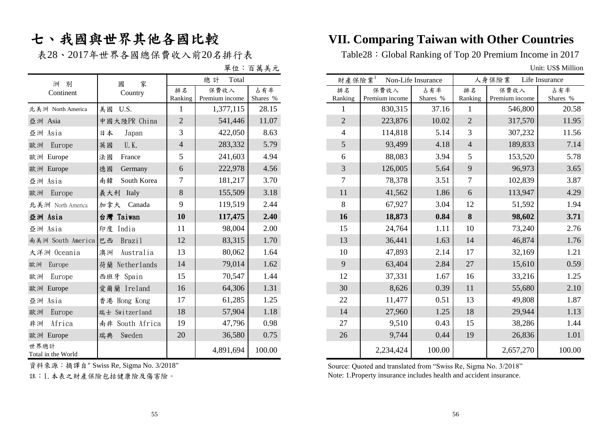表28、2017年世界各國總保費收入前20名排行表

單位:百萬美元 Unit: US\$ Million

| 洲別                         | 家<br>國            |                | 總計<br>Total            |                 | 財產保險業          | Non-Life Insurance     |  |
|----------------------------|-------------------|----------------|------------------------|-----------------|----------------|------------------------|--|
| Continent                  | Country           | 排名<br>Ranking  | 保費收入<br>Premium income | 占有率<br>Shares % | 排名<br>Ranking  | 保費收入<br>Premium income |  |
| 北美洲 North America          | U.S.<br>美國        | 1              | 1,377,115              | 28.15           |                | 830,315                |  |
| 亞洲 Asia                    | 中國大陸PR China      | $\overline{2}$ | 541,446                | 11.07           | $\overline{2}$ | 223,876                |  |
| 亞洲 Asia                    | 日本<br>Japan       | 3              | 422,050                | 8.63            | 4              | 114,818                |  |
| 歐洲<br>Europe               | U.K.<br>英國        | $\overline{4}$ | 283,332                | 5.79            | 5              | 93,499                 |  |
| 歐洲 Europe                  | 法國<br>France      | 5              | 241,603                | 4.94            | 6              | 88,083                 |  |
| 歐洲 Europe                  | Germany<br>德國     | 6              | 222,978                | 4.56            | 3              | 126,005                |  |
| 亞洲 Asia                    | 南韓<br>South Korea | 7              | 181,217                | 3.70            | 7              | 78,378                 |  |
| 歐洲<br>Europe               | 義大利 Italy         | 8              | 155,509                | 3.18            | 11             | 41,562                 |  |
| 北美洲 North America          | 加拿大 Canada        | 9              | 119,519                | 2.44            | 8              | 67,927                 |  |
| 亞洲 Asia                    | 台灣 Taiwan         | 10             | 117,475                | 2.40            | 16             | 18,873                 |  |
| 亞洲 Asia                    | 印度 India          | 11             | 98,004                 | 2.00            | 15             | 24,764                 |  |
| 南美洲 South America 巴西       | <b>Brazil</b>     | 12             | 83,315                 | 1.70            | 13             | 36,441                 |  |
| 大洋洲 Oceania                | 澳洲<br>Australia   | 13             | 80,062                 | 1.64            | 10             | 47,893                 |  |
| 歐洲<br>Europe               | 荷蘭 Netherlands    | 14             | 79,014                 | 1.62            | 9              | 63,404                 |  |
| 歐洲<br>Europe               | 西班牙 Spain         | 15             | 70,547                 | 1.44            | 12             | 37,331                 |  |
| 歐洲 Europe                  | 愛爾蘭 Ireland       | 16             | 64,306                 | 1.31            | 30             | 8,626                  |  |
| 亞洲 Asia                    | 香港 Hong Kong      | 17             | 61,285                 | 1.25            | 22             | 11,477                 |  |
| 歐洲<br>Europe               | 瑞士 Switzerland    | 18             | 57,904                 | 1.18            | 14             | 27,960                 |  |
| Africa<br>非洲               | 南非 South Africa   | 19             | 47,796                 | 0.98            | 27             | 9,510                  |  |
| 歐洲 Europe                  | Sweden<br>瑞典      | 20             | 36,580                 | 0.75            | 26             | 9,744                  |  |
| 世界總計<br>Total in the World |                   |                | 4,891,694              | 100.00          |                | 2,234,424              |  |

註:1.本表之財產保險包括健康險及傷害險。

# 七、我國與世界其他各國比較 **VII. Comparing Taiwan with Other Countries**

Table28: Global Ranking of Top 20 Premium Income in 2017

| 洲別                         | 家<br>國            |                | Total<br>總計    |          | 財產保險業 <sup>1</sup> |                | Non-Life Insurance |                | 人身保險業          | Life Insurance |
|----------------------------|-------------------|----------------|----------------|----------|--------------------|----------------|--------------------|----------------|----------------|----------------|
| Continent                  | Country           | 排名             | 保費收入           | 占有率      | 排名                 | 保費收入           | 占有率                | 排名             | 保費收入           | 占有率            |
|                            |                   | Ranking        | Premium income | Shares % | Ranking            | Premium income | Shares %           | Ranking        | Premium income | Shares %       |
| 北美洲 North America          | 美國 U.S.           |                | 1,377,115      | 28.15    |                    | 830,315        | 37.16              |                | 546,800        | 20.58          |
| 亞洲 Asia                    | 中國大陸PR China      | $\overline{2}$ | 541,446        | 11.07    | $\sqrt{2}$         | 223,876        | 10.02              | $\overline{2}$ | 317,570        | 11.95          |
| 亞洲 Asia                    | 日本<br>Japan       | 3              | 422,050        | 8.63     | $\overline{4}$     | 114,818        | 5.14               | $\overline{3}$ | 307,232        | 11.56          |
| 歐洲 Europe                  | U.K.<br>英國        | $\overline{4}$ | 283,332        | 5.79     | $5\overline{)}$    | 93,499         | 4.18               | $\overline{4}$ | 189,833        | 7.14           |
| 歐洲 Europe                  | France<br>法國      | 5              | 241,603        | 4.94     | 6                  | 88,083         | 3.94               | 5              | 153,520        | 5.78           |
| 歐洲 Europe                  | 德國<br>Germany     | 6              | 222,978        | 4.56     | $\mathfrak{Z}$     | 126,005        | 5.64               | 9              | 96,973         | 3.65           |
| 亞洲 Asia                    | 南韓<br>South Korea | $\overline{7}$ | 181,217        | 3.70     | $\overline{7}$     | 78,378         | 3.51               | $\overline{7}$ | 102,839        | 3.87           |
| 歐洲 Europe                  | 義大利 Italy         | 8              | 155,509        | 3.18     | 11                 | 41,562         | 1.86               | 6              | 113,947        | 4.29           |
| 北美洲 North America          | 加拿大 Canada        | 9              | 119,519        | 2.44     | 8                  | 67,927         | 3.04               | 12             | 51,592         | 1.94           |
| 亞洲 Asia                    | 台灣 Taiwan         | 10             | 117,475        | 2.40     | 16                 | 18,873         | 0.84               | 8              | 98,602         | 3.71           |
| 亞洲 Asia                    | 印度 India          | 11             | 98,004         | 2.00     | 15                 | 24,764         | 1.11               | 10             | 73,240         | 2.76           |
| 南美洲 South America 巴西       | <b>Brazil</b>     | 12             | 83,315         | 1.70     | 13                 | 36,441         | 1.63               | 14             | 46,874         | 1.76           |
| 大洋洲 Oceania                | 澳洲<br>Australia   | 13             | 80,062         | 1.64     | 10                 | 47,893         | 2.14               | 17             | 32,169         | 1.21           |
| 歐洲 Europe                  | 荷蘭 Netherlands    | 14             | 79,014         | 1.62     | 9                  | 63,404         | 2.84               | 27             | 15,610         | 0.59           |
| 歐洲 Europe                  | 西班牙 Spain         | 15             | 70,547         | 1.44     | 12                 | 37,331         | 1.67               | 16             | 33,216         | 1.25           |
| 歐洲 Europe                  | 愛爾蘭 Ireland       | 16             | 64,306         | 1.31     | 30                 | 8,626          | 0.39               | 11             | 55,680         | 2.10           |
| 亞洲 Asia                    | 香港 Hong Kong      | 17             | 61,285         | 1.25     | 22                 | 11,477         | 0.51               | 13             | 49,808         | 1.87           |
| Europe<br>歐洲               | 瑞士 Switzerland    | 18             | 57,904         | 1.18     | 14                 | 27,960         | 1.25               | 18             | 29,944         | 1.13           |
| 非洲 Africa                  | 南非 South Africa   | 19             | 47,796         | 0.98     | 27                 | 9,510          | 0.43               | 15             | 38,286         | 1.44           |
| 歐洲 Europe                  | 瑞典 Sweden         | 20             | 36,580         | 0.75     | 26                 | 9,744          | 0.44               | 19             | 26,836         | 1.01           |
| 世界總計<br>Total in the World |                   |                | 4,891,694      | 100.00   |                    | 2,234,424      | 100.00             |                | 2,657,270      | 100.00         |

資料來源: 摘譯自" Swiss Re, Sigma No. 3/2018" Source: Quoted and translated from "Swiss Re, Sigma No. 3/2018" Note: 1.Property insurance includes health and accident insurance.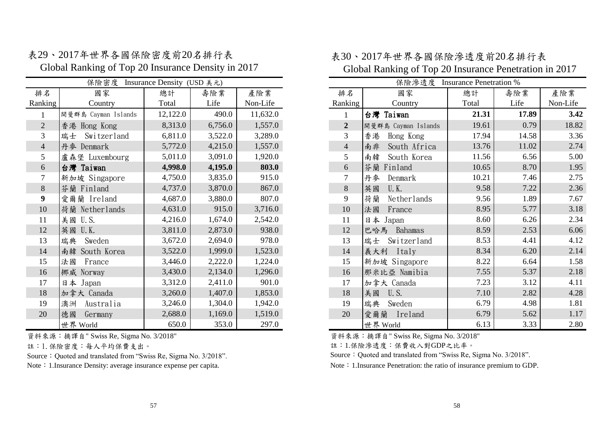|                | 保險密度                | Insurance Density (USD 美元) |         |          |
|----------------|---------------------|----------------------------|---------|----------|
| 排名             | 國家                  | 總計                         | 壽險業     | 產險業      |
| Ranking        | Country             | Total                      | Life    | Non-Life |
| 1              | 開曼群島 Cayman Islands | 12,122.0                   | 490.0   | 11,632.0 |
| $\overline{2}$ | 香港 Hong Kong        | 8,313.0                    | 6,756.0 | 1,557.0  |
| 3              | Switzerland<br>瑞士   | 6,811.0                    | 3,522.0 | 3,289.0  |
| $\overline{4}$ | 丹麥 Denmark          | 5,772.0                    | 4,215.0 | 1,557.0  |
| 5              | 盧森堡 Luxembourg      | 5,011.0                    | 3,091.0 | 1,920.0  |
| 6              | 台灣 Taiwan           | 4,998.0                    | 4,195.0 | 803.0    |
| 7              | 新加坡 Singapore       | 4,750.0                    | 3,835.0 | 915.0    |
| 8              | Finland<br>芬蘭       | 4,737.0                    | 3,870.0 | 867.0    |
| 9              | 愛爾蘭 Ireland         | 4,687.0                    | 3,880.0 | 807.0    |
| 10             | Netherlands<br>荷蘭   | 4,631.0                    | 915.0   | 3,716.0  |
| 11             | U.S.<br>美國          | 4,216.0                    | 1,674.0 | 2,542.0  |
| 12             | 英國<br>$U$ .K.       | 3,811.0                    | 2,873.0 | 938.0    |
| 13             | 瑞典<br>Sweden        | 3,672.0                    | 2,694.0 | 978.0    |
| 14             | South Korea<br>南韓   | 3,522.0                    | 1,999.0 | 1,523.0  |
| 15             | France<br>法國        | 3,446.0                    | 2,222.0 | 1,224.0  |
| 16             | 挪威<br>Norway        | 3,430.0                    | 2,134.0 | 1,296.0  |
| 17             | 日本 Japan            | 3,312.0                    | 2,411.0 | 901.0    |
| 18             | 加拿大 Canada          | 3,260.0                    | 1,407.0 | 1,853.0  |
| 19             | Australia<br>澳洲     | 3,246.0                    | 1,304.0 | 1,942.0  |
| 20             | 德國<br>Germany       | 2,688.0                    | 1,169.0 | 1,519.0  |
|                | 世界 World            | 650.0                      | 353.0   | 297.0    |

表29、2017年世界各國保險密度前20名排行表 Global Ranking of Top 20 Insurance Density in 2017

資料來源:摘譯自" Swiss Re, Sigma No. 3/2018"

註:1.保險密度:每人平均保費支出。

Source: Quoted and translated from "Swiss Re, Sigma No. 3/2018".

## 表30、2017年世界各國保險滲透度前20名排行表 Global Ranking of Top 20 Insurance Penetration in 2017

|                          | 保險密度                | Insurance Density (USD 美元) |         |          |    |                | 保險滲透度 Insurance Penetration % |       |       |          |
|--------------------------|---------------------|----------------------------|---------|----------|----|----------------|-------------------------------|-------|-------|----------|
| 丰名                       | 國家                  | 總計                         | 壽險業     | 產險業      | 排名 |                | 國家                            | 總計    | 壽險業   | 產險業      |
| nking                    | Country             | Total                      | Life    | Non-Life |    | Ranking        | Country                       | Total | Life  | Non-Life |
| 1                        | 開曼群島 Cayman Islands | 12,122.0                   | 490.0   | 11,632.0 |    |                | 台灣 Taiwan                     | 21.31 | 17.89 | 3.42     |
| $\overline{c}$           | 香港 Hong Kong        | 8,313.0                    | 6,756.0 | 1,557.0  |    | $\overline{2}$ | 開曼群島 Cayman Islands           | 19.61 | 0.79  | 18.82    |
| 3                        | Switzerland<br>瑞士   | 6,811.0                    | 3,522.0 | 3,289.0  |    | 3              | Hong Kong<br>香港               | 17.94 | 14.58 | 3.36     |
| $\overline{\mathcal{L}}$ | 丹麥 Denmark          | 5,772.0                    | 4,215.0 | 1,557.0  |    | $\overline{4}$ | 南非<br>South Africa            | 13.76 | 11.02 | 2.74     |
| 5                        | 盧森堡 Luxembourg      | 5,011.0                    | 3,091.0 | 1,920.0  |    | 5 <sup>1</sup> | South Korea<br>南韓             | 11.56 | 6.56  | 5.00     |
| 6                        | 台灣 Taiwan           | 4,998.0                    | 4,195.0 | 803.0    |    | 6              | 芬蘭<br>Finland                 | 10.65 | 8.70  | 1.95     |
| 7                        | 新加坡 Singapore       | 4,750.0                    | 3,835.0 | 915.0    | 7  |                | 丹麥<br>Denmark                 | 10.21 | 7.46  | 2.75     |
| 8                        | 芬蘭 Finland          | 4,737.0                    | 3,870.0 | 867.0    |    | 8              | U.K.<br>英國                    | 9.58  | 7.22  | 2.36     |
| 9                        | 愛爾蘭 Ireland         | 4,687.0                    | 3,880.0 | 807.0    |    | 9              | 荷蘭<br>Netherlands             | 9.56  | 1.89  | 7.67     |
| 10                       | 荷蘭 Netherlands      | 4,631.0                    | 915.0   | 3,716.0  |    | 10             | 法國<br>France                  | 8.95  | 5.77  | 3.18     |
| 11                       | 美國 U.S.             | 4,216.0                    | 1,674.0 | 2,542.0  | 11 |                | 日本<br>Japan                   | 8.60  | 6.26  | 2.34     |
| 12                       | 英國 U.K.             | 3,811.0                    | 2,873.0 | 938.0    | 12 |                | 巴哈馬<br>Bahamas                | 8.59  | 2.53  | 6.06     |
| 13                       | Sweden<br>瑞典        | 3,672.0                    | 2,694.0 | 978.0    | 13 |                | Switzerland<br>瑞士             | 8.53  | 4.41  | 4.12     |
| 14                       | 南韓 South Korea      | 3,522.0                    | 1,999.0 | 1,523.0  |    | 14             | 義大利 Italy                     | 8.34  | 6.20  | 2.14     |
| 15                       | France<br>法國        | 3,446.0                    | 2,222.0 | 1,224.0  | 15 |                | 新加坡 Singapore                 | 8.22  | 6.64  | 1.58     |
| 16                       | 挪威 Norway           | 3,430.0                    | 2,134.0 | 1,296.0  | 16 |                | 那米比亞 Namibia                  | 7.55  | 5.37  | 2.18     |
| 17                       | 日本 Japan            | 3,312.0                    | 2,411.0 | 901.0    | 17 |                | 加拿大 Canada                    | 7.23  | 3.12  | 4.11     |
| 18                       | 加拿大 Canada          | 3,260.0                    | 1,407.0 | 1,853.0  | 18 |                | 美國<br>U.S.                    | 7.10  | 2.82  | 4.28     |
| 19                       | Australia<br>澳洲     | 3,246.0                    | 1,304.0 | 1,942.0  | 19 |                | 瑞典<br>Sweden                  | 6.79  | 4.98  | 1.81     |
| 20                       | 德國<br>Germany       | 2,688.0                    | 1,169.0 | 1,519.0  | 20 |                | 愛爾蘭<br>Ireland                | 6.79  | 5.62  | 1.17     |
|                          | 世界 World            | 650.0                      | 353.0   | 297.0    |    |                | 世界 World                      | 6.13  | 3.33  | 2.80     |

資料來源:摘譯自" Swiss Re, Sigma No. 3/2018"

註:1.保險滲透度:保費收入對GDP之比率。

Source: Quoted and translated from "Swiss Re, Sigma No. 3/2018".

Note: 1.Insurance Density: average insurance expense per capita. Note: 1.Insurance Penetration: the ratio of insurance premium to GDP.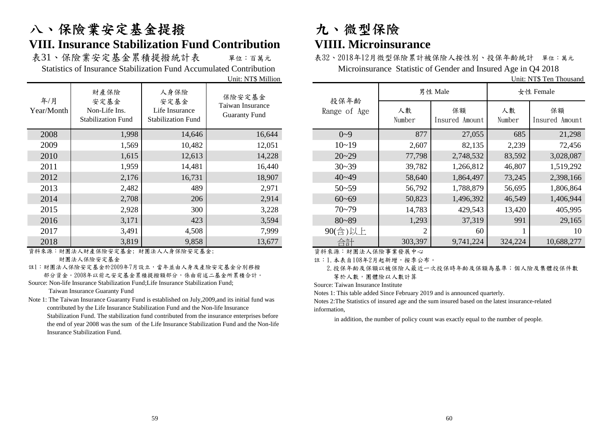# 八、保險業安定基金提撥 有一 九、微型保險 **VIII. Insurance Stabilization Fund Contribution VIIII. Microinsurance**

表31、保險業安定基金累積提撥統計表 單位:百萬元 表32、2018年12月微型保險累計被保險人按性別、投保年齡統計 單位:萬元

|                   |                                                            |                                                             | UNII: IN I D MIIIION                               |
|-------------------|------------------------------------------------------------|-------------------------------------------------------------|----------------------------------------------------|
| 年/月<br>Year/Month | 財產保險<br>安定基金<br>Non-Life Ins.<br><b>Stabilization Fund</b> | 人身保險<br>安定基金<br>Life Insurance<br><b>Stabilization Fund</b> | 保險安定基金<br>Taiwan Insurance<br><b>Guaranty Fund</b> |
| 2008              | 1,998                                                      | 14,646                                                      | 16,644                                             |
| 2009              | 1,569                                                      | 10,482                                                      | 12,051                                             |
| 2010              | 1,615                                                      | 12,613                                                      | 14,228                                             |
| 2011              | 1,959                                                      | 14,481                                                      | 16,440                                             |
| 2012              | 2,176                                                      | 16,731                                                      | 18,907                                             |
| 2013              | 2,482                                                      | 489                                                         | 2,971                                              |
| 2014              | 2,708                                                      | 206                                                         | 2,914                                              |
| 2015              | 2,928                                                      | 300                                                         | 3,228                                              |
| 2016              | 3,171                                                      | 423                                                         | 3,594                                              |
| 2017              | 3,491                                                      | 4,508                                                       | 7,999                                              |
| 2018              | 3,819                                                      | 9,858                                                       | 13,677                                             |

資料來源:財團法人財產保險安定基金; 財團法人人身保險安定基金; 財團法人保險安定基金

註1:財團法人保險安定基金於2009年7月設立,當年並由人身及產險安定基金分別移撥 部分資金。2008年以前之安定基金累積提撥額部分,係由前述二基金所累積合計。

Source: Non-life Insurance Stabilization Fund;Life Insurance Stabilization Fund;

Taiwan Insurance Guaranty Fund

Note 1: The Taiwan Insurance Guaranty Fund is established on July,2009,and its initial fund was contributed by the Life Insurance Stabilization Fund and the Non-life Insurance Stabilization Fund. The stabilization fund contributed from the insurance enterprises before the end of year 2008 was the sum of the Life Insurance Stabilization Fund and the Non-life Insurance Stabilization Fund.

Statistics of Insurance Stabilization Fund Accumulated Contribution Microinsurance Statistic of Gender and Insured Age in Q4 2018

Unit: NT\$ Ten Thousand

|                 | 財產保險                                               | 人身保險                                                | 保險安定基金                                   |                      |              | 男性 Male              |              | 女性 Female            |
|-----------------|----------------------------------------------------|-----------------------------------------------------|------------------------------------------|----------------------|--------------|----------------------|--------------|----------------------|
| 年/月<br>ar/Month | 安定基金<br>Non-Life Ins.<br><b>Stabilization Fund</b> | 安定基金<br>Life Insurance<br><b>Stabilization Fund</b> | Taiwan Insurance<br><b>Guaranty Fund</b> | 投保年齡<br>Range of Age | 人數<br>Number | 保額<br>Insured Amount | 人數<br>Number | 保額<br>Insured Amount |
| 2008            | 1,998                                              | 14,646                                              | 16,644                                   | $0 - 9$              | 877          | 27,055               | 685          | 21,298               |
| 2009            | 1,569                                              | 10,482                                              | 12,051                                   | $10 - 19$            | 2,607        | 82,135               | 2,239        | 72,456               |
| 2010            | 1,615                                              | 12,613                                              | 14,228                                   | $20 - 29$            | 77,798       | 2,748,532            | 83,592       | 3,028,087            |
| 2011            | 1,959                                              | 14,481                                              | 16,440                                   | $30 - 39$            | 39,782       | 1,266,812            | 46,807       | 1,519,292            |
| 2012            | 2,176                                              | 16,731                                              | 18,907                                   | $40 - 49$            | 58,640       | 1,864,497            | 73,245       | 2,398,166            |
| 2013            | 2,482                                              | 489                                                 | 2,971                                    | $50 - 59$            | 56,792       | 1,788,879            | 56,695       | 1,806,864            |
| 2014            | 2,708                                              | 206                                                 | 2,914                                    | $60 - 69$            | 50,823       | 1,496,392            | 46,549       | 1,406,944            |
| 2015            | 2,928                                              | 300                                                 | 3,228                                    | $70 - 79$            | 14,783       | 429,543              | 13,420       | 405,995              |
| 2016            | 3,171                                              | 423                                                 | 3,594                                    | $80 - 89$            | 1,293        | 37,319               | 991          | 29,165               |
| 2017            | 3,491                                              | 4,508                                               | 7,999                                    | 90(含)以上              | 2            | 60                   |              | 10                   |
| 2018            | 3,819                                              | 9,858                                               | 13,677                                   | 合計                   | 303,397      | 9,741,224            | 324,224      | 10,688,277           |

資料來源:財團法人保險事業發展中心

註:1.本表自108年2月起新增,按季公布。

 2.投保年齡及保額以被保險人最近一次投保時年齡及保額為基準;個人險及集體投保件數 等於人數,團體險以人數計算

Source: Taiwan Insurance Institute

Notes 1: This table added Since February 2019 and is announced quarterly.

Notes 2:The Statistics of insured age and the sum insured based on the latest insurance-related information,

in addition, the number of policy count was exactly equal to the number of people.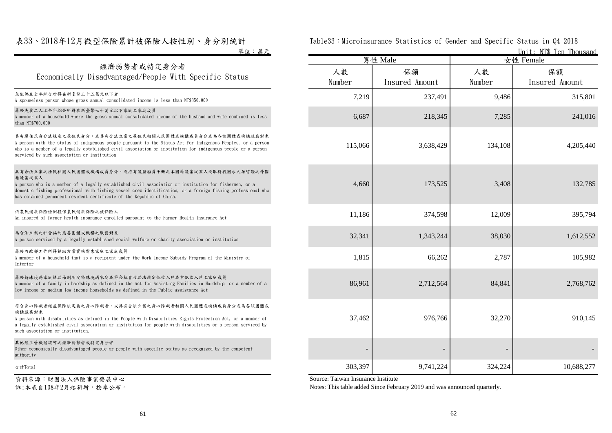### 表33、2018年12月微型保險累計被保險人按性別、身分別統計

### 經濟弱勢者或特定身分者 Economically Disadvantaged/People With Specific Status

### 屬於夫妻二人之全年綜合所得在新臺幣七十萬元以下家庭之家庭成員

### 具有原住民身分,或具有合法立案之原住民相關人民團體或機構成員身分或為各該團體或機構服務對象

### 具有合法立案之漁民相關人民團體或機構成員身分,或持有漁船船員手冊之本國籍漁業從業人或取得我國永久居留證之外國 籍漁業從業人

### 依農民健康保險條例投保農民健康保險之被保險人

### 為合法立案之社會福利慈善團體或機構之服務對象

### 屬於內政部工作所得補助方案實施對象家庭之家庭成員

### 屬於特殊境遇家庭扶助條例所定特殊境遇家庭或符合社會救助法規定低收入戶或中低收入戶之家庭成員

### 符合身心障礙者權益保障法定義之身心障礙者,或具有合法立案之身心障礙者相關人民團體或機構成員身分或為各該團體或 機構服務對象

### 其他經主管機關認可之經濟弱勢者或特定身分者

### 資料來源:財團法人保險事業發展中心

註:本表自108年2月起新增,按季公布。

| 计计    | Table33:Microinsurance Statistics of Gender and Specific Status in Q4 2018 |  |  |                         |
|-------|----------------------------------------------------------------------------|--|--|-------------------------|
| 單位:萬元 |                                                                            |  |  | Unit: NT\$ Ten Thousand |

| 平仙・あ儿                                                                                                                                                                                                                                                                                                                                                               |              |                      |              | <u>UIILE: NIO TEIL HIOUSANU</u> |  |
|---------------------------------------------------------------------------------------------------------------------------------------------------------------------------------------------------------------------------------------------------------------------------------------------------------------------------------------------------------------------|--------------|----------------------|--------------|---------------------------------|--|
|                                                                                                                                                                                                                                                                                                                                                                     |              | 男性 Male              |              | 女性 Female                       |  |
| 經濟弱勢者或特定身分者<br>Economically Disadvantaged/People With Specific Status                                                                                                                                                                                                                                                                                               | 人數<br>Number | 保額<br>Insured Amount | 人數<br>Number | 保額<br>Insured Amount            |  |
| 無配偶且全年綜合所得在新臺幣三十五萬元以下者<br>A spouseless person whose gross annual consolidated income is less than NT\$350,000                                                                                                                                                                                                                                                       | 7,219        | 237,491              | 9,486        | 315,801                         |  |
| 屬於夫妻二人之全年綜合所得在新臺幣七十萬元以下家庭之家庭成員<br>A member of a household where the gross annual consolidated income of the husband and wife combined is less<br>than NT\$700,000                                                                                                                                                                                                   | 6,687        | 218,345              | 7,285        | 241,016                         |  |
| 具有原住民身分法規定之原住民身分,或具有合法立案之原住民相關人民團體或機構成員身分或為各該團體或機構服務對象<br>A person with the status of indigenous people pursuant to the Status Act For Indigenous Peoples, or a person<br>who is a member of a legally established civil association or institution for indigenous people or a person<br>serviced by such association or institution                                | 115,066      | 3,638,429            | 134,108      | 4,205,440                       |  |
| 具有合法立案之漁民相關人民團體或機構成員身分,或持有漁船船員手冊之本國籍漁業從業人或取得我國永久居留證之外國<br>籍漁業從業人<br>A person who is a member of a legally established civil association or institution for fishermen, or a<br>domestic fishing professional with fishing vessel crew identification, or a foreign fishing professional who<br>has obtained permanent resident certificate of the Republic of China. | 4,660        | 173,525              | 3,408        | 132,785                         |  |
| 依農民健康保險條例投保農民健康保險之被保險人<br>An insured of farmer health insurance enrolled pursuant to the Farmer Health Insurance Act                                                                                                                                                                                                                                                | 11,186       | 374,598              | 12,009       | 395,794                         |  |
| 為合法立案之社會福利慈善團體或機構之服務對象<br>A person serviced by a legally established social welfare or charity association or institution                                                                                                                                                                                                                                           | 32,341       | 1,343,244            | 38,030       | 1,612,552                       |  |
| 屬於內政部工作所得補助方案實施對象家庭之家庭成員<br>A member of a household that is a recipient under the Work Income Subsidy Program of the Ministry of<br>Interior                                                                                                                                                                                                                        | 1,815        | 66,262               | 2,787        | 105,982                         |  |
| 屬於特殊境遇家庭扶助條例所定特殊境遇家庭或符合社會救助法規定低收入戶或中低收入戶之家庭成員<br>A member of a family in hardship as defined in the Act for Assisting Families in Hardship, or a member of a<br>low-income or medium-low income households as defined in the Public Assistance Act                                                                                                                  | 86,961       | 2,712,564            | 84,841       | 2.768.762                       |  |
| 符合身心障礙者權益保障法定義之身心障礙者,或具有合法立案之身心障礙者相關人民團體或機構成員身分或為各該團體或<br>機構服務對象<br>A person with disabilities as defined in the People with Disabilities Rights Protection Act, or a member of<br>a legally established civil association or institution for people with disabilities or a person serviced by<br>such association or institution.                                  | 37,462       | 976,766              | 32,270       | 910.145                         |  |
| 其他經主管機關認可之經濟弱勢者或特定身分者<br>Other economically disadvantaged people or people with specific status as recognized by the competent<br>authority                                                                                                                                                                                                                         |              |                      |              |                                 |  |
| 合計Total                                                                                                                                                                                                                                                                                                                                                             | 303,397      | 9,741,224            | 324,224      | 10,688,277                      |  |

Source: Taiwan Insurance Institute

Notes: This table added Since February 2019 and was announced quarterly.